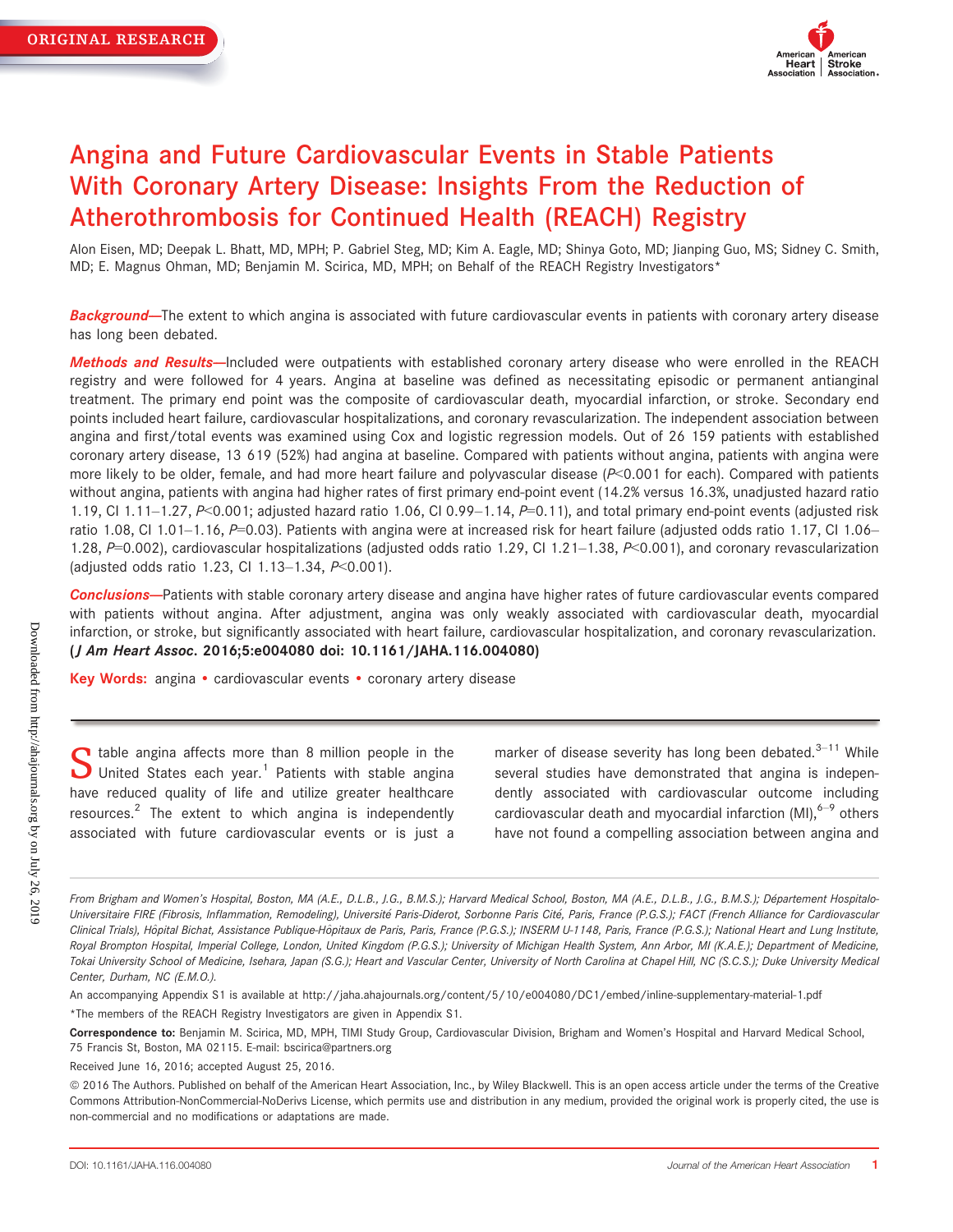

# Angina and Future Cardiovascular Events in Stable Patients With Coronary Artery Disease: Insights From the Reduction of Atherothrombosis for Continued Health (REACH) Registry

Alon Eisen, MD; Deepak L. Bhatt, MD, MPH; P. Gabriel Steg, MD; Kim A. Eagle, MD; Shinya Goto, MD; Jianping Guo, MS; Sidney C. Smith, MD; E. Magnus Ohman, MD; Benjamin M. Scirica, MD, MPH; on Behalf of the REACH Registry Investigators\*

Background-The extent to which angina is associated with future cardiovascular events in patients with coronary artery disease has long been debated.

Methods and Results-Included were outpatients with established coronary artery disease who were enrolled in the REACH registry and were followed for 4 years. Angina at baseline was defined as necessitating episodic or permanent antianginal treatment. The primary end point was the composite of cardiovascular death, myocardial infarction, or stroke. Secondary end points included heart failure, cardiovascular hospitalizations, and coronary revascularization. The independent association between angina and first/total events was examined using Cox and logistic regression models. Out of 26 159 patients with established coronary artery disease, 13 619 (52%) had angina at baseline. Compared with patients without angina, patients with angina were more likely to be older, female, and had more heart failure and polyvascular disease (P<0.001 for each). Compared with patients without angina, patients with angina had higher rates of first primary end-point event (14.2% versus 16.3%, unadjusted hazard ratio 1.19, CI 1.11–1.27, P<0.001; adjusted hazard ratio 1.06, CI 0.99–1.14, P=0.11), and total primary end-point events (adjusted risk ratio 1.08, CI 1.01–1.16, P=0.03). Patients with angina were at increased risk for heart failure (adjusted odds ratio 1.17, CI 1.06– 1.28,  $P=0.002$ ), cardiovascular hospitalizations (adjusted odds ratio 1.29, Cl 1.21–1.38,  $P<0.001$ ), and coronary revascularization (adjusted odds ratio 1.23, CI 1.13-1.34,  $P<0.001$ ).

Conclusions--Patients with stable coronary artery disease and angina have higher rates of future cardiovascular events compared with patients without angina. After adjustment, angina was only weakly associated with cardiovascular death, myocardial infarction, or stroke, but significantly associated with heart failure, cardiovascular hospitalization, and coronary revascularization. (J Am Heart Assoc. 2016;5:e004080 doi: [10.1161/JAHA.116.004080\)](info:doi/10.1161/JAHA.116.004080)

Key Words: angina • cardiovascular events • coronary artery disease

Stable angina affects more than 8 million people in the<br>United States each year.<sup>1</sup> Patients with stable angina have reduced quality of life and utilize greater healthcare resources. $2$  The extent to which angina is independently associated with future cardiovascular events or is just a marker of disease severity has long been debated. $3-11$  While several studies have demonstrated that angina is independently associated with cardiovascular outcome including cardiovascular death and myocardial infarction  $(MI)$ ,  $6-9$  others have not found a compelling association between angina and

From Brigham and Women's Hospital, Boston, MA (A.E., D.L.B., J.G., B.M.S.); Harvard Medical School, Boston, MA (A.E., D.L.B., J.G., B.M.S.); Departement Hospitalo-Universitaire FIRE (Fibrosis, Inflammation, Remodeling), Universite Paris-Diderot, Sorbonne Paris Cite, Paris, France (P.G.S.); FACT (French Alliance for Cardiovascular Clinical Trials), Hôpital Bichat, Assistance Publique-Hôpitaux de Paris, Paris, France (P.G.S.); INSERM U-1148, Paris, France (P.G.S.); National Heart and Lung Institute, Royal Brompton Hospital, Imperial College, London, United Kingdom (P.G.S.); University of Michigan Health System, Ann Arbor, MI (K.A.E.); Department of Medicine, Tokai University School of Medicine, Isehara, Japan (S.G.); Heart and Vascular Center, University of North Carolina at Chapel Hill, NC (S.C.S.); Duke University Medical Center, Durham, NC (E.M.O.).

An accompanying Appendix S1 is available at [http://jaha.ahajournals.org/content/5/10/e004080/DC1/embed/inline-supplementary-material-1.pdf](http://jaha.ahajournals.org/content/5/10/e003062/DC1/embed/inline-supplementary-material-1.pdf) \*The members of the REACH Registry Investigators are given in Appendix S1.

Correspondence to: Benjamin M. Scirica, MD, MPH, TIMI Study Group, Cardiovascular Division, Brigham and Women's Hospital and Harvard Medical School, 75 Francis St, Boston, MA 02115. E-mail: bscirica@partners.org

Received June 16, 2016; accepted August 25, 2016.

ª 2016 The Authors. Published on behalf of the American Heart Association, Inc., by Wiley Blackwell. This is an open access article under the terms of the [Creative](http://creativecommons.org/licenses/by-nc-nd/4.0/) [Commons Attribution-NonCommercial-NoDerivs](http://creativecommons.org/licenses/by-nc-nd/4.0/) License, which permits use and distribution in any medium, provided the original work is properly cited, the use is non-commercial and no modifications or adaptations are made.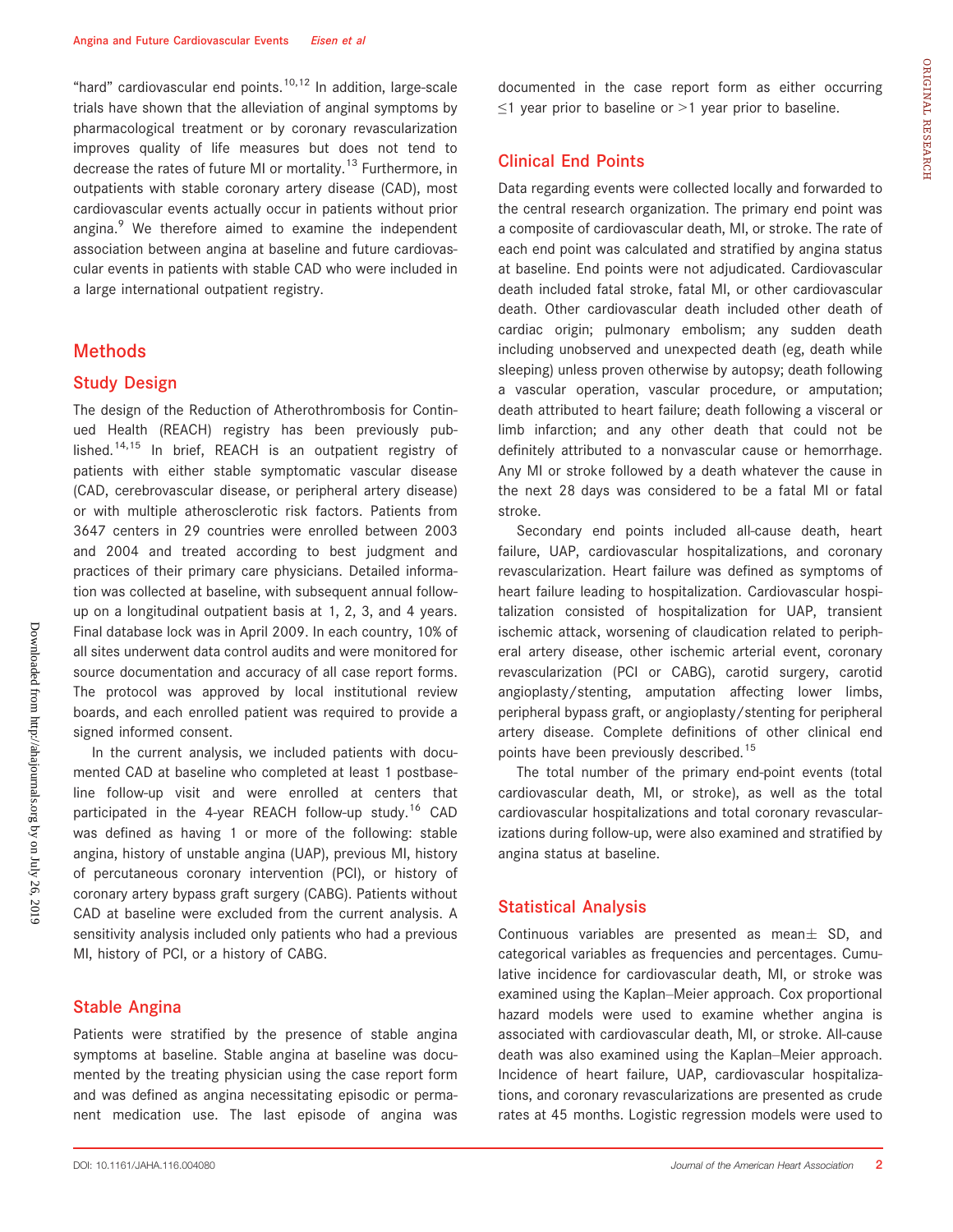"hard" cardiovascular end points.<sup>10,12</sup> In addition, large-scale trials have shown that the alleviation of anginal symptoms by pharmacological treatment or by coronary revascularization improves quality of life measures but does not tend to decrease the rates of future MI or mortality.<sup>13</sup> Furthermore, in outpatients with stable coronary artery disease (CAD), most cardiovascular events actually occur in patients without prior angina. $9$  We therefore aimed to examine the independent association between angina at baseline and future cardiovascular events in patients with stable CAD who were included in a large international outpatient registry.

## Methods

## Study Design

The design of the Reduction of Atherothrombosis for Continued Health (REACH) registry has been previously published.<sup>14,15</sup> In brief, REACH is an outpatient registry of patients with either stable symptomatic vascular disease (CAD, cerebrovascular disease, or peripheral artery disease) or with multiple atherosclerotic risk factors. Patients from 3647 centers in 29 countries were enrolled between 2003 and 2004 and treated according to best judgment and practices of their primary care physicians. Detailed information was collected at baseline, with subsequent annual followup on a longitudinal outpatient basis at 1, 2, 3, and 4 years. Final database lock was in April 2009. In each country, 10% of all sites underwent data control audits and were monitored for source documentation and accuracy of all case report forms. The protocol was approved by local institutional review boards, and each enrolled patient was required to provide a signed informed consent.

In the current analysis, we included patients with documented CAD at baseline who completed at least 1 postbaseline follow-up visit and were enrolled at centers that participated in the 4-year REACH follow-up study.<sup>16</sup> CAD was defined as having 1 or more of the following: stable angina, history of unstable angina (UAP), previous MI, history of percutaneous coronary intervention (PCI), or history of coronary artery bypass graft surgery (CABG). Patients without CAD at baseline were excluded from the current analysis. A sensitivity analysis included only patients who had a previous MI, history of PCI, or a history of CABG.

### Stable Angina

Patients were stratified by the presence of stable angina symptoms at baseline. Stable angina at baseline was documented by the treating physician using the case report form and was defined as angina necessitating episodic or permanent medication use. The last episode of angina was

documented in the case report form as either occurring  $\leq$ 1 year prior to baseline or >1 year prior to baseline.

## Clinical End Points

Data regarding events were collected locally and forwarded to the central research organization. The primary end point was a composite of cardiovascular death, MI, or stroke. The rate of each end point was calculated and stratified by angina status at baseline. End points were not adjudicated. Cardiovascular death included fatal stroke, fatal MI, or other cardiovascular death. Other cardiovascular death included other death of cardiac origin; pulmonary embolism; any sudden death including unobserved and unexpected death (eg, death while sleeping) unless proven otherwise by autopsy; death following a vascular operation, vascular procedure, or amputation; death attributed to heart failure; death following a visceral or limb infarction; and any other death that could not be definitely attributed to a nonvascular cause or hemorrhage. Any MI or stroke followed by a death whatever the cause in the next 28 days was considered to be a fatal MI or fatal stroke.

Secondary end points included all-cause death, heart failure, UAP, cardiovascular hospitalizations, and coronary revascularization. Heart failure was defined as symptoms of heart failure leading to hospitalization. Cardiovascular hospitalization consisted of hospitalization for UAP, transient ischemic attack, worsening of claudication related to peripheral artery disease, other ischemic arterial event, coronary revascularization (PCI or CABG), carotid surgery, carotid angioplasty/stenting, amputation affecting lower limbs, peripheral bypass graft, or angioplasty/stenting for peripheral artery disease. Complete definitions of other clinical end points have been previously described.<sup>15</sup>

The total number of the primary end-point events (total cardiovascular death, MI, or stroke), as well as the total cardiovascular hospitalizations and total coronary revascularizations during follow-up, were also examined and stratified by angina status at baseline.

## Statistical Analysis

Continuous variables are presented as mean $\pm$  SD, and categorical variables as frequencies and percentages. Cumulative incidence for cardiovascular death, MI, or stroke was examined using the Kaplan–Meier approach. Cox proportional hazard models were used to examine whether angina is associated with cardiovascular death, MI, or stroke. All-cause death was also examined using the Kaplan–Meier approach. Incidence of heart failure, UAP, cardiovascular hospitalizations, and coronary revascularizations are presented as crude rates at 45 months. Logistic regression models were used to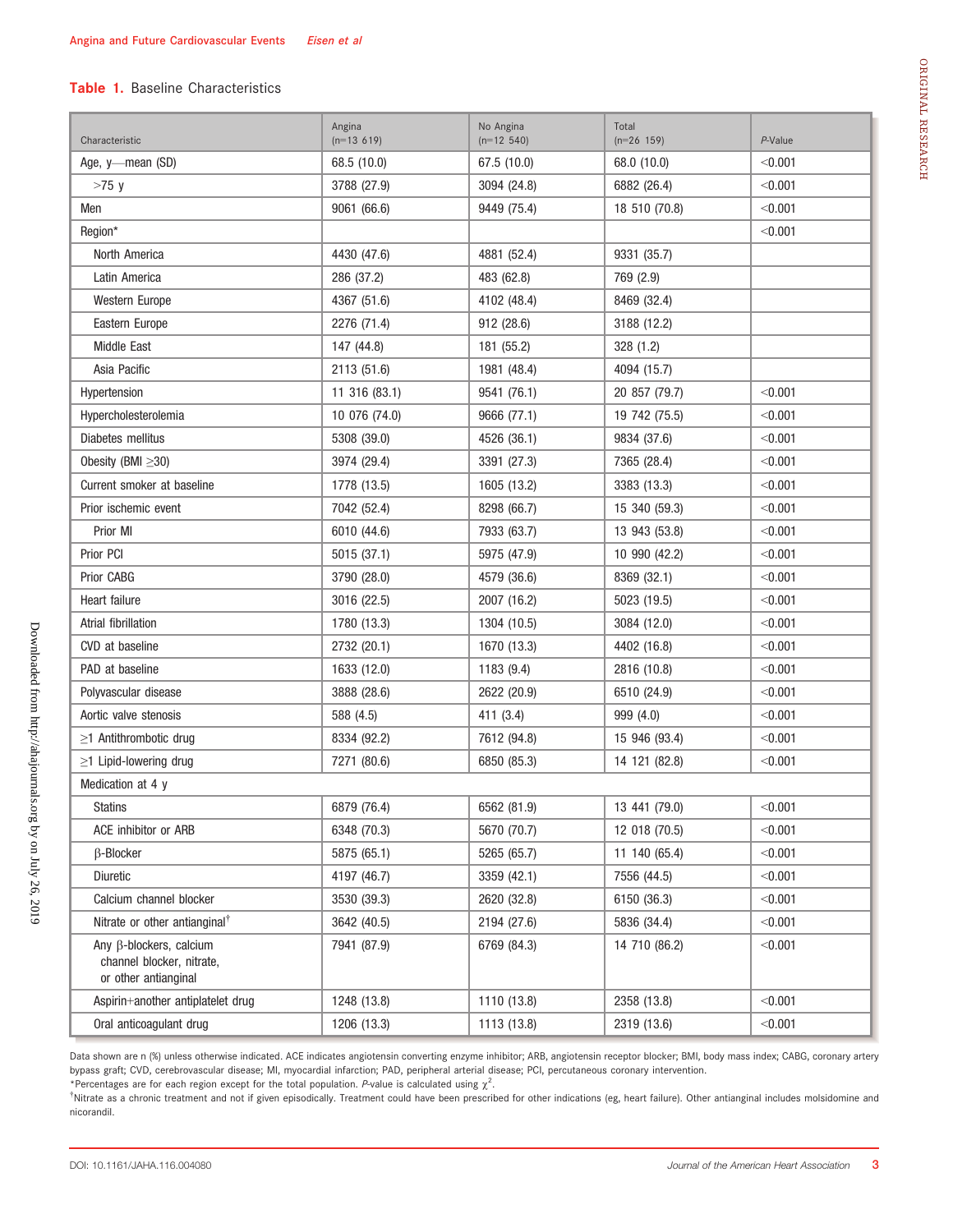## Table 1. Baseline Characteristics

| Characteristic                                       | Angina<br>$(n=13 619)$ | No Angina<br>$(n=12 540)$ | Total<br>$(n=26 159)$ | P-Value |
|------------------------------------------------------|------------------------|---------------------------|-----------------------|---------|
| Age, y-mean (SD)                                     | 68.5 (10.0)            | 67.5 (10.0)               | 68.0 (10.0)           | < 0.001 |
| $>75$ y                                              | 3788 (27.9)            | 3094 (24.8)               | 6882 (26.4)           | < 0.001 |
| Men                                                  | 9061 (66.6)            | 9449 (75.4)               | 18 510 (70.8)         | < 0.001 |
| Region*                                              |                        |                           |                       | < 0.001 |
| North America                                        | 4430 (47.6)            | 4881 (52.4)               | 9331 (35.7)           |         |
| Latin America                                        | 286 (37.2)             | 483 (62.8)                | 769 (2.9)             |         |
| Western Europe                                       | 4367 (51.6)            | 4102 (48.4)               | 8469 (32.4)           |         |
| Eastern Europe                                       | 2276 (71.4)            | 912 (28.6)                | 3188 (12.2)           |         |
| Middle East                                          | 147 (44.8)             | 181 (55.2)                | 328 (1.2)             |         |
| Asia Pacific                                         | 2113 (51.6)            | 1981 (48.4)               | 4094 (15.7)           |         |
| Hypertension                                         | 11 316 (83.1)          | 9541 (76.1)               | 20 857 (79.7)         | < 0.001 |
| Hypercholesterolemia                                 | 10 076 (74.0)          | 9666 (77.1)               | 19 742 (75.5)         | < 0.001 |
| Diabetes mellitus                                    | 5308 (39.0)            | 4526 (36.1)               | 9834 (37.6)           | < 0.001 |
| Obesity (BMI $\geq$ 30)                              | 3974 (29.4)            | 3391 (27.3)               | 7365 (28.4)           | < 0.001 |
| Current smoker at baseline                           | 1778 (13.5)            | 1605 (13.2)               | 3383 (13.3)           | < 0.001 |
| Prior ischemic event                                 | 7042 (52.4)            | 8298 (66.7)               | 15 340 (59.3)         | < 0.001 |
| Prior MI                                             | 6010 (44.6)            | 7933 (63.7)               | 13 943 (53.8)         | < 0.001 |
| Prior PCI                                            | 5015 (37.1)            | 5975 (47.9)               | 10 990 (42.2)         | < 0.001 |
| Prior CABG                                           | 3790 (28.0)            | 4579 (36.6)               | 8369 (32.1)           | < 0.001 |
| Heart failure                                        | 3016 (22.5)            | 2007 (16.2)               | 5023 (19.5)           | < 0.001 |
| Atrial fibrillation                                  | 1780 (13.3)            | 1304 (10.5)               | 3084 (12.0)           | < 0.001 |
| CVD at baseline                                      | 2732 (20.1)            | 1670 (13.3)               | 4402 (16.8)           | < 0.001 |
| PAD at baseline                                      | 1633 (12.0)            | 1183 (9.4)                | 2816 (10.8)           | < 0.001 |
| Polyvascular disease                                 | 3888 (28.6)            | 2622 (20.9)               | 6510 (24.9)           | < 0.001 |
| Aortic valve stenosis                                | 588 (4.5)              | 411 (3.4)                 | 999 (4.0)             | < 0.001 |
| $\geq$ 1 Antithrombotic drug                         | 8334 (92.2)            | 7612 (94.8)               | 15 946 (93.4)         | < 0.001 |
| $\geq$ 1 Lipid-lowering drug                         | 7271 (80.6)            | 6850 (85.3)               | 14 121 (82.8)         | < 0.001 |
| Medication at 4 y                                    |                        |                           |                       |         |
| <b>Statins</b>                                       | 6879 (76.4)            | 6562 (81.9)               | 13 441 (79.0)         | < 0.001 |
| ACE inhibitor or ARB                                 | 6348 (70.3)            | 5670 (70.7)               | 12 018 (70.5)         | < 0.001 |
| <b>B-Blocker</b>                                     | 5875 (65.1)            | 5265 (65.7)               | 11 140 (65.4)         | < 0.001 |
| Diuretic                                             | 4197 (46.7)            | 3359 (42.1)               | 7556 (44.5)           | < 0.001 |
| Calcium channel blocker                              | 3530 (39.3)            | 2620 (32.8)               | 6150 (36.3)           | < 0.001 |
| Nitrate or other antianginal <sup>†</sup>            | 3642 (40.5)            | 2194 (27.6)               | 5836 (34.4)           | < 0.001 |
| Any ß-blockers, calcium<br>channel blocker, nitrate. | 7941 (87.9)            | 6769 (84.3)               | 14 710 (86.2)         | < 0.001 |
| or other antianginal                                 |                        |                           |                       |         |
| Aspirin+another antiplatelet drug                    | 1248 (13.8)            | 1110 (13.8)               | 2358 (13.8)           | < 0.001 |
| Oral anticoagulant drug                              | 1206 (13.3)            | 1113 (13.8)               | 2319 (13.6)           | < 0.001 |

Data shown are n (%) unless otherwise indicated. ACE indicates angiotensin converting enzyme inhibitor; ARB, angiotensin receptor blocker; BMI, body mass index; CABG, coronary artery bypass graft; CVD, cerebrovascular disease; MI, myocardial infarction; PAD, peripheral arterial disease; PCI, percutaneous coronary intervention.

\*Percentages are for each region except for the total population. P-value is calculated using  $\chi^2$ .

† Nitrate as a chronic treatment and not if given episodically. Treatment could have been prescribed for other indications (eg, heart failure). Other antianginal includes molsidomine and nicorandil.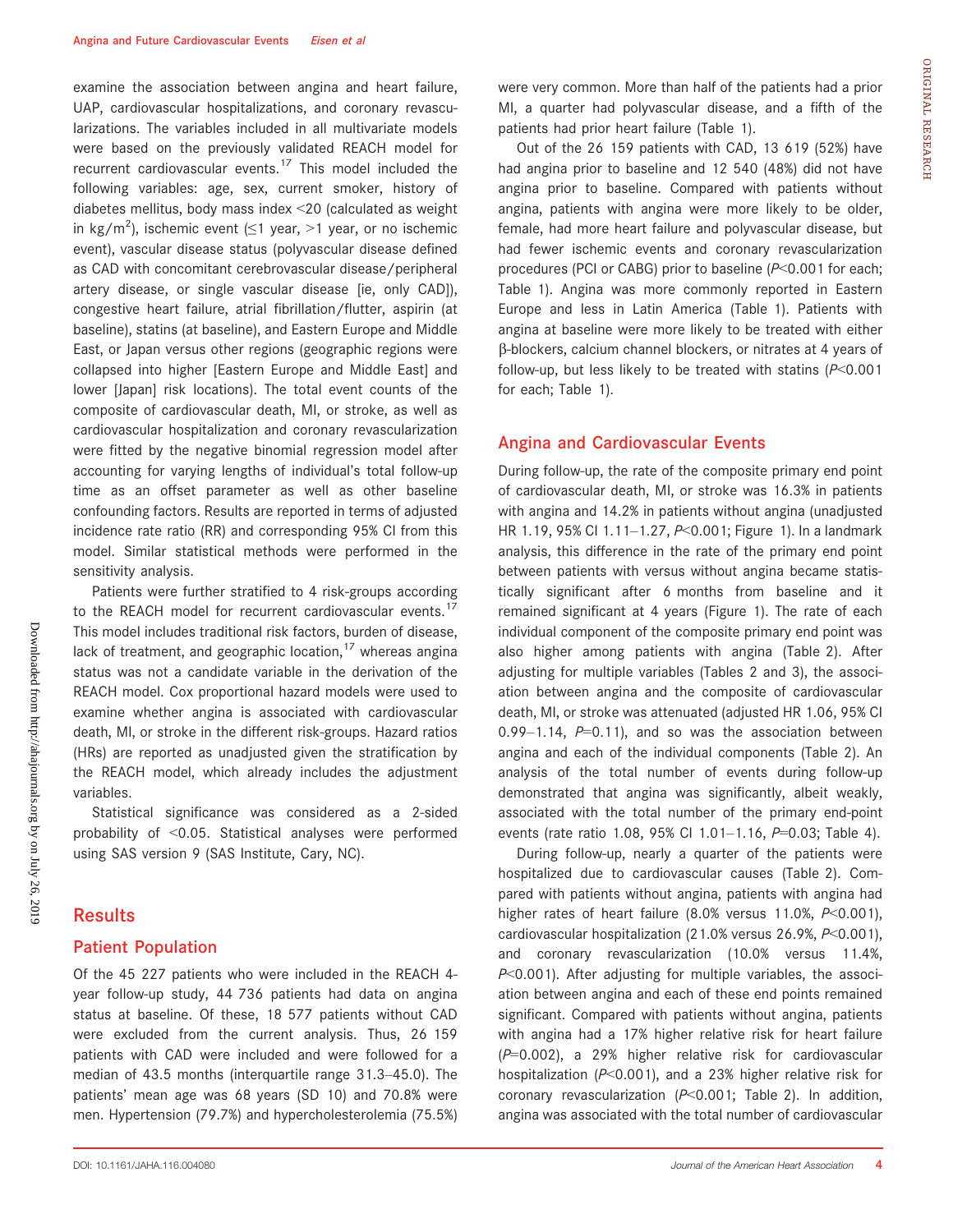examine the association between angina and heart failure, UAP, cardiovascular hospitalizations, and coronary revascularizations. The variables included in all multivariate models were based on the previously validated REACH model for recurrent cardiovascular events.<sup>17</sup> This model included the following variables: age, sex, current smoker, history of diabetes mellitus, body mass index <20 (calculated as weight in kg/m<sup>2</sup>), ischemic event (≤1 year, >1 year, or no ischemic event), vascular disease status (polyvascular disease defined as CAD with concomitant cerebrovascular disease/peripheral artery disease, or single vascular disease [ie, only CAD]), congestive heart failure, atrial fibrillation/flutter, aspirin (at baseline), statins (at baseline), and Eastern Europe and Middle East, or Japan versus other regions (geographic regions were collapsed into higher [Eastern Europe and Middle East] and lower [Japan] risk locations). The total event counts of the composite of cardiovascular death, MI, or stroke, as well as cardiovascular hospitalization and coronary revascularization were fitted by the negative binomial regression model after accounting for varying lengths of individual's total follow-up time as an offset parameter as well as other baseline confounding factors. Results are reported in terms of adjusted incidence rate ratio (RR) and corresponding 95% CI from this model. Similar statistical methods were performed in the sensitivity analysis.

Patients were further stratified to 4 risk-groups according to the REACH model for recurrent cardiovascular events.<sup>17</sup> This model includes traditional risk factors, burden of disease, lack of treatment, and geographic location,  $17$  whereas angina status was not a candidate variable in the derivation of the REACH model. Cox proportional hazard models were used to examine whether angina is associated with cardiovascular death, MI, or stroke in the different risk-groups. Hazard ratios (HRs) are reported as unadjusted given the stratification by the REACH model, which already includes the adjustment variables.

Statistical significance was considered as a 2-sided probability of <0.05. Statistical analyses were performed using SAS version 9 (SAS Institute, Cary, NC).

## **Results**

## Patient Population

Of the 45 227 patients who were included in the REACH 4 year follow-up study, 44 736 patients had data on angina status at baseline. Of these, 18 577 patients without CAD were excluded from the current analysis. Thus, 26 159 patients with CAD were included and were followed for a median of 43.5 months (interquartile range 31.3–45.0). The patients' mean age was 68 years (SD 10) and 70.8% were men. Hypertension (79.7%) and hypercholesterolemia (75.5%) were very common. More than half of the patients had a prior MI, a quarter had polyvascular disease, and a fifth of the patients had prior heart failure (Table 1).

Out of the 26 159 patients with CAD, 13 619 (52%) have had angina prior to baseline and 12 540 (48%) did not have angina prior to baseline. Compared with patients without angina, patients with angina were more likely to be older, female, had more heart failure and polyvascular disease, but had fewer ischemic events and coronary revascularization procedures (PCI or CABG) prior to baseline (P<0.001 for each; Table 1). Angina was more commonly reported in Eastern Europe and less in Latin America (Table 1). Patients with angina at baseline were more likely to be treated with either b-blockers, calcium channel blockers, or nitrates at 4 years of follow-up, but less likely to be treated with statins  $(P<0.001$ for each; Table 1).

#### Angina and Cardiovascular Events

During follow-up, the rate of the composite primary end point of cardiovascular death, MI, or stroke was 16.3% in patients with angina and 14.2% in patients without angina (unadjusted HR 1.19, 95% CI 1.11–1.27, P<0.001; Figure 1). In a landmark analysis, this difference in the rate of the primary end point between patients with versus without angina became statistically significant after 6 months from baseline and it remained significant at 4 years (Figure 1). The rate of each individual component of the composite primary end point was also higher among patients with angina (Table 2). After adjusting for multiple variables (Tables 2 and 3), the association between angina and the composite of cardiovascular death, MI, or stroke was attenuated (adjusted HR 1.06, 95% CI 0.99–1.14,  $P=0.11$ ), and so was the association between angina and each of the individual components (Table 2). An analysis of the total number of events during follow-up demonstrated that angina was significantly, albeit weakly, associated with the total number of the primary end-point events (rate ratio 1.08, 95% CI 1.01–1.16,  $P=0.03$ ; Table 4).

During follow-up, nearly a quarter of the patients were hospitalized due to cardiovascular causes (Table 2). Compared with patients without angina, patients with angina had higher rates of heart failure (8.0% versus 11.0%,  $P<0.001$ ), cardiovascular hospitalization (21.0% versus 26.9%, P<0.001), and coronary revascularization (10.0% versus 11.4%,  $P<0.001$ ). After adjusting for multiple variables, the association between angina and each of these end points remained significant. Compared with patients without angina, patients with angina had a 17% higher relative risk for heart failure  $(P=0.002)$ , a 29% higher relative risk for cardiovascular hospitalization (P<0.001), and a 23% higher relative risk for coronary revascularization ( $P<0.001$ ; Table 2). In addition, angina was associated with the total number of cardiovascular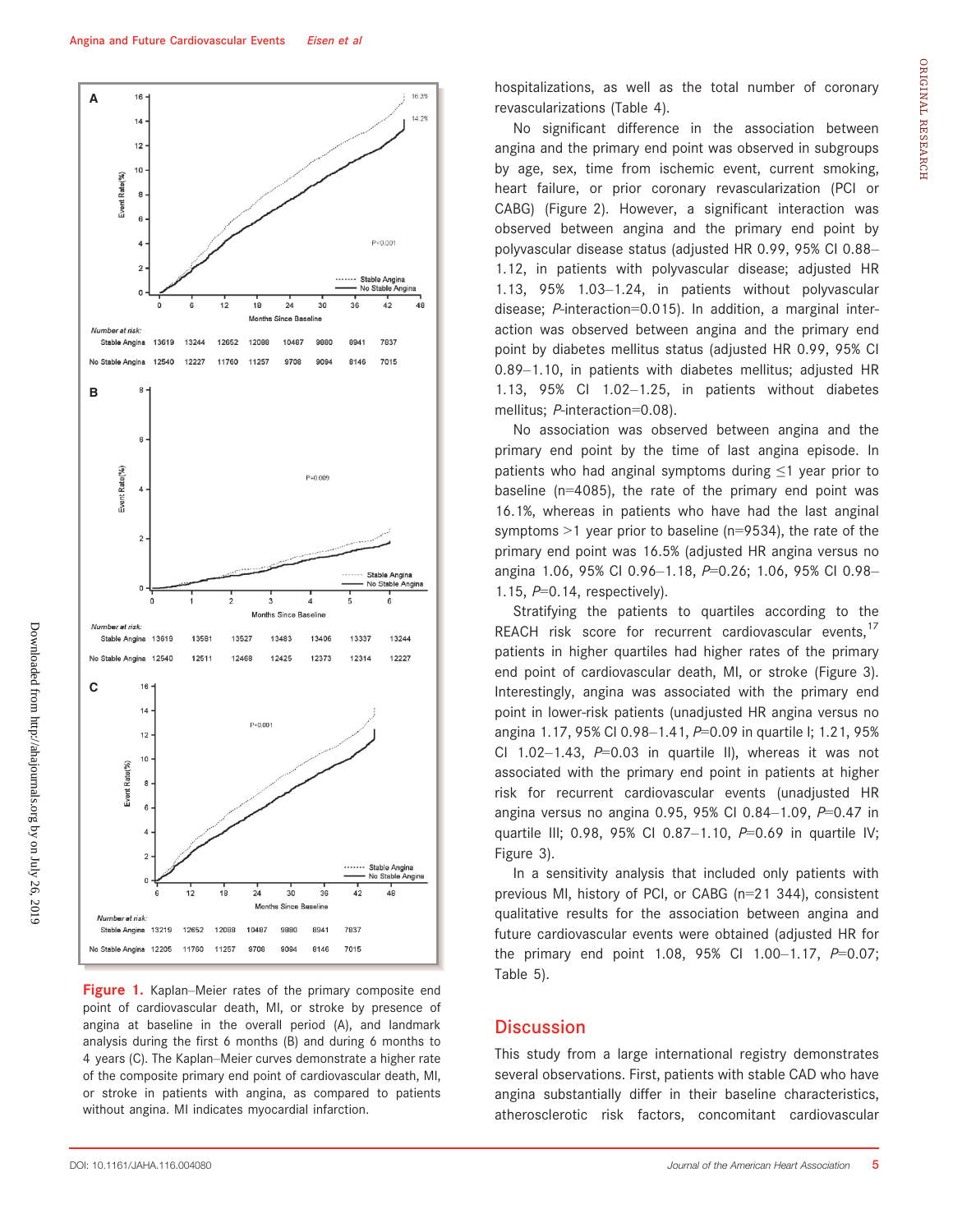

Figure 1. Kaplan–Meier rates of the primary composite end point of cardiovascular death, MI, or stroke by presence of angina at baseline in the overall period (A), and landmark analysis during the first 6 months (B) and during 6 months to 4 years (C). The Kaplan–Meier curves demonstrate a higher rate of the composite primary end point of cardiovascular death, MI, or stroke in patients with angina, as compared to patients without angina. MI indicates myocardial infarction.

hospitalizations, as well as the total number of coronary revascularizations (Table 4).

No significant difference in the association between angina and the primary end point was observed in subgroups by age, sex, time from ischemic event, current smoking, heart failure, or prior coronary revascularization (PCI or CABG) (Figure 2). However, a significant interaction was observed between angina and the primary end point by polyvascular disease status (adjusted HR 0.99, 95% CI 0.88– 1.12, in patients with polyvascular disease; adjusted HR 1.13, 95% 1.03–1.24, in patients without polyvascular disease; P-interaction=0.015). In addition, a marginal interaction was observed between angina and the primary end point by diabetes mellitus status (adjusted HR 0.99, 95% CI 0.89–1.10, in patients with diabetes mellitus; adjusted HR 1.13, 95% CI 1.02–1.25, in patients without diabetes mellitus; P-interaction=0.08).

No association was observed between angina and the primary end point by the time of last angina episode. In patients who had anginal symptoms during ≤1 year prior to baseline (n=4085), the rate of the primary end point was 16.1%, whereas in patients who have had the last anginal symptoms  $>1$  year prior to baseline (n=9534), the rate of the primary end point was 16.5% (adjusted HR angina versus no angina 1.06, 95% CI 0.96–1.18, P=0.26; 1.06, 95% CI 0.98– 1.15,  $P=0.14$ , respectively).

Stratifying the patients to quartiles according to the REACH risk score for recurrent cardiovascular events,<sup>17</sup> patients in higher quartiles had higher rates of the primary end point of cardiovascular death, MI, or stroke (Figure 3). Interestingly, angina was associated with the primary end point in lower-risk patients (unadjusted HR angina versus no angina 1.17, 95% CI 0.98-1.41, P=0.09 in quartile I; 1.21, 95% CI 1.02-1.43,  $P=0.03$  in quartile II), whereas it was not associated with the primary end point in patients at higher risk for recurrent cardiovascular events (unadjusted HR angina versus no angina 0.95, 95% CI 0.84-1.09,  $P=0.47$  in quartile III; 0.98, 95% CI 0.87-1.10,  $P=0.69$  in quartile IV; Figure 3).

In a sensitivity analysis that included only patients with previous MI, history of PCI, or CABG (n=21 344), consistent qualitative results for the association between angina and future cardiovascular events were obtained (adjusted HR for the primary end point 1.08, 95% CI 1.00-1.17,  $P=0.07$ ; Table 5).

## **Discussion**

This study from a large international registry demonstrates several observations. First, patients with stable CAD who have angina substantially differ in their baseline characteristics, atherosclerotic risk factors, concomitant cardiovascular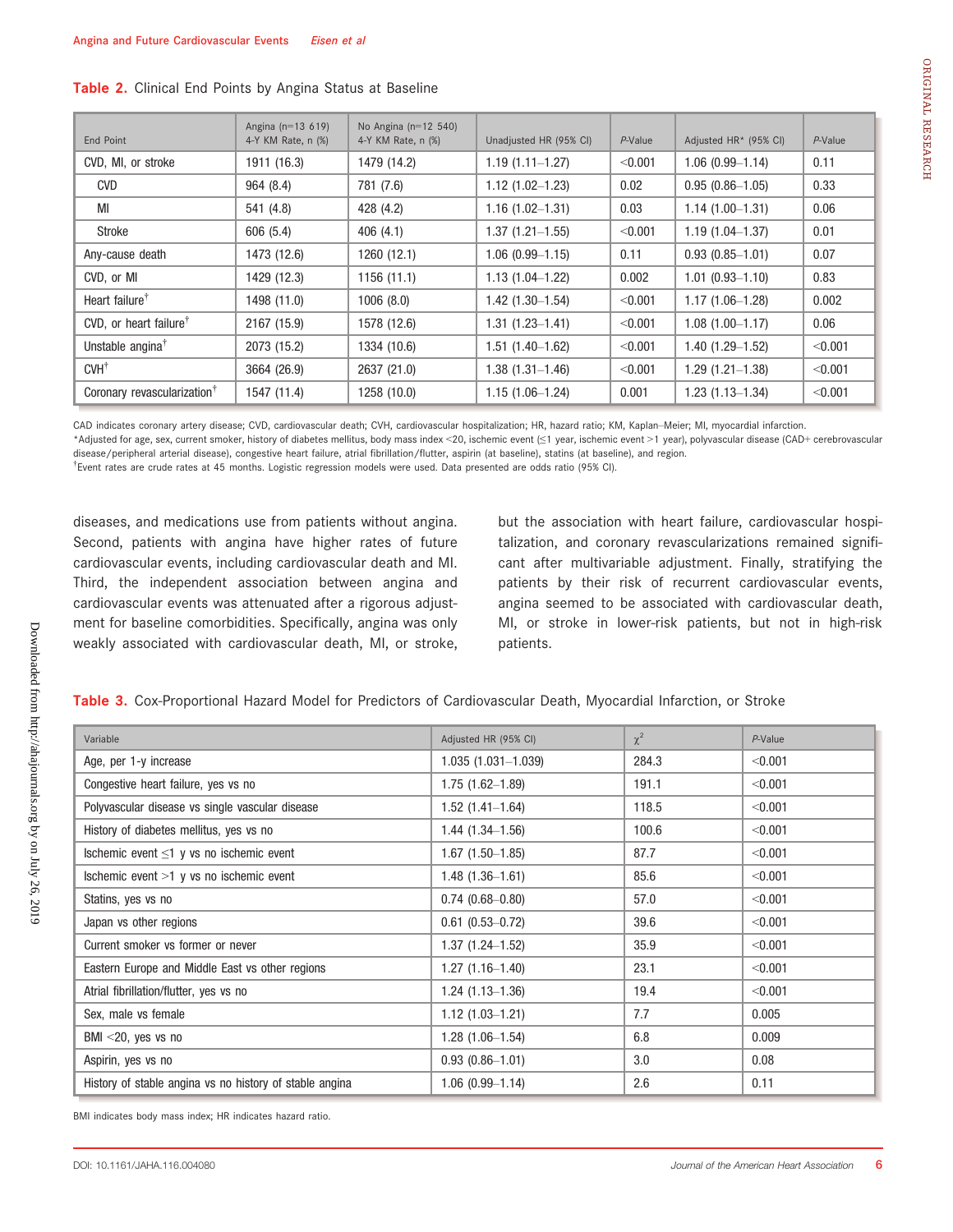| Table 2. Clinical End Points by Angina Status at Baseline |  |  |  |
|-----------------------------------------------------------|--|--|--|
|-----------------------------------------------------------|--|--|--|

| End Point                                             | Angina ( $n=13$ 619)<br>4-Y KM Rate, n (%) | No Angina $(n=12, 540)$<br>4-Y KM Rate, n (%) | Unadjusted HR (95% CI) | $P-Value$ | Adjusted HR* (95% CI) | $P-Value$ |
|-------------------------------------------------------|--------------------------------------------|-----------------------------------------------|------------------------|-----------|-----------------------|-----------|
| CVD, MI, or stroke                                    | 1911 (16.3)                                | 1479 (14.2)                                   | $1.19(1.11 - 1.27)$    | < 0.001   | $1.06(0.99 - 1.14)$   | 0.11      |
| <b>CVD</b>                                            | 964 (8.4)                                  | 781 (7.6)                                     | $1.12(1.02 - 1.23)$    | 0.02      | $0.95(0.86 - 1.05)$   | 0.33      |
| MI                                                    | 541 (4.8)                                  | 428 (4.2)                                     | $1.16(1.02 - 1.31)$    | 0.03      | $1.14(1.00-1.31)$     | 0.06      |
| Stroke                                                | 606 (5.4)                                  | 406(4.1)                                      | $1.37(1.21 - 1.55)$    | < 0.001   | $1.19(1.04 - 1.37)$   | 0.01      |
| Any-cause death                                       | 1473 (12.6)                                | 1260(12.1)                                    | $1.06(0.99 - 1.15)$    | 0.11      | $0.93(0.85 - 1.01)$   | 0.07      |
| CVD, or MI                                            | 1429 (12.3)                                | 1156(11.1)                                    | $1.13(1.04 - 1.22)$    | 0.002     | $1.01(0.93 - 1.10)$   | 0.83      |
| Heart failure <sup>†</sup>                            | 1498 (11.0)                                | 1006(8.0)                                     | $1.42(1.30-1.54)$      | < 0.001   | $1.17(1.06 - 1.28)$   | 0.002     |
| CVD, or heart failure <sup><math>\dagger</math></sup> | 2167 (15.9)                                | 1578 (12.6)                                   | $1.31(1.23 - 1.41)$    | < 0.001   | $1.08(1.00 - 1.17)$   | 0.06      |
| Unstable angina <sup>†</sup>                          | 2073 (15.2)                                | 1334 (10.6)                                   | $1.51(1.40-1.62)$      | < 0.001   | $1.40(1.29 - 1.52)$   | < 0.001   |
| $CVH^{\dagger}$                                       | 3664 (26.9)                                | 2637 (21.0)                                   | $1.38(1.31 - 1.46)$    | < 0.001   | $1.29(1.21 - 1.38)$   | < 0.001   |
| Coronary revascularization <sup>T</sup>               | 1547 (11.4)                                | 1258 (10.0)                                   | $1.15(1.06 - 1.24)$    | 0.001     | $1.23(1.13 - 1.34)$   | < 0.001   |

CAD indicates coronary artery disease; CVD, cardiovascular death; CVH, cardiovascular hospitalization; HR, hazard ratio; KM, Kaplan–Meier; MI, myocardial infarction.

\*Adjusted for age, sex, current smoker, history of diabetes mellitus, body mass index <20, ischemic event (≤1 year, ischemic event >1 year), polyvascular disease (CAD+ cerebrovascular disease/peripheral arterial disease), congestive heart failure, atrial fibrillation/flutter, aspirin (at baseline), statins (at baseline), and region. †

Event rates are crude rates at 45 months. Logistic regression models were used. Data presented are odds ratio (95% CI).

diseases, and medications use from patients without angina. Second, patients with angina have higher rates of future cardiovascular events, including cardiovascular death and MI. Third, the independent association between angina and cardiovascular events was attenuated after a rigorous adjustment for baseline comorbidities. Specifically, angina was only weakly associated with cardiovascular death, MI, or stroke, but the association with heart failure, cardiovascular hospitalization, and coronary revascularizations remained significant after multivariable adjustment. Finally, stratifying the patients by their risk of recurrent cardiovascular events, angina seemed to be associated with cardiovascular death, MI, or stroke in lower-risk patients, but not in high-risk patients.

| Variable                                                | Adjusted HR (95% CI)   | $\chi^2$ | $P-Value$ |
|---------------------------------------------------------|------------------------|----------|-----------|
| Age, per 1-y increase                                   | $1.035(1.031-1.039)$   | 284.3    | < 0.001   |
| Congestive heart failure, yes vs no                     | $1.75(1.62 - 1.89)$    | 191.1    | < 0.001   |
| Polyvascular disease vs single vascular disease         | $1.52(1.41 - 1.64)$    | 118.5    | < 0.001   |
| History of diabetes mellitus, yes vs no                 | $1.44(1.34 - 1.56)$    | 100.6    | < 0.001   |
| Ischemic event $\leq$ 1 y vs no ischemic event          | $1.67(1.50-1.85)$      | 87.7     | < 0.001   |
| Ischemic event $>1$ y vs no ischemic event              | $1.48(1.36 - 1.61)$    | 85.6     | < 0.001   |
| Statins, yes vs no                                      | $0.74(0.68 - 0.80)$    | 57.0     | < 0.001   |
| Japan vs other regions                                  | $0.61$ $(0.53 - 0.72)$ | 39.6     | < 0.001   |
| Current smoker vs former or never                       | $1.37(1.24 - 1.52)$    | 35.9     | < 0.001   |
| Eastern Europe and Middle East vs other regions         | $1.27(1.16 - 1.40)$    | 23.1     | < 0.001   |
| Atrial fibrillation/flutter, yes vs no                  | $1.24(1.13 - 1.36)$    | 19.4     | < 0.001   |
| Sex, male vs female                                     | $1.12(1.03 - 1.21)$    | 7.7      | 0.005     |
| BMI $<$ 20, yes vs no                                   | $1.28(1.06 - 1.54)$    | 6.8      | 0.009     |
| Aspirin, yes vs no                                      | $0.93(0.86 - 1.01)$    | 3.0      | 0.08      |
| History of stable angina vs no history of stable angina | $1.06(0.99 - 1.14)$    | 2.6      | 0.11      |

Table 3. Cox-Proportional Hazard Model for Predictors of Cardiovascular Death, Myocardial Infarction, or Stroke

BMI indicates body mass index; HR indicates hazard ratio.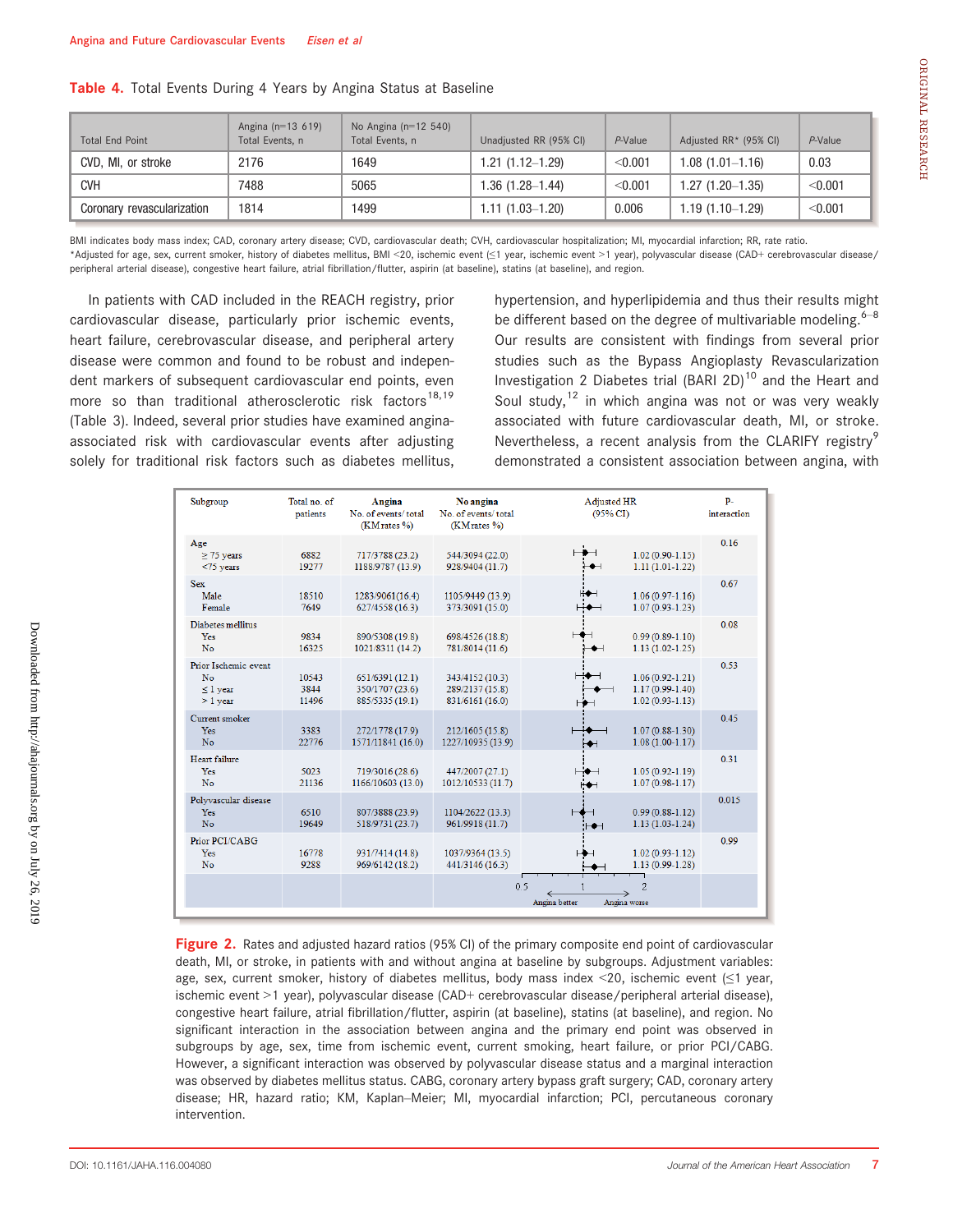| <b>Total End Point</b>     | Angina ( $n=13$ 619)<br>Total Events, n | No Angina ( $n=12$ 540)<br>Total Events, n | Unadjusted RR (95% CI) | $P-Value$ | Adjusted RR* (95% CI) | $P-Value$ |
|----------------------------|-----------------------------------------|--------------------------------------------|------------------------|-----------|-----------------------|-----------|
| CVD, MI, or stroke         | 2176                                    | 1649                                       | $1.21(1.12 - 1.29)$    | < 0.001   | $1.08(1.01 - 1.16)$   | 0.03      |
| <b>CVH</b>                 | 7488                                    | 5065                                       | $1.36(1.28 - 1.44)$    | < 0.001   | $1.27(1.20-1.35)$     | < 0.001   |
| Coronary revascularization | 1814                                    | 1499                                       | $1.11(1.03 - 1.20)$    | 0.006     | $1.19(1.10-1.29)$     | < 0.001   |

#### Table 4. Total Events During 4 Years by Angina Status at Baseline

BMI indicates body mass index; CAD, coronary artery disease; CVD, cardiovascular death; CVH, cardiovascular hospitalization; MI, myocardial infarction; RR, rate ratio. \*Adjusted for age, sex, current smoker, history of diabetes mellitus, BMI <20, ischemic event (≤1 year, ischemic event >1 year), polyvascular disease (CAD+ cerebrovascular disease/ peripheral arterial disease), congestive heart failure, atrial fibrillation/flutter, aspirin (at baseline), statins (at baseline), and region.

In patients with CAD included in the REACH registry, prior cardiovascular disease, particularly prior ischemic events, heart failure, cerebrovascular disease, and peripheral artery disease were common and found to be robust and independent markers of subsequent cardiovascular end points, even more so than traditional atherosclerotic risk factors<sup>18,19</sup> (Table 3). Indeed, several prior studies have examined anginaassociated risk with cardiovascular events after adjusting solely for traditional risk factors such as diabetes mellitus, hypertension, and hyperlipidemia and thus their results might be different based on the degree of multivariable modeling.  $6-8$ Our results are consistent with findings from several prior studies such as the Bypass Angioplasty Revascularization Investigation 2 Diabetes trial (BARI 2D)<sup>10</sup> and the Heart and Soul study, $12$  in which angina was not or was very weakly associated with future cardiovascular death, MI, or stroke. Nevertheless, a recent analysis from the CLARIFY registry<sup>9</sup> demonstrated a consistent association between angina, with

| Subgroup                                                             | Total no. of<br>patients                               | Angina<br>No. of events/total<br>(KM rates %)         | No angina<br>No. of events/total<br>(KM rates %)      | <b>Adjusted HR</b><br>$(95\% \text{ CI})$                                | $P -$<br>interaction |
|----------------------------------------------------------------------|--------------------------------------------------------|-------------------------------------------------------|-------------------------------------------------------|--------------------------------------------------------------------------|----------------------|
| Age<br>$\geq$ 75 years<br>$<$ 75 vears                               | 6882<br>19277                                          | 717/3788 (23.2)<br>1188/9787 (13.9)                   | 544/3094 (22.0)<br>928/9404 (11.7)                    | $1.02(0.90 - 1.15)$<br>$1.11(1.01-1.22)$                                 | 0.16                 |
| <b>Sex</b><br>Male<br>Female                                         | 18510<br>7649                                          | 1283/9061(16.4)<br>627/4558 (16.3)                    | 1105/9449 (13.9)<br>373/3091 (15.0)                   | ⊬<br>$1.06(0.97-1.16)$<br>$\mapsto$<br>$1.07(0.93 - 1.23)$               | 0.67                 |
| Diabetes mellitus<br>Yes<br>No                                       | 9834<br>16325                                          | 890/5308 (19.8)<br>1021/8311 (14.2)                   | 698/4526 (18.8)<br>781/8014 (11.6)                    | $0.99(0.89-1.10)$<br>$1.13(1.02-1.25)$                                   | 0.08                 |
| Prior Ischemic event<br>N <sub>o</sub><br>$\leq$ 1 year<br>$>1$ year | 10543<br>3844<br>11496                                 | 651/6391 (12.1)<br>350/1707 (23.6)<br>885/5335 (19.1) | 343/4152 (10.3)<br>289/2137 (15.8)<br>831/6161 (16.0) | $1.06(0.92 - 1.21)$<br>$1.17(0.99 - 1.40)$<br>$1.02(0.93 - 1.13)$<br>Н   | 0.53                 |
| Current smoker<br><b>Yes</b><br>No                                   | 3383<br>22776                                          | 272/1778 (17.9)<br>1571/11841 (16.0)                  | 212/1605 (15.8)<br>1227/10935 (13.9)                  | $1.07(0.88-1.30)$<br>$\overline{\phantom{a}}$<br>$1.08(1.00-1.17)$<br>Ю⊣ | 0.45                 |
| Heart failure<br>Yes<br>No                                           | 5023<br>21136                                          | 719/3016 (28.6)<br>1166/10603 (13.0)                  | 447/2007 (27.1)<br>1012/10533 (11.7)                  | $1.05(0.92 - 1.19)$<br>⊢⊷⊣<br>$1.07(0.98-1.17)$<br>⊬⊷                    | 0.31                 |
| Polyvascular disease<br>Yes<br>N <sub>o</sub>                        | 6510<br>19649                                          | 807/3888 (23.9)<br>518/9731 (23.7)                    | 1104/2622 (13.3)<br>961/9918 (11.7)                   | $0.99(0.88-1.12)$<br>$1.13(1.03-1.24)$<br>⊞⊷                             | 0.015                |
| Prior PCI/CABG<br>Yes<br>No                                          | 16778<br>9288                                          | 931/7414 (14.8)<br>969/6142 (18.2)                    | 1037/9364 (13.5)<br>441/3146 (16.3)                   | $1.02(0.93 - 1.12)$<br>$1.13(0.99 - 1.28)$                               | 0.99                 |
|                                                                      | 0.5<br>$\overline{2}$<br>Angina better<br>Angina worse |                                                       |                                                       |                                                                          |                      |

**Figure 2.** Rates and adjusted hazard ratios (95% CI) of the primary composite end point of cardiovascular death, MI, or stroke, in patients with and without angina at baseline by subgroups. Adjustment variables: age, sex, current smoker, history of diabetes mellitus, body mass index <20, ischemic event (≤1 year, ischemic event >1 year), polyvascular disease (CAD+ cerebrovascular disease/peripheral arterial disease), congestive heart failure, atrial fibrillation/flutter, aspirin (at baseline), statins (at baseline), and region. No significant interaction in the association between angina and the primary end point was observed in subgroups by age, sex, time from ischemic event, current smoking, heart failure, or prior PCI/CABG. However, a significant interaction was observed by polyvascular disease status and a marginal interaction was observed by diabetes mellitus status. CABG, coronary artery bypass graft surgery; CAD, coronary artery disease; HR, hazard ratio; KM, Kaplan–Meier; MI, myocardial infarction; PCI, percutaneous coronary intervention.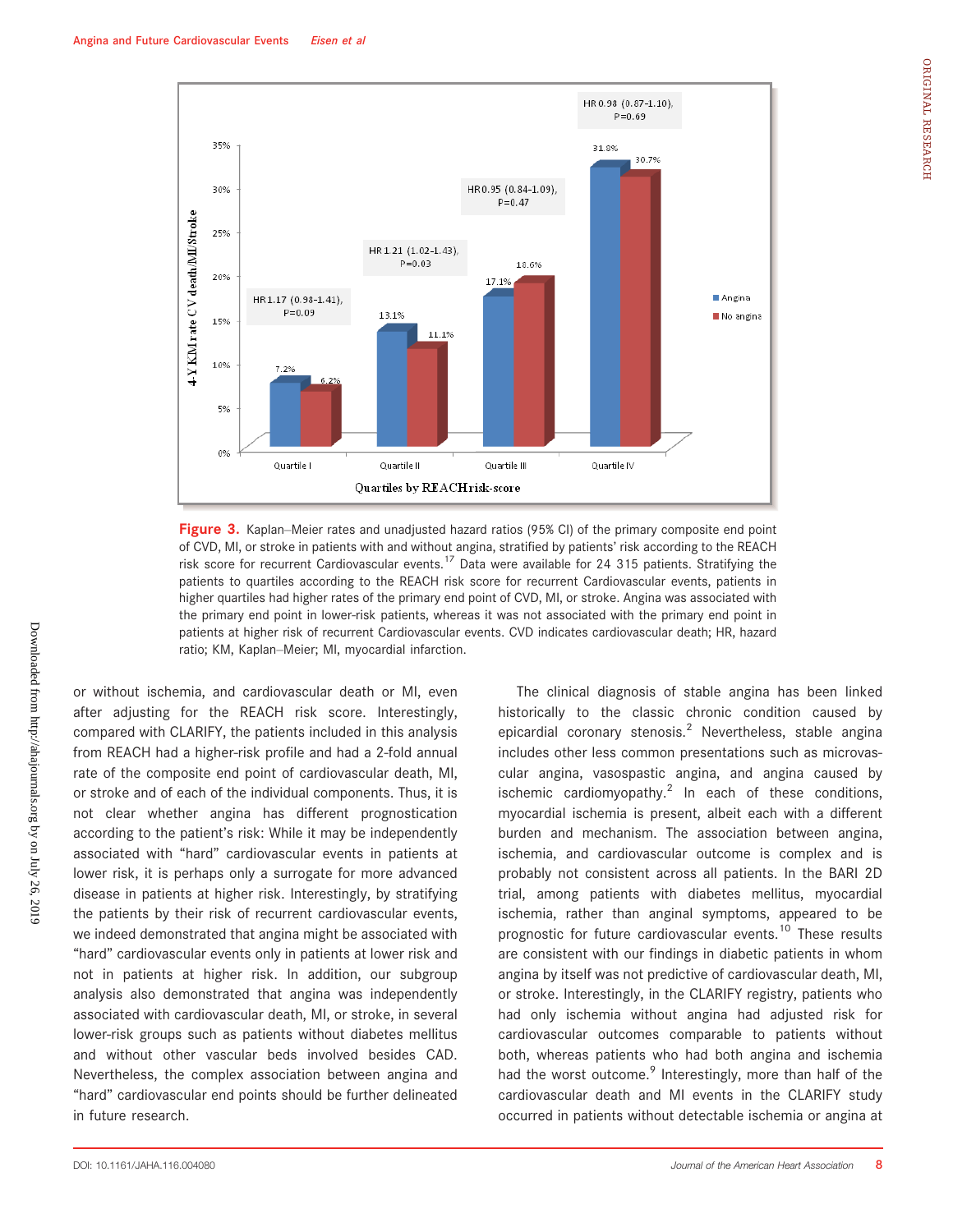

Figure 3. Kaplan–Meier rates and unadjusted hazard ratios (95% CI) of the primary composite end point of CVD, MI, or stroke in patients with and without angina, stratified by patients' risk according to the REACH risk score for recurrent Cardiovascular events.<sup>17</sup> Data were available for 24 315 patients. Stratifying the patients to quartiles according to the REACH risk score for recurrent Cardiovascular events, patients in higher quartiles had higher rates of the primary end point of CVD, MI, or stroke. Angina was associated with the primary end point in lower-risk patients, whereas it was not associated with the primary end point in patients at higher risk of recurrent Cardiovascular events. CVD indicates cardiovascular death; HR, hazard ratio; KM, Kaplan–Meier; MI, myocardial infarction.

or without ischemia, and cardiovascular death or MI, even after adjusting for the REACH risk score. Interestingly, compared with CLARIFY, the patients included in this analysis from REACH had a higher-risk profile and had a 2-fold annual rate of the composite end point of cardiovascular death, MI, or stroke and of each of the individual components. Thus, it is not clear whether angina has different prognostication according to the patient's risk: While it may be independently associated with "hard" cardiovascular events in patients at lower risk, it is perhaps only a surrogate for more advanced disease in patients at higher risk. Interestingly, by stratifying the patients by their risk of recurrent cardiovascular events, we indeed demonstrated that angina might be associated with "hard" cardiovascular events only in patients at lower risk and not in patients at higher risk. In addition, our subgroup analysis also demonstrated that angina was independently associated with cardiovascular death, MI, or stroke, in several lower-risk groups such as patients without diabetes mellitus and without other vascular beds involved besides CAD. Nevertheless, the complex association between angina and "hard" cardiovascular end points should be further delineated in future research.

The clinical diagnosis of stable angina has been linked historically to the classic chronic condition caused by epicardial coronary stenosis.<sup>2</sup> Nevertheless, stable angina includes other less common presentations such as microvascular angina, vasospastic angina, and angina caused by ischemic cardiomyopathy.<sup>2</sup> In each of these conditions, myocardial ischemia is present, albeit each with a different burden and mechanism. The association between angina, ischemia, and cardiovascular outcome is complex and is probably not consistent across all patients. In the BARI 2D trial, among patients with diabetes mellitus, myocardial ischemia, rather than anginal symptoms, appeared to be prognostic for future cardiovascular events.<sup>10</sup> These results are consistent with our findings in diabetic patients in whom angina by itself was not predictive of cardiovascular death, MI, or stroke. Interestingly, in the CLARIFY registry, patients who had only ischemia without angina had adjusted risk for cardiovascular outcomes comparable to patients without both, whereas patients who had both angina and ischemia had the worst outcome. $9$  Interestingly, more than half of the cardiovascular death and MI events in the CLARIFY study occurred in patients without detectable ischemia or angina at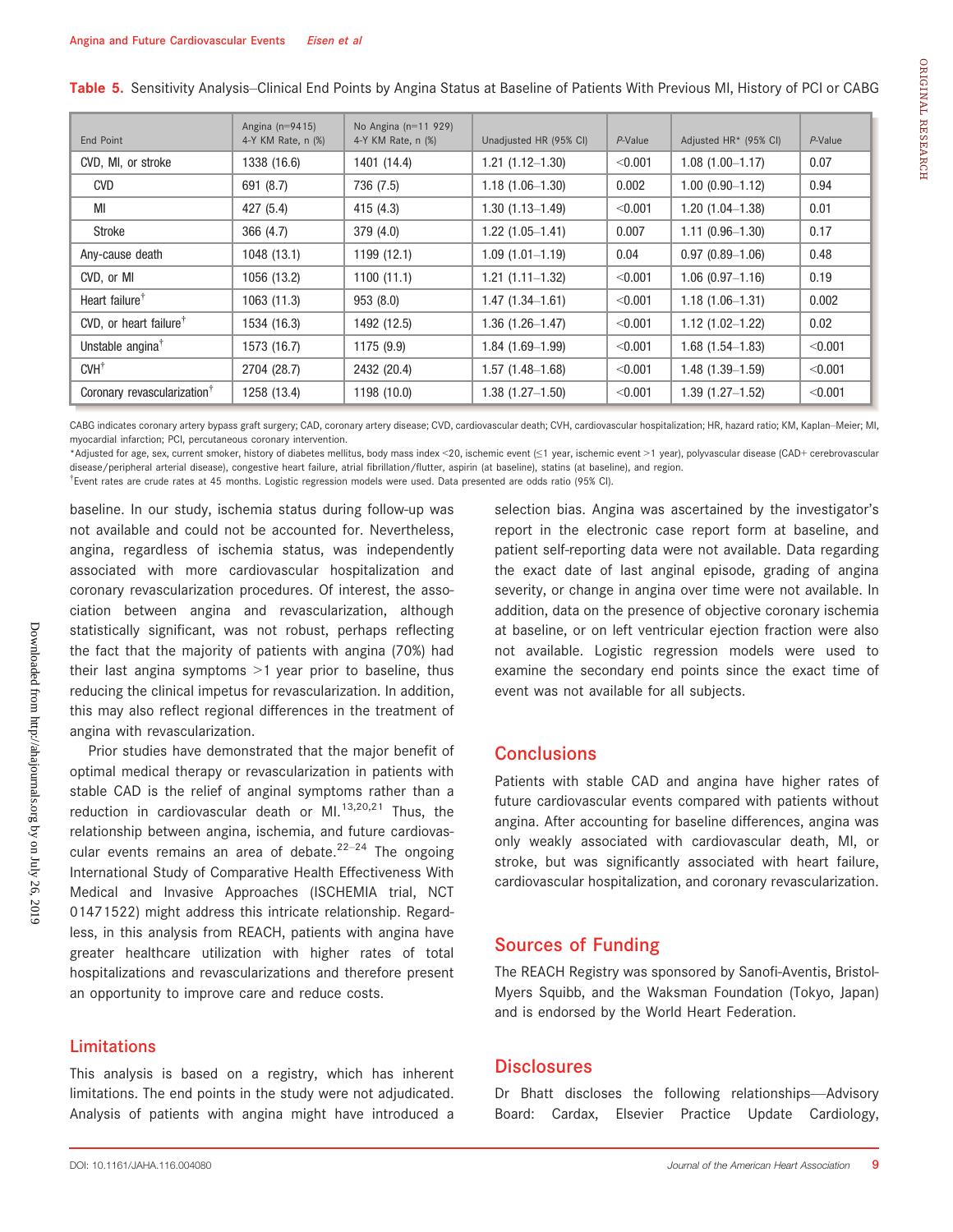| End Point                                             | Angina ( $n=9415$ )<br>4-Y KM Rate, n (%) | No Angina $(n=11 929)$<br>4-Y KM Rate, n (%) | Unadjusted HR (95% CI) | P-Value | Adjusted HR* (95% CI)  | $P-Value$ |
|-------------------------------------------------------|-------------------------------------------|----------------------------------------------|------------------------|---------|------------------------|-----------|
| CVD, MI, or stroke                                    | 1338 (16.6)                               | 1401 (14.4)                                  | $1.21(1.12 - 1.30)$    | < 0.001 | $1.08(1.00 - 1.17)$    | 0.07      |
| <b>CVD</b>                                            | 691 (8.7)                                 | 736 (7.5)                                    | $1.18(1.06 - 1.30)$    | 0.002   | $1.00$ $(0.90 - 1.12)$ | 0.94      |
| MI                                                    | 427 (5.4)                                 | 415 (4.3)                                    | 1.30 (1.13–1.49)       | < 0.001 | $1.20(1.04 - 1.38)$    | 0.01      |
| Stroke                                                | 366 (4.7)                                 | 379 (4.0)                                    | 1.22 (1.05-1.41)       | 0.007   | $1.11(0.96 - 1.30)$    | 0.17      |
| Any-cause death                                       | 1048 (13.1)                               | 1199 (12.1)                                  | $1.09(1.01 - 1.19)$    | 0.04    | $0.97(0.89 - 1.06)$    | 0.48      |
| CVD, or MI                                            | 1056 (13.2)                               | 1100(11.1)                                   | 1.21 (1.11–1.32)       | < 0.001 | $1.06$ $(0.97-1.16)$   | 0.19      |
| Heart failure <sup>†</sup>                            | 1063(11.3)                                | 953(8.0)                                     | $1.47(1.34 - 1.61)$    | < 0.001 | $1.18(1.06 - 1.31)$    | 0.002     |
| CVD, or heart failure <sup><math>\dagger</math></sup> | 1534 (16.3)                               | 1492 (12.5)                                  | 1.36 (1.26-1.47)       | < 0.001 | $1.12(1.02 - 1.22)$    | 0.02      |
| Unstable angina <sup>†</sup>                          | 1573 (16.7)                               | 1175 (9.9)                                   | 1.84 (1.69-1.99)       | < 0.001 | $1.68(1.54 - 1.83)$    | < 0.001   |
| $CVH^{\dagger}$                                       | 2704 (28.7)                               | 2432 (20.4)                                  | 1.57 (1.48-1.68)       | < 0.001 | $1.48(1.39 - 1.59)$    | < 0.001   |
| Coronary revascularization $\bar{r}$                  | 1258 (13.4)                               | 1198 (10.0)                                  | $1.38(1.27 - 1.50)$    | < 0.001 | $1.39(1.27 - 1.52)$    | < 0.001   |

Table 5. Sensitivity Analysis–Clinical End Points by Angina Status at Baseline of Patients With Previous MI, History of PCI or CABG

CABG indicates coronary artery bypass graft surgery; CAD, coronary artery disease; CVD, cardiovascular death; CVH, cardiovascular hospitalization; HR, hazard ratio; KM, Kaplan–Meier; MI, myocardial infarction; PCI, percutaneous coronary intervention.

\*Adjusted for age, sex, current smoker, history of diabetes mellitus, body mass index <20, ischemic event (≤1 year, ischemic event >1 year), polyvascular disease (CAD+ cerebrovascular disease/peripheral arterial disease), congestive heart failure, atrial fibrillation/flutter, aspirin (at baseline), statins (at baseline), and region. † Event rates are crude rates at 45 months. Logistic regression models were used. Data presented are odds ratio (95% CI).

baseline. In our study, ischemia status during follow-up was not available and could not be accounted for. Nevertheless, angina, regardless of ischemia status, was independently associated with more cardiovascular hospitalization and coronary revascularization procedures. Of interest, the association between angina and revascularization, although statistically significant, was not robust, perhaps reflecting the fact that the majority of patients with angina (70%) had their last angina symptoms >1 year prior to baseline, thus reducing the clinical impetus for revascularization. In addition, this may also reflect regional differences in the treatment of angina with revascularization.

Prior studies have demonstrated that the major benefit of optimal medical therapy or revascularization in patients with stable CAD is the relief of anginal symptoms rather than a reduction in cardiovascular death or MI.<sup>13,20,21</sup> Thus, the relationship between angina, ischemia, and future cardiovascular events remains an area of debate.<sup>22–24</sup> The ongoing International Study of Comparative Health Effectiveness With Medical and Invasive Approaches (ISCHEMIA trial, NCT 01471522) might address this intricate relationship. Regardless, in this analysis from REACH, patients with angina have greater healthcare utilization with higher rates of total hospitalizations and revascularizations and therefore present an opportunity to improve care and reduce costs.

### Limitations

This analysis is based on a registry, which has inherent limitations. The end points in the study were not adjudicated. Analysis of patients with angina might have introduced a selection bias. Angina was ascertained by the investigator's report in the electronic case report form at baseline, and patient self-reporting data were not available. Data regarding the exact date of last anginal episode, grading of angina severity, or change in angina over time were not available. In addition, data on the presence of objective coronary ischemia at baseline, or on left ventricular ejection fraction were also not available. Logistic regression models were used to examine the secondary end points since the exact time of event was not available for all subjects.

## **Conclusions**

Patients with stable CAD and angina have higher rates of future cardiovascular events compared with patients without angina. After accounting for baseline differences, angina was only weakly associated with cardiovascular death, MI, or stroke, but was significantly associated with heart failure, cardiovascular hospitalization, and coronary revascularization.

## Sources of Funding

The REACH Registry was sponsored by Sanofi-Aventis, Bristol-Myers Squibb, and the Waksman Foundation (Tokyo, Japan) and is endorsed by the World Heart Federation.

## **Disclosures**

Dr Bhatt discloses the following relationships—Advisory Board: Cardax, Elsevier Practice Update Cardiology,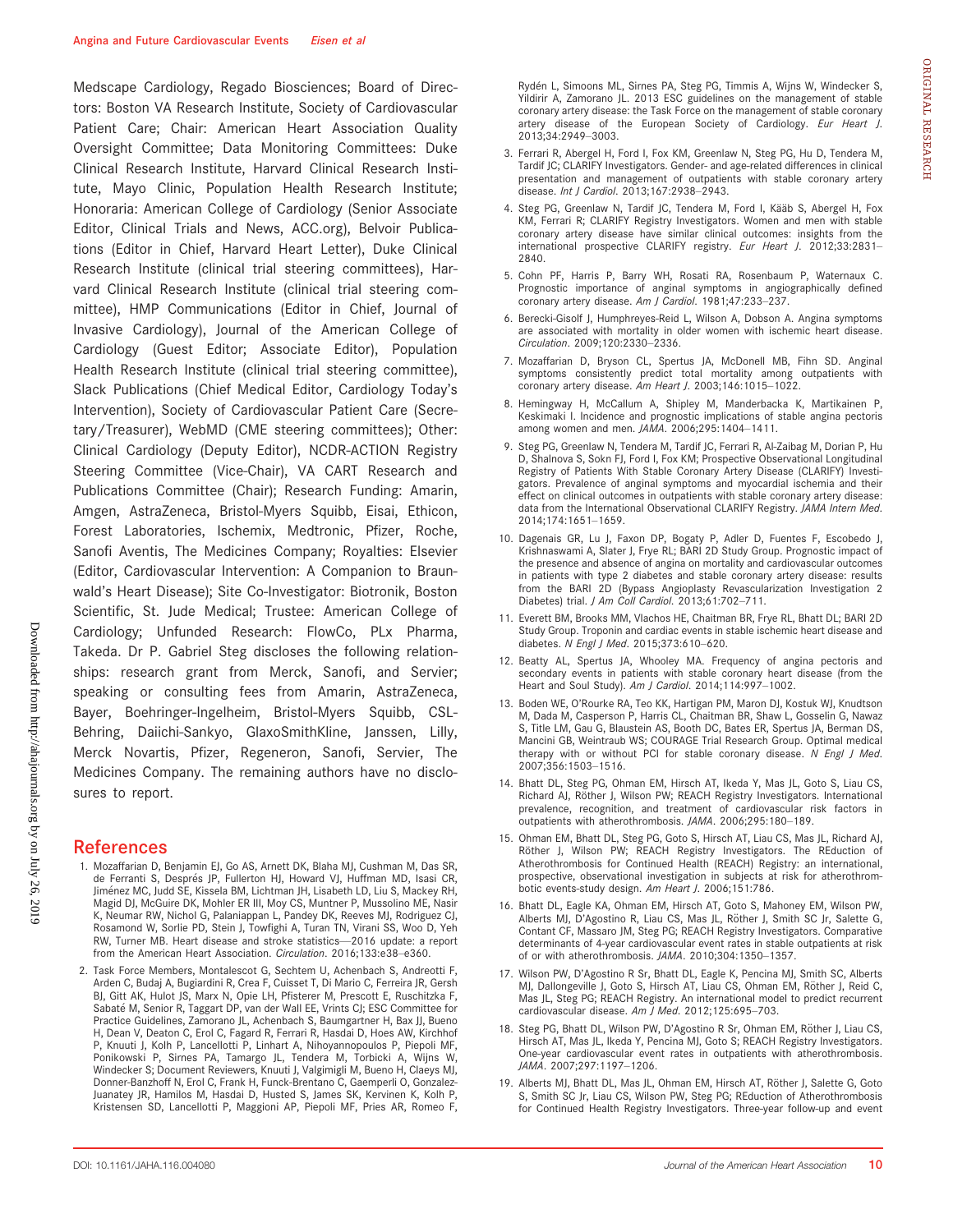Medscape Cardiology, Regado Biosciences; Board of Directors: Boston VA Research Institute, Society of Cardiovascular Patient Care; Chair: American Heart Association Quality Oversight Committee; Data Monitoring Committees: Duke Clinical Research Institute, Harvard Clinical Research Institute, Mayo Clinic, Population Health Research Institute; Honoraria: American College of Cardiology (Senior Associate Editor, Clinical Trials and News, ACC.org), Belvoir Publications (Editor in Chief, Harvard Heart Letter), Duke Clinical Research Institute (clinical trial steering committees), Harvard Clinical Research Institute (clinical trial steering committee), HMP Communications (Editor in Chief, Journal of Invasive Cardiology), Journal of the American College of Cardiology (Guest Editor; Associate Editor), Population Health Research Institute (clinical trial steering committee), Slack Publications (Chief Medical Editor, Cardiology Today's Intervention), Society of Cardiovascular Patient Care (Secretary/Treasurer), WebMD (CME steering committees); Other: Clinical Cardiology (Deputy Editor), NCDR-ACTION Registry Steering Committee (Vice-Chair), VA CART Research and Publications Committee (Chair); Research Funding: Amarin, Amgen, AstraZeneca, Bristol-Myers Squibb, Eisai, Ethicon, Forest Laboratories, Ischemix, Medtronic, Pfizer, Roche, Sanofi Aventis, The Medicines Company; Royalties: Elsevier (Editor, Cardiovascular Intervention: A Companion to Braunwald's Heart Disease); Site Co-Investigator: Biotronik, Boston Scientific, St. Jude Medical; Trustee: American College of Cardiology; Unfunded Research: FlowCo, PLx Pharma, Takeda. Dr P. Gabriel Steg discloses the following relationships: research grant from Merck, Sanofi, and Servier; speaking or consulting fees from Amarin, AstraZeneca, Bayer, Boehringer-Ingelheim, Bristol-Myers Squibb, CSL-Behring, Daiichi-Sankyo, GlaxoSmithKline, Janssen, Lilly, Merck Novartis, Pfizer, Regeneron, Sanofi, Servier, The Medicines Company. The remaining authors have no disclosures to report.

#### References

- 1. Mozaffarian D, Benjamin EJ, Go AS, Arnett DK, Blaha MJ, Cushman M, Das SR, de Ferranti S, Despres JP, Fullerton HJ, Howard VJ, Huffman MD, Isasi CR, Jimenez MC, Judd SE, Kissela BM, Lichtman JH, Lisabeth LD, Liu S, Mackey RH, Magid DJ, McGuire DK, Mohler ER III, Moy CS, Muntner P, Mussolino ME, Nasir K, Neumar RW, Nichol G, Palaniappan L, Pandey DK, Reeves MJ, Rodriguez CJ, Rosamond W, Sorlie PD, Stein J, Towfighi A, Turan TN, Virani SS, Woo D, Yeh RW, Turner MB. Heart disease and stroke statistics—2016 update: a report from the American Heart Association. Circulation. 2016;133:e38–e360.
- 2. Task Force Members, Montalescot G, Sechtem U, Achenbach S, Andreotti F, Arden C, Budaj A, Bugiardini R, Crea F, Cuisset T, Di Mario C, Ferreira JR, Gersh BJ, Gitt AK, Hulot JS, Marx N, Opie LH, Pfisterer M, Prescott E, Ruschitzka F, Sabate M, Senior R, Taggart DP, van der Wall EE, Vrints CJ; ESC Committee for Practice Guidelines, Zamorano JL, Achenbach S, Baumgartner H, Bax JJ, Bueno H, Dean V, Deaton C, Erol C, Fagard R, Ferrari R, Hasdai D, Hoes AW, Kirchhof P, Knuuti J, Kolh P, Lancellotti P, Linhart A, Nihoyannopoulos P, Piepoli MF, Ponikowski P, Sirnes PA, Tamargo JL, Tendera M, Torbicki A, Wijns W, Windecker S; Document Reviewers, Knuuti J, Valgimigli M, Bueno H, Claeys MJ, Donner-Banzhoff N, Erol C, Frank H, Funck-Brentano C, Gaemperli O, Gonzalez-Juanatey JR, Hamilos M, Hasdai D, Husted S, James SK, Kervinen K, Kolh P, Kristensen SD, Lancellotti P, Maggioni AP, Piepoli MF, Pries AR, Romeo F,

Rydén L, Simoons ML, Sirnes PA, Steg PG, Timmis A, Wijns W, Windecker S, Yildirir A, Zamorano JL. 2013 ESC guidelines on the management of stable coronary artery disease: the Task Force on the management of stable coronary artery disease of the European Society of Cardiology. Eur Heart J. 2013;34:2949–3003.

- 3. Ferrari R, Abergel H, Ford I, Fox KM, Greenlaw N, Steg PG, Hu D, Tendera M, Tardif JC; CLARIFY Investigators. Gender- and age-related differences in clinical presentation and management of outpatients with stable coronary artery disease. Int J Cardiol. 2013;167:2938–2943.
- 4. Steg PG, Greenlaw N, Tardif JC, Tendera M, Ford I, Kääb S, Abergel H, Fox KM, Ferrari R; CLARIFY Registry Investigators. Women and men with stable coronary artery disease have similar clinical outcomes: insights from the international prospective CLARIFY registry. Eur Heart J. 2012;33:2831-2840.
- 5. Cohn PF, Harris P, Barry WH, Rosati RA, Rosenbaum P, Waternaux C. Prognostic importance of anginal symptoms in angiographically defined<br>coronary artery disease. Am J Cardiol. 1981;47:233–237.
- 6. Berecki-Gisolf J, Humphreyes-Reid L, Wilson A, Dobson A. Angina symptoms are associated with mortality in older women with ischemic heart disease. Circulation. 2009;120:2330–2336.
- 7. Mozaffarian D, Bryson CL, Spertus JA, McDonell MB, Fihn SD. Anginal symptoms consistently predict total mortality among outpatients with coronary artery disease. Am Heart J. 2003;146:1015–1022.
- 8. Hemingway H, McCallum A, Shipley M, Manderbacka K, Martikainen P, Keskimaki I. Incidence and prognostic implications of stable angina pectoris among women and men. JAMA. 2006;295:1404–1411.
- 9. Steg PG, Greenlaw N, Tendera M, Tardif JC, Ferrari R, Al-Zaibag M, Dorian P, Hu D, Shalnova S, Sokn FJ, Ford I, Fox KM; Prospective Observational Longitudinal Registry of Patients With Stable Coronary Artery Disease (CLARIFY) Investigators. Prevalence of anginal symptoms and myocardial ischemia and their effect on clinical outcomes in outpatients with stable coronary artery disease: data from the International Observational CLARIFY Registry. JAMA Intern Med. 2014;174:1651–1659.
- 10. Dagenais GR, Lu J, Faxon DP, Bogaty P, Adler D, Fuentes F, Escobedo J, Krishnaswami A, Slater J, Frye RL; BARI 2D Study Group. Prognostic impact of the presence and absence of angina on mortality and cardiovascular outcomes in patients with type 2 diabetes and stable coronary artery disease: results from the BARI 2D (Bypass Angioplasty Revascularization Investigation 2 Diabetes) trial. J Am Coll Cardiol. 2013;61:702-711.
- 11. Everett BM, Brooks MM, Vlachos HE, Chaitman BR, Frye RL, Bhatt DL; BARI 2D Study Group. Troponin and cardiac events in stable ischemic heart disease and diabetes. N Engl J Med. 2015;373:610–620.
- 12. Beatty AL, Spertus JA, Whooley MA. Frequency of angina pectoris and secondary events in patients with stable coronary heart disease (from the<br>Heart and Soul Study). *Am J Cardiol*. 2014;114:997–1002.
- 13. Boden WE, O'Rourke RA, Teo KK, Hartigan PM, Maron DJ, Kostuk WJ, Knudtson M, Dada M, Casperson P, Harris CL, Chaitman BR, Shaw L, Gosselin G, Nawaz S, Title LM, Gau G, Blaustein AS, Booth DC, Bates ER, Spertus JA, Berman DS, Mancini GB, Weintraub WS; COURAGE Trial Research Group. Optimal medical therapy with or without PCI for stable coronary disease. N Engl J Med. 2007;356:1503–1516.
- 14. Bhatt DL, Steg PG, Ohman EM, Hirsch AT, Ikeda Y, Mas JL, Goto S, Liau CS, Richard AJ, Röther J, Wilson PW; REACH Registry Investigators. International prevalence, recognition, and treatment of cardiovascular risk factors in outpatients with atherothrombosis. JAMA. 2006;295:180–189.
- 15. Ohman EM, Bhatt DL, Steg PG, Goto S, Hirsch AT, Liau CS, Mas JL, Richard AJ, Röther J, Wilson PW; REACH Registry Investigators. The REduction of Atherothrombosis for Continued Health (REACH) Registry: an international, prospective, observational investigation in subjects at risk for atherothrombotic events-study design. Am Heart J. 2006;151:786.
- 16. Bhatt DL, Eagle KA, Ohman EM, Hirsch AT, Goto S, Mahoney EM, Wilson PW, Alberts MJ, D'Agostino R, Liau CS, Mas JL, Röther J, Smith SC Jr, Salette G, Contant CF, Massaro JM, Steg PG; REACH Registry Investigators. Comparative determinants of 4-year cardiovascular event rates in stable outpatients at risk of or with atherothrombosis. JAMA. 2010;304:1350–1357.
- 17. Wilson PW, D'Agostino R Sr, Bhatt DL, Eagle K, Pencina MJ, Smith SC, Alberts MJ, Dallongeville J, Goto S, Hirsch AT, Liau CS, Ohman EM, Röther J, Reid C, Mas JL, Steg PG; REACH Registry. An international model to predict recurrent cardiovascular disease. Am J Med. 2012;125:695-703.
- 18. Steg PG, Bhatt DL, Wilson PW, D'Agostino R Sr, Ohman EM, Röther J, Liau CS, Hirsch AT, Mas JL, Ikeda Y, Pencina MJ, Goto S; REACH Registry Investigators. One-year cardiovascular event rates in outpatients with atherothrombosis. JAMA. 2007;297:1197–1206.
- 19. Alberts MJ, Bhatt DL, Mas JL, Ohman EM, Hirsch AT, Röther J, Salette G, Goto S, Smith SC Jr, Liau CS, Wilson PW, Steg PG; REduction of Atherothrombosis for Continued Health Registry Investigators. Three-year follow-up and event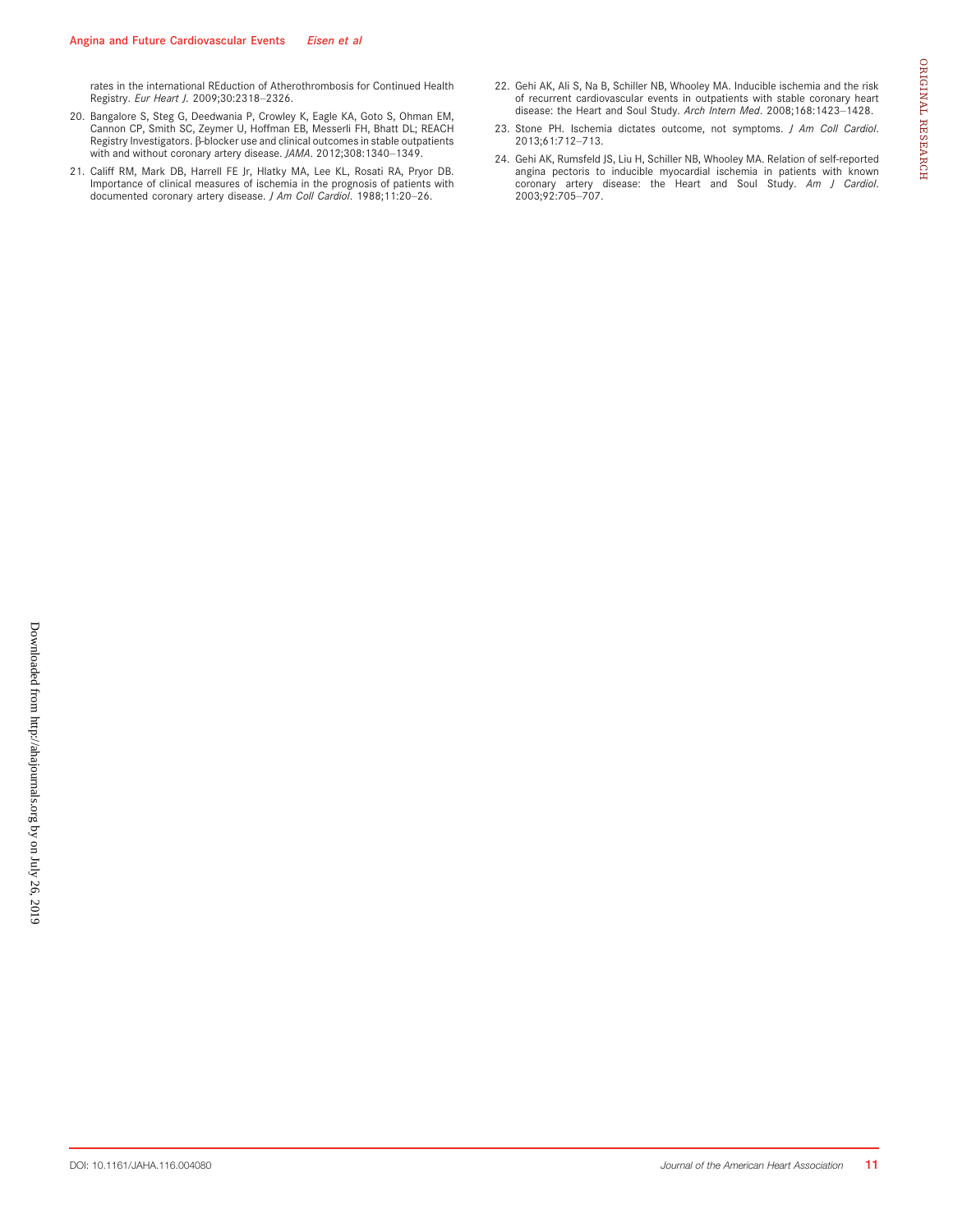rates in the international REduction of Atherothrombosis for Continued Health Registry. Eur Heart J. 2009;30:2318–2326.

- 20. Bangalore S, Steg G, Deedwania P, Crowley K, Eagle KA, Goto S, Ohman EM,<br>Cannon CP, Smith SC, Zeymer U, Hoffman EB, Messerli FH, Bhatt DL; REACH<br>Registry Investigators. β-blocker use and clinical outcomes in stable out with and without coronary artery disease. JAMA. 2012;308:1340–1349.
- 21. Califf RM, Mark DB, Harrell FE Jr, Hlatky MA, Lee KL, Rosati RA, Pryor DB. Importance of clinical measures of ischemia in the prognosis of patients with documented coronary artery disease. J Am Coll Cardiol. 1988;11:20–26.
- 22. Gehi AK, Ali S, Na B, Schiller NB, Whooley MA. Inducible ischemia and the risk of recurrent cardiovascular events in outpatients with stable coronary heart disease: the Heart and Soul Study. Arch Intern Med. 2008;168:1423–1428.
- 23. Stone PH. Ischemia dictates outcome, not symptoms. *J Am Coll Cardiol*.<br>2013;61:712–713.
- 24. Gehi AK, Rumsfeld JS, Liu H, Schiller NB, Whooley MA. Relation of self-reported angina pectoris to inducible myocardial ischemia in patients with known coronary artery disease: the Heart and Soul Study. Am J Cardiol. 2003;92:705–707.

ORIGINAL

RESEARCH

ORIGINAL RESEARCH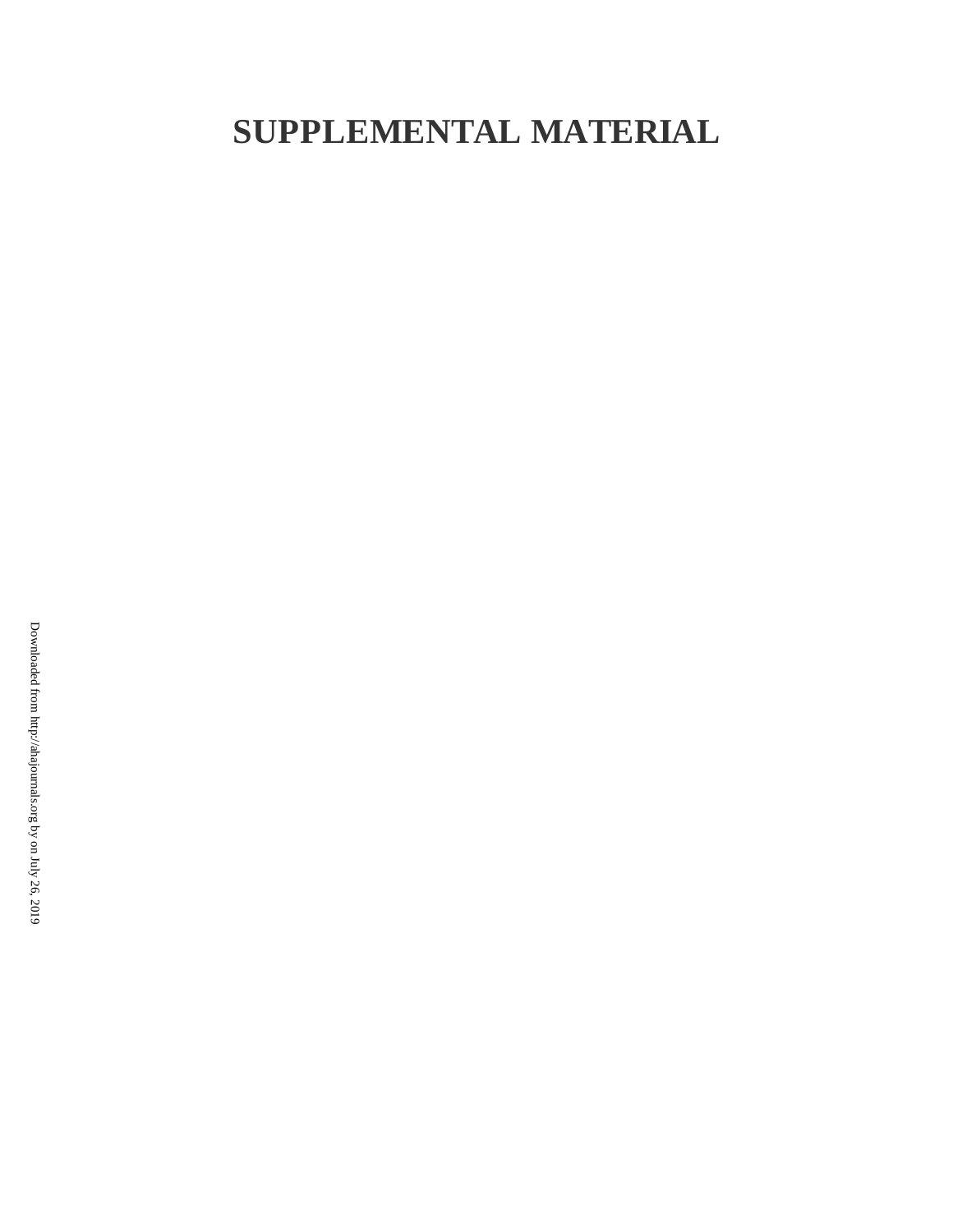**SUPPLEMENTAL MATERIAL**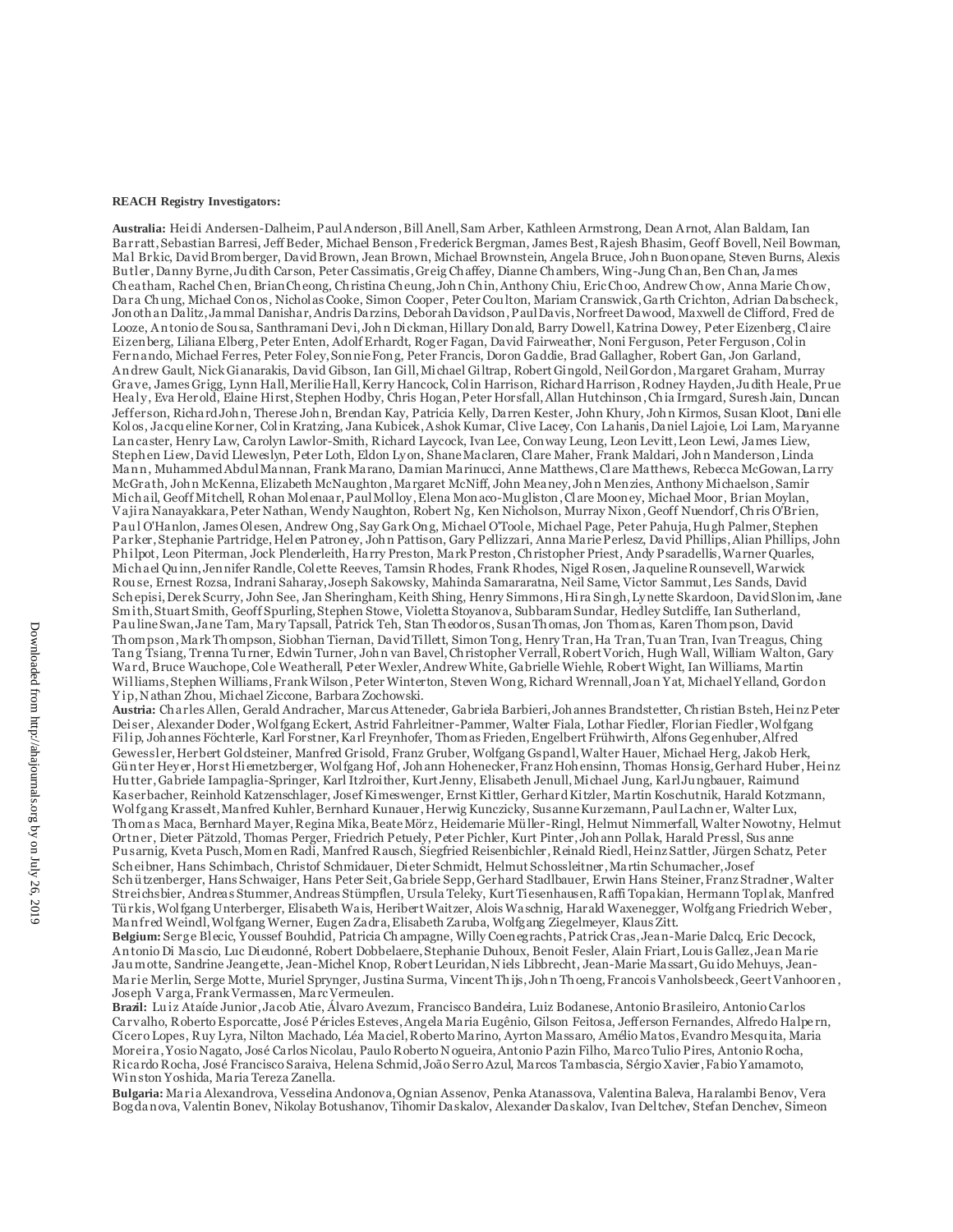#### **REACH Registry Investigators:**

**Australia:** Heidi Andersen-Dalheim, Paul A nderson, Bill Anell, Sam Arber, Kathleen Armstrong, Dean A rnot, Alan Baldam, Ian Barratt, Sebastian Barresi, Jeff Beder, Michael Benson, Frederick Bergman, James Best, Rajesh Bhasim, Geoff Bovell, Neil Bowman, Mal Brkic, David Bromberger, David Brown, Jean Brown, Michael Brownstein, Angela Bruce, John Buonopane, Steven Burns, Alexis Bu tler, Danny Byrne, Ju dith Carson, Peter Cassimatis, Greig Chaffey, Dianne Chambers, Wing-Jung Chan, Ben Chan, James Cheatham, Rachel Chen, Brian Cheong, Christina Cheung, John Chin, Anthony Chiu, Eric Choo, Andrew Chow, Anna Marie Chow, Dara Chung, Michael Conos, Nicholas Cooke, Simon Cooper, Peter Cou lton, Mariam Cranswick, Garth Crichton, Adrian Dabscheck, Jonothan Dalitz, Jammal Danishar, Andris Darzins, Deborah Davidson, Paul Davis, Norfreet Dawood, Maxwell de Clifford, Fred de Looze, A ntonio de Sou sa, Santhramani Devi, John Dickman, Hillary Donald, Barry Dowell, Katrina Dowey, Peter Eizenberg, Claire Eizenberg, Liliana Elberg, Peter Enten, Adolf Erhardt, Roger Fagan, David Fairweather, Noni Ferguson, Peter Ferguson, Colin Fernando, Michael Ferres, Peter Foley, Sonnie Fong, Peter Francis, Doron Gaddie, Brad Gallagher, Robert Gan, Jon Garland, A ndrew Gault, Nick Gianarakis, David Gibson, Ian Gill, Michael Giltrap, Robert Gingold, Neil Gordon, Margaret Graham, Murray Grave, James Grigg, Lynn Hall, Merilie Hall, Kerry Hancock, Colin Harrison, Richard Harrison, Rodney Hayden, Ju dith Heale, Prue Healy, Eva Herold, Elaine Hirst, Stephen Hodby, Chris Hogan, Peter Horsfall, Allan Hutchinson, Chia Irmgard, Suresh Jain, Duncan Jefferson, Richard John, Therese John, Brendan Kay, Patricia Kelly, Darren Kester, John Khury, John Kirmos, Susan Kloot, Dani elle Kolos, Jacqu eline Korner, Colin Kratzing, Jana Kubicek, A shok Kumar, Clive Lacey, Con Lahanis, Daniel Lajoie, Loi Lam, Maryanne Lancaster, Henry Law, Carolyn Lawlor-Smith, Richard Laycock, Ivan Lee, Conway Leung, Leon Levitt, Leon Lewi, James Liew, Stephen Liew, David Lleweslyn, Peter Loth, Eldon Lyon, Shane Maclaren, Clare Maher, Frank Maldari, John Manderson, Linda Mann, Muhammed Abdul Mannan, Frank Marano, Damian Marinucci, Anne Matthews, Clare Matthews, Rebecca McGowan, Larry McGrath, John McKenna, Elizabeth McNaughton, Margaret McNiff, John Meaney, John Menzies, Anthony Michaelson, Samir Michail, Geoff Mitchell, Rohan Molenaar, Paul Molloy, Elena Monaco-Mu gliston, Clare Mooney, Michael Moor, Brian Moylan, V ajira Nanayakkara, Peter Nathan, Wendy Naughton, Robert Ng, Ken Nicholson, Murray Nixon, Geoff Nuendorf, Chris O'Brien, Pau l O'Hanlon, James Olesen, Andrew Ong, Say Gark Ong, Michael O'Toole, Michael Page, Peter Pahuja, Hu gh Palmer, Stephen Parker, Stephanie Partridge, Helen Patroney, John Pattison, Gary Pellizzari, Anna Marie Perlesz, David Phillips, Alian Phillips, John Philpot, Leon Piterman, Jock Plenderleith, Harry Preston, Mark Preston, Christopher Priest, Andy Psaradellis, Warner Quarles, Michael Qu inn, Jennifer Randle, Colette Reeves, Tamsin Rhodes, Frank Rhodes, Nigel Rosen, Jaqueline Rounsevell, Warwick Rou se, Ernest Rozsa, Indrani Saharay, Joseph Sakowsky, Mahinda Samararatna, Neil Same, Victor Sammut, Les Sands, David Schepisi, Derek Scurry, John See, Jan Sheringham, Keith Shing, Henry Simmons, Hira Singh, Lynette Skardoon, David Slonim, Jane Smith, Stuart Smith, Geoff Spurling, Stephen Stowe, Violetta Stoyanova, Subbaram Sundar, Hedley Sutcliffe, Ian Sutherland, Pau line Swan, Jane Tam, Mary Tapsall, Patrick Teh, Stan Theodoros, Susan Thomas, Jon Thomas, Karen Thompson, David Thompson, Mark Thompson, Siobhan Tiernan, David Tillett, Simon Tong, Henry Tran, Ha Tran, Tu an Tran, Ivan Treagus, Ching Tang Tsiang, Trenna Tu rner, Edwin Turner, John van Bavel, Christopher Verrall, Robert Vorich, Hugh Wall, William Walton, Gary Ward, Bruce Wauchope, Cole Weatherall, Peter Wexler, Andrew White, Gabrielle Wiehle, Robert Wight, Ian Williams, Martin Williams, Stephen Williams, Frank Wilson, Peter Winterton, Steven Wong, Richard Wrennall, Joan Yat, Michael Yelland, Gordon Y ip, N athan Zhou, Michael Ziccone, Barbara Zochowski.

**Austria:** Charles Allen, Gerald Andracher, Marcus Atteneder, Gabriela Barbieri, Johannes Brandstetter, Christian Bsteh, Heinz Peter Deiser, Alexander Doder, Wolfgang Eckert, Astrid Fahrleitner-Pammer, Walter Fiala, Lothar Fiedler, Florian Fiedler, Wolfgang Filip, Johannes Föchterle, Karl Forstner, Karl Freynhofer, Thomas Frieden, Engelbert Frühwirth, Alfons Gegenhuber, Alfred Gewessler, Herbert Goldsteiner, Manfred Grisold, Franz Gruber, Wolfgang Gspandl, Walter Hauer, Michael Herg, Jakob Herk, Gü nter Heyer, Horst Hiemetzberger, Wolfgang Hof, Johann Hohenecker, Franz Hohensinn, Thomas Honsig, Gerhard Huber, Heinz Hu tter, Gabriele Iampaglia-Springer, Karl Itzlroither, Kurt Jenny, Elisabeth Jenull, Michael Jung, Karl Ju ngbauer, Raimund Kaserbacher, Reinhold Katzenschlager, Josef Kimeswenger, Ernst Kittler, Gerhard Kitzler, Martin Koschutnik, Harald Kotzmann, Wolfgang Krasselt, Manfred Kuhler, Bernhard Kunauer, Herwig Kunczicky, Susanne Kurzemann, Paul Lachner, Walter Lux, Thomas Maca, Bernhard Mayer, Regina Mika, Beate Mörz, Heidemarie Mü ller-Ringl, Helmut Nimmerfall, Walter Nowotny, Helmut Ortner, Dieter Pätzold, Thomas Perger, Friedrich Petuely, Peter Pichler, Kurt Pinter, Johann Pollak, Harald Pressl, Sus anne Pu sarnig, Kveta Pusch, Momen Radi, Manfred Rausch, Siegfried Reisenbichler, Reinald Riedl, Heinz Sattler, Jürgen Schatz, Peter Scheibner, Hans Schimbach, Christof Schmidauer, Dieter Schmidt, Helmut Schossleitner, Martin Schumacher, Josef Schü tzenberger, Hans Schwaiger, Hans Peter Seit, Gabriele Sepp, Gerhard Stadlbauer, Erwin Hans Steiner, Franz Stradner, Walter Streichsbier, Andreas Stummer, Andreas Stümpflen, Ursula Teleky, Kurt Tiesenhausen, Raffi Topakian, Hermann Toplak, Manfred Tü rkis, Wolfgang Unterberger, Elisabeth Wais, Heribert Waitzer, Alois Waschnig, Harald Waxenegger, Wolfgang Friedrich Weber, Manfred Weindl, Wolfgang Werner, Eugen Zadra, Elisabeth Zaruba, Wolfgang Ziegelmeyer, Klaus Zitt.

**Belgium:** Serge Blecic, Youssef Bouhdid, Patricia Ch ampagne, Willy Coenegrachts, Patrick Cras, Jean-Marie Dalcq, Eric Decock, A ntonio Di Mascio, Luc Dieudonné, Robert Dobbelaere, Stephanie Duhoux, Benoit Fesler, Alain Friart, Lou is Gallez, Jean Marie Jau motte, Sandrine Jeangette, Jean-Michel Knop, Robert Leuridan, N iels Libbrecht, Jean-Marie Massart, Gu ido Mehuys, Jean-Marie Merlin, Serge Motte, Muriel Sprynger, Justina Surma, Vincent Thijs, John Thoeng, Francois Vanholsbeeck, Geert Vanhooren , Joseph V arga, Frank Vermassen, Marc Vermeulen.

**Brazil:** Lu iz Ataíde Junior, Jacob Atie, Álvaro Avezum, Francisco Bandeira, Luiz Bodanese, Antonio Brasileiro, Antonio Carlos Carvalho, Roberto Esporcatte, José Péricles Esteves, Angela Maria Eugênio, Gilson Feitosa, Jefferson Fernandes, Alfredo Halpe rn, Cícero Lopes, Ruy Lyra, Nilton Machado, Léa Maciel, Roberto Marino, Ayrton Massaro, Amélio Matos, Evandro Mesqu ita, Maria Moreira, Yosio Nagato, José Carlos Nicolau, Paulo Roberto N ogueira, Antonio Pazin Filho, Marco Tulio Pires, Antonio Rocha, Ricardo Rocha, José Francisco Saraiva, Helena Schmid, João Serro Azul, Marcos Tambascia, Sérgio Xavier, Fabio Yamamoto, Winston Yoshida, Maria Tereza Zanella.

**Bulgaria:** Maria Alexandrova, Vesselina Andonova, Ognian Assenov, Penka Atanassova, Valentina Baleva, Haralambi Benov, Vera Bogdanova, Valentin Bonev, Nikolay Botushanov, Tihomir Daskalov, Alexander Daskalov, Ivan Deltchev, Stefan Denchev, Simeon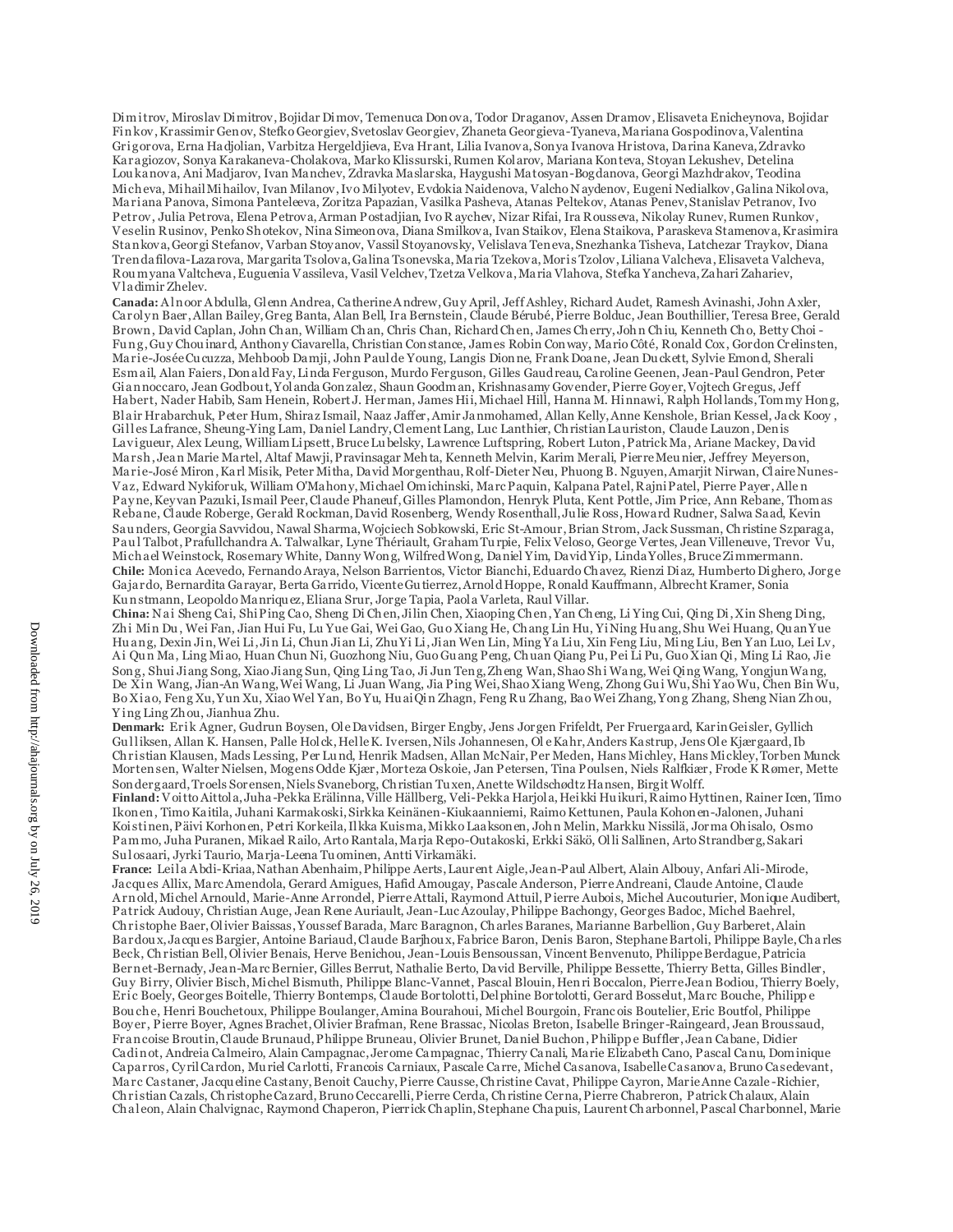Dimitrov, Miroslav Dimitrov, Bojidar Dimov, Temenuca Donova, Todor Draganov, Assen Dramov, Elisaveta Enicheynova, Bojidar Finkov, Krassimir Genov, Stefko Georgiev, Svetoslav Georgiev, Zhaneta Georgieva-Tyaneva, Mariana Gospodinova, Valentina Grigorova, Erna Hadjolian, Varbitza Hergeldjieva, Eva Hrant, Lilia Ivanova, Sonya Ivanova Hristova, Darina Kaneva, Zdravko Karagiozov, Sonya Karakaneva-Cholakova, Marko Klissurski, Rumen Kolarov, Mariana Konteva, Stoyan Lekushev, Detelina Lou kanova, Ani Madjarov, Ivan Manchev, Zdravka Maslarska, Haygushi Matosyan-Bogdanova, Georgi Mazhdrakov, Teodina Micheva, Mihail Mihailov, Ivan Milanov, Ivo Milyotev, Evdokia Naidenova, Valcho N aydenov, Eugeni Nedialkov, Galina Nikolova, Mariana Panova, Simona Panteleeva, Zoritza Papazian, Vasilka Pasheva, Atanas Peltekov, Atanas Penev, Stanislav Petranov, Ivo Petrov, Julia Petrova, Elena Petrova, Arman Postadjian, Ivo R aychev, Nizar Rifai, Ira Rousseva, Nikolay Runev, Rumen Runkov, V eselin Rusinov, Penko Shotekov, Nina Simeonova, Diana Smilkova, Ivan Staikov, Elena Staikova, Paraskeva Stamenova, Krasimira Stankova, Georgi Stefanov, Varban Stoyanov, Vassil Stoyanovsky, Velislava Teneva, Snezhanka Tisheva, Latchezar Traykov, Diana Trendafilova-Lazarova, Margarita Tsolova, Galina Tsonevska, Maria Tzekova, Moris Tzolov, Liliana Valcheva, Elisaveta Valcheva, Rou myana Valtcheva, Euguenia V assileva, Vasil Velchev, Tzetza Velkova, Maria Vlahova, Stefka Yancheva, Zahari Zahariev, V ladimir Zhelev.

**Canada:** A lnoor A bdulla, Glenn Andrea, Catherine A ndrew, Gu y April, Jeff Ashley, Richard Audet, Ramesh Avinashi, John A xler, Carolyn Baer, Allan Bailey, Greg Banta, Alan Bell, Ira Bernstein, Claude Bérubé, Pierre Bolduc, Jean Bouthillier, Teresa Bree, Gerald Brown, David Caplan, John Chan, William Chan, Chris Chan, Richard Chen, James Cherry, John Chiu, Kenneth Cho, Betty Choi - Fu ng, Gu y Chou inard, Anthony Ciavarella, Christian Constance, James Robin Conway, Mario Côté, Ronald Cox, Gordon Crelinsten, Marie-Josée Cu cuzza, Mehboob Damji, John Paul de Young, Langis Dionne, Frank Doane, Jean Du ckett, Sylvie Emond, Sherali Esmail, Alan Faiers, Donald Fay, Linda Ferguson, Murdo Ferguson, Gilles Gaudreau, Caroline Geenen, Jean-Paul Gendron, Peter Giannoccaro, Jean Godbou t, Yolanda Gonzalez, Shaun Goodman, Krishnasamy Govender, Pierre Goyer, Vojtech Gregus, Jeff Habert, Nader Habib, Sam Henein, Robert J. Herman, James Hii, Michael Hill, Hanna M. Hinnawi, Ralph Hollands, Tommy Hong, Blair Hrabarchuk, Peter Hum, Shiraz Ismail, Naaz Jaffer, Amir Janmohamed, Allan Kelly, Anne Kenshole, Brian Kessel, Jack Kooy , Gilles Lafrance, Sheung-Ying Lam, Daniel Landry, Clement Lang, Luc Lanthier, Christian Lauriston, Claude Lauzon, Denis Lavigueur, Alex Leung, William Lipsett, Bruce Lu belsky, Lawrence Luftspring, Robert Luton, Patrick Ma, Ariane Mackey, David Marsh, Jean Marie Martel, Altaf Mawji, Pravinsagar Mehta, Kenneth Melvin, Karim Merali, Pierre Meu nier, Jeffrey Meyerson, Marie-José Miron, Karl Misik, Peter Mitha, David Morgenthau, Rolf-Dieter Neu, Phuong B. Nguyen, Amarjit Nirwan, Claire Nunes-V az, Edward Nykiforuk, William O'Mahony, Michael Omichinski, Marc Paquin, Kalpana Patel, Rajni Patel, Pierre Payer, Alle n Payne, Keyvan Pazuki, Ismail Peer, Claude Phaneuf, Gilles Plamondon, Henryk Pluta, Kent Pottle, Jim Price, Ann Rebane, Thomas Rebane, Claude Roberge, Gerald Rockman, David Rosenberg, Wendy Rosenthall, Ju lie Ross, Howard Rudner, Salwa Saad, Kevin Sau nders, Georgia Savvidou, Nawal Sharma, Wojciech Sobkowski, Eric St-Amour, Brian Strom, Jack Sussman, Christine Szparaga, Pau l Talbot, Prafullchandra A. Talwalkar, Lyne Thériault, Graham Tu rpie, Felix Veloso, George Vertes, Jean Villeneuve, Trevor Vu, Michael Weinstock, Rosemary White, Danny Wong, Wilfred Wong, Daniel Yim, David Yip, Linda Yolles, Bruce Zimmermann. **Chile:** Monica Acevedo, Fernando Araya, Nelson Barrientos, Victor Bianchi, Eduardo Chavez, Rienzi Diaz, Humberto Dighero, Jorge Gajardo, Bernardita Garayar, Berta Garrido, Vicente Gu tierrez, Arnold Hoppe, Ronald Kauffmann, Albrecht Kramer, Sonia Ku nstmann, Leopoldo Manriqu ez, Eliana Srur, Jorge Tapia, Paola Varleta, Raul Villar.

**China:** N ai Sheng Cai, Shi Ping Cao, Sheng Di Chen, Jilin Chen, Xiaoping Chen, Yan Cheng, Li Ying Cui, Qing Di, Xin Sheng Ding, Zhi Min Du , Wei Fan, Jian Hui Fu, Lu Yue Gai, Wei Gao, Gu o Xiang He, Chang Lin Hu, Yi Ning Hu ang, Shu Wei Huang, Qu an Yue Hu ang, Dexin Jin, Wei Li, Jin Li, Chun Jian Li, Zhu Yi Li, Jian Wen Lin, Ming Ya Liu, Xin Feng Liu, Ming Liu, Ben Yan Luo, Lei Lv, A i Qu n Ma, Ling Miao, Huan Chun Ni, Guozhong Niu, Guo Gu ang Peng, Chuan Qiang Pu, Pei Li Pu, Guo Xian Qi, Ming Li Rao, Jie Song, Shui Jiang Song, Xiao Jiang Sun, Qing Ling Tao, Ji Jun Teng, Zheng Wan, Shao Shi Wang, Wei Qing Wang, Yongjun Wang, De Xin Wang, Jian-An Wang, Wei Wang, Li Juan Wang, Jia Ping Wei, Shao Xiang Weng, Zhong Gu i Wu, Shi Yao Wu, Chen Bin Wu, Bo Xiao, Feng Xu, Yun Xu, Xiao Wel Yan, Bo Yu, Hu ai Qin Zhagn, Feng Ru Zhang, Bao Wei Zhang, Yong Zhang, Sheng Nian Zhou, Y ing Ling Zhou, Jianhua Zhu.

**Denmark:** Erik Agner, Gudrun Boysen, Ole Davidsen, Birger Engby, Jens Jorgen Frifeldt, Per Fruergaard, Karin Geisler, Gyllich Gu lliksen, Allan K. Hansen, Palle Holck, Helle K. Iversen, Nils Johannesen, Ol e Kahr, Anders Kastrup, Jens Ole Kjærgaard, Ib Christian Klausen, Mads Lessing, Per Lu nd, Henrik Madsen, Allan McNair, Per Meden, Hans Michley, Hans Mickley, Torben Munck Mortensen, Walter Nielsen, Mogens Odde Kjær, Morteza Oskoie, Jan Petersen, Tina Poulsen, Niels Ralfkiær, Frode K Rømer, Mette Sondergaard, Troels Sorensen, Niels Svaneborg, Christian Tu xen, Anette Wildschødtz Hansen, Birgit Wolff.

**Finland:** V oitto Aittola, Juha-Pekka Erälinna, Ville Hällberg, Veli-Pekka Harjola, Heikki Hu ikuri, Raimo Hyttinen, Rainer Icen, Timo Ikonen, Timo Kaitila, Juhani Karmakoski, Sirkka Keinänen-Kiukaanniemi, Raimo Kettunen, Paula Kohonen-Jalonen, Juhani Koistinen, Päivi Korhonen, Petri Korkeila, Ilkka Kuisma, Mikko Laaksonen, John Melin, Markku Nissilä, Jorma Ohisalo, Osmo Pammo, Juha Puranen, Mikael Railo, Arto Rantala, Marja Repo-Outakoski, Erkki Säkö, Olli Sallinen, Arto Strandberg, Sakari Su losaari, Jyrki Taurio, Marja-Leena Tu ominen, Antti Virkamäki.

**France:** Leila A bdi-Kriaa, Nathan Abenhaim, Philippe Aerts, Laurent Aigle, Jean-Paul Albert, Alain Albouy, Anfari Ali-Mirode, Jacqu es Allix, Marc Amendola, Gerard Amigues, Hafid Amougay, Pascale Anderson, Pierre Andreani, Claude Antoine, Claude A rnold, Michel Arnould, Marie-Anne Arrondel, Pierre Attali, Raymond Attuil, Pierre Aubois, Michel Aucouturier, Monique Audibert, Patrick Audouy, Christian Auge, Jean Rene Auriault, Jean-Luc Azoulay, Philippe Bachongy, Georges Badoc, Michel Baehrel, Christophe Baer, Olivier Baissas, Youssef Barada, Marc Baragnon, Charles Baranes, Marianne Barbellion, Gu y Barberet, Alain Bardou x, Jacqu es Bargier, Antoine Bariaud, Claude Barjhou x, Fabrice Baron, Denis Baron, Stephane Bartoli, Philippe Bayle, Cha rles Beck, Christian Bell, Olivier Benais, Herve Benichou, Jean-Louis Bensoussan, Vincent Benvenuto, Philippe Berdague, Patricia Bernet-Bernady, Jean-Marc Bernier, Gilles Berrut, Nathalie Berto, David Berville, Philippe Bessette, Thierry Betta, Gilles Bindler, Gu y Birry, Olivier Bisch, Michel Bismuth, Philippe Blanc-Vannet, Pascal Blouin, Henri Boccalon, Pierre Jean Bodiou, Thierry Boely, Eric Boely, Georges Boitelle, Thierry Bontemps, Claude Bortolotti, Delphine Bortolotti, Gerard Bosselut, Marc Bouche, Philipp e Bou che, Henri Bouchetoux, Philippe Boulanger, Amina Bourahoui, Michel Bourgoin, Franc ois Boutelier, Eric Boutfol, Philippe Boyer, Pierre Boyer, Agnes Brachet, Olivier Brafman, Rene Brassac, Nicolas Breton, Isabelle Bringer-Raingeard, Jean Broussaud, Francoise Broutin, Claude Brunaud, Philippe Bruneau, Olivier Brunet, Daniel Buchon, Philippe Buffler, Jean Cabane, Didier Cadinot, Andreia Calmeiro, Alain Campagnac, Jerome Campagnac, Thierry Canali, Marie Elizabeth Cano, Pascal Canu, Dominique Caparros, Cyril Cardon, Mu riel Carlotti, Francois Carniaux, Pascale Carre, Michel Casanova, Isabelle Casanova, Bruno Casedevant, Marc Castaner, Jacqu eline Castany, Benoit Cauchy, Pierre Causse, Christine Cavat, Philippe Cayron, Marie Anne Cazale -Richier, Christian Cazals, Christophe Cazard, Bruno Ceccarelli, Pierre Cerda, Christine Cerna, Pierre Chabreron, Patrick Chalaux, Alain Chaleon, Alain Chalvignac, Raymond Chaperon, Pierrick Chaplin, Stephane Chapuis, Laurent Charbonnel, Pascal Charbonnel, Marie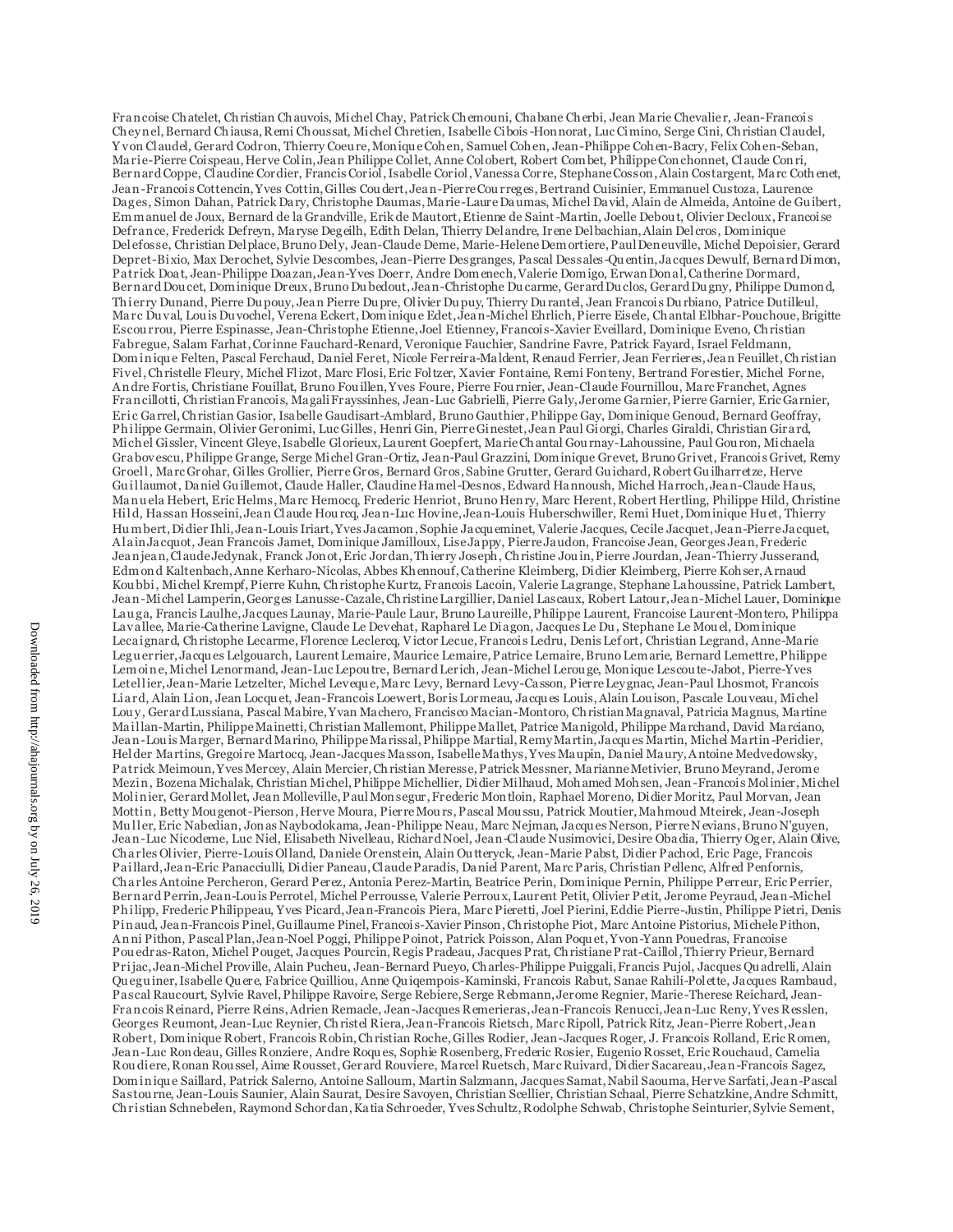Francoise Chatelet, Christian Chauvois, Michel Chay, Patrick Chemouni, Chabane Cherbi, Jean Marie Chevalier, Jean-Francois Cheynel, Bernard Chiausa, Remi Choussat, Michel Chretien, Isabelle Cibois-Honnorat, Luc Cimino, Serge Cini, Christian Claudel, Yvon Claudel, Gerard Codron, Thierry Coeure, Monique Cohen, Samuel Cohen, Jean-Philippe Cohen-Bacry, Felix Cohen-Seban, Marie-Pierre Coispeau, Herve Colin, Jean Philippe Collet, Anne Colobert, Robert Combet, Philippe Conchonnet, Claude Conri, Bernard Coppe, Claudine Cordier, Francis Coriol, Isabelle Coriol, Vanessa Corre, Stephane Cosson, Alain Costargent, Marc Cothenet, Jean-Francois Cottencin, Yves Cottin, Gilles Coudert, Jean-Pierre Courreges, Bertrand Cuisinier, Emmanuel Custoza, Laurence Dages, Simon Dahan, Patrick Dary, Christophe Daumas, Marie-Laure Daumas, Michel David, Alain de Almeida, Antoine de Guibert, Emmanuel de Joux, Bernard de la Grandville, Erik de Mautort, Etienne de Saint-Martin, Joelle Debout, Olivier Decloux, Francoise Defrance, Frederick Defreyn, Maryse Degeilh, Edith Delan, Thierry Delandre, Irene Delbachian, Alain Delcros, Dominique Delefosse, Christian Delplace, Bruno Dely, Jean-Claude Deme, Marie-Helene Demortiere, Paul Deneuville, Michel Depoisier, Gerard Depret-Bixio, Max Derochet, Sylvie Descombes, Jean-Pierre Desgranges, Pascal Dessales-Quentin, Jacques Dewulf, Bernard Dimon, Patrick Doat, Jean-Philippe Doazan, Jean-Yves Doerr, Andre Domenech, Valerie Domigo, Erwan Donal, Catherine Dormard, Bernard Doucet, Dominique Dreux, Bruno Dubedout, Jean-Christophe Ducarme, Gerard Duclos, Gerard Dugny, Philippe Dumond, Thierry Dunand, Pierre Dupouy, Jean Pierre Dupre, Olivier Dupuy, Thierry Durantel, Jean Francois Durbiano, Patrice Dutilleul, Marc Duval, Louis Duvochel, Verena Eckert, Dominique Edet, Jean-Michel Ehrlich, Pierre Eisele, Chantal Elbhar-Pouchoue, Brigitte Escourrou, Pierre Espinasse, Jean-Christophe Etienne, Joel Etienney, Francois-Xavier Eveillard, Dominique Eveno, Christian Fabregue, Salam Farhat, Corinne Fauchard-Renard, Veronique Fauchier, Sandrine Favre, Patrick Fayard, Israel Feldmann, Dominique Felten, Pascal Ferchaud, Daniel Feret, Nicole Ferreira-Maldent, Renaud Ferrier, Jean Ferrieres, Jean Feuillet, Christian Fivel, Christelle Fleury, Michel Flizot, Marc Flosi, Eric Foltzer, Xavier Fontaine, Remi Fonteny, Bertrand Forestier, Michel Forne, Andre Fortis, Christiane Fouillat, Bruno Fouillen, Yves Foure, Pierre Fournier, Jean-Claude Fournillou, Marc Franchet, Agnes Francillotti, Christian Francois, Magali Frayssinhes, Jean-Luc Gabrielli, Pierre Galy, Jerome Garnier, Pierre Garnier, Eric Garnier, Eric Garrel, Christian Gasior, Isabelle Gaudisart-Amblard, Bruno Gauthier, Philippe Gay, Dominique Genoud, Bernard Geoffray, Philippe Germain, Olivier Geronimi, Luc Gilles, Henri Gin, Pierre Ginestet, Jean Paul Giorgi, Charles Giraldi, Christian Girard, Michel Gissler, Vincent Gleye, Isabelle Glorieux, Laurent Goepfert, Marie Chantal Gournay-Lahoussine, Paul Gouron, Michaela Grabovescu, Philippe Grange, Serge Michel Gran-Ortiz, Jean-Paul Grazzini, Dominique Grevet, Bruno Grivet, Francois Grivet, Remy Groell, Marc Grohar, Gilles Grollier, Pierre Gros, Bernard Gros, Sabine Grutter, Gerard Guichard, Robert Guilharretze, Herve Guillaumot, Daniel Guillemot, Claude Haller, Claudine Hamel-Desnos, Edward Hannoush, Michel Harroch, Jean-Claude Haus, Manuela Hebert, Eric Helms, Marc Hemocq, Frederic Henriot, Bruno Henry, Marc Herent, Robert Hertling, Philippe Hild, Christine Hild, Hassan Hosseini, Jean Claude Hourcq, Jean-Luc Hovine, Jean-Louis Huberschwiller, Remi Huet, Dom inique Huet, Thierry Humbert, Didier Ihli, Jean-Louis Iriart, Yves Jacamon, Sophie Jacqueminet, Valerie Jacques, Cecile Jacquet, Jean-Pierre Jacquet, Alain Jacquot, Jean Francois Jamet, Dominique Jamilloux, Lise Jappy, Pierre Jaudon, Francoise Jean, Georges Jean, Frederic Jeanjean, Claude Jedynak, Franck Jonot, Eric Jordan, Thierry Joseph, Christine Jouin, Pierre Jourdan, Jean-Thierry Jusserand, Edmond Kaltenbach, Anne Kerharo-Nicolas, Abbes Khennouf, Catherine Kleimberg, Didier Kleimberg, Pierre Kohser, Arnaud Koubbi, Michel Krempf, Pierre Kuhn, Christophe Kurtz, Francois Lacoin, Valerie Lagrange, Stephane Lahoussine, Patrick Lambert, Jean-Michel Lamperin, Georges Lanusse-Cazale, Christine Largillier, Daniel Lascaux, Robert Latour, Jean-Michel Lauer, Dominique Lauga, Francis Laulhe, Jacques Launay, Marie-Paule Laur, Bruno Laureille, Philippe Laurent, Francoise Laurent-Montero, Philippa Lavallee, Marie-Catherine Lavigne, Claude Le Devehat, Rapharel Le Diagon, Jacques Le Du, Stephane Le Mouel, Dominique Lecaignard, Christophe Lecarme, Florence Leclercq, Victor Lecue, Francois Ledru, Denis Lefort, Christian Legrand, Anne-Marie Leguerrier, Jacques Lelgouarch, Laurent Lemaire, Maurice Lemaire, Patrice Lemaire, Bruno Lemarie, Bernard Lemettre, Philippe Lemoine, Michel Lenormand, Jean-Luc Lepoutre, Bernard Lerich, Jean-Michel Lerouge, Monique Lescoute-Jabot, Pierre-Yves Letellier, Jean-Marie Letzelter, Michel Leveque, Marc Levy, Bernard Levy-Casson, Pierre Leygnac, Jean-Paul Lhosmot, Francois Liard, Alain Lion, Jean Locquet, Jean-Francois Loewert, Boris Lormeau, Jacques Louis, Alain Louison, Pascale Louveau, Michel Louy, Gerard Lussiana, Pascal Mabire, Yvan Machero, Francisco Macian-Montoro, Christian Magnaval, Patricia Magnus, Martine Maillan-Martin, Philippe Mainetti, Christian Mallemont, Philippe Mallet, Patrice Manigold, Philippe Marchand, David Marciano, Jean-Louis Marger, Bernard Marino, Philippe Marissal, Philippe Martial, Remy Martin, Jacques Martin, Michel Martin-Peridier, Helder Martins, Gregoire Martocq, Jean-Jacques Masson, Isabelle Mathys, Yves Maupin, Daniel Maury, Antoine Medvedowsky, Patrick Meimoun, Yves Mercey, Alain Mercier, Christian Meresse, Patrick Messner, Marianne Metivier, Bruno Meyrand, Jerome Mezin, Bozena Michalak, Christian Michel, Philippe Michellier, Didier Milhaud, Mohamed Mohsen, Jean-Francois Molinier, Michel Molinier, Gerard Mollet, Jean Molleville, Paul Monsegur, Frederic Montloin, Raphael Moreno, Didier Moritz, Paul Morvan, Jean Mottin, Betty Mougenot-Pierson, Herve Moura, Pierre Mours, Pascal Moussu, Patrick Moutier, Mahmoud Mteirek, Jean-Joseph Muller, Eric Nabedian, Jonas Naybodokama, Jean-Philippe Neau, Marc Nejman, Jacques Nerson, Pierre Nevians, Bruno N'guyen, Jean-Luc Nicodeme, Luc Niel, Elisabeth Nivelleau, Richard Noel, Jean-Claude Nusimovici, Desire Obadia, Thierry Oger, Alain Olive, Charles Olivier, Pierre-Louis Olland, Daniele Orenstein, Alain Outteryck, Jean-Marie Pabst, Didier Pachod, Eric Page, Francois Paillard, Jean-Eric Panacciulli, Didier Paneau, Claude Paradis, Daniel Parent, Marc Paris, Christian Pellenc, Alfred Penfornis, Charles Antoine Percheron, Gerard Perez, Antonia Perez-Martin, Beatrice Perin, Dominique Pernin, Philippe Perreur, Eric Perrier, Bernard Perrin, Jean-Louis Perrotel, Michel Perrousse, Valerie Perroux, Laurent Petit, Olivier Petit, Jerome Peyraud, Jean-Michel Philipp, Frederic Philippeau, Yves Picard, Jean-Francois Piera, Marc Pieretti, Joel Pierini, Eddie Pierre-Justin, Philippe Pietri, Denis Pinaud, Jean-Francois Pinel, Guillaume Pinel, Francois-Xavier Pinson, Christophe Piot, Marc Antoine Pistorius, Michele Pithon, Anni Pithon, Pascal Plan, Jean-Noel Poggi, Philippe Poinot, Patrick Poisson, Alan Poquet, Yvon-Yann Pouedras, Francoise Pouedras-Raton, Michel Pouget, Jacques Pourcin, Regis Pradeau, Jacques Prat, Christiane Prat-Caillol, Thierry Prieur, Bernard Prijac, Jean-Michel Proville, Alain Pucheu, Jean-Bernard Pueyo, Charles-Philippe Puiggali, Francis Pujol, Jacques Quadrelli, Alain Queguiner, Isabelle Quere, Fabrice Quilliou, Anne Quiqempois-Kaminski, Francois Rabut, Sanae Rahili-Polette, Jacques Rambaud, Pascal Raucourt, Sylvie Ravel, Philippe Ravoire, Serge Rebiere, Serge Rebmann, Jerome Regnier, Marie-Therese Reichard, Jean-Francois Reinard, Pierre Reins, Adrien Remacle, Jean-Jacques Remerieras, Jean-Francois Renucci, Jean-Luc Reny, Yves Resslen, Georges Reumont, Jean-Luc Reynier, Christel Riera, Jean-Francois Rietsch, Marc Ripoll, Patrick Ritz, Jean-Pierre Robert, Jean Robert, Dominique Robert, Francois Robin, Christian Roche, Gilles Rodier, Jean-Jacques Roger, J. Francois Rolland, Eric Romen, Jean-Luc Rondeau, Gilles Ronziere, Andre Roques, Sophie Rosenberg, Frederic Rosier, Eugenio Rosset, Eric Rouchaud, Camelia Roudiere, Ronan Roussel, Aime Rousset, Gerard Rouviere, Marcel Ruetsch, Marc Ruivard, Didier Sacareau, Jean-Francois Sagez, Dominique Saillard, Patrick Salerno, Antoine Salloum, Martin Salzmann, Jacques Samat, Nabil Saouma, Herve Sarfati, Jean-Pascal Sastourne, Jean-Louis Saunier, Alain Saurat, Desire Savoyen, Christian Scellier, Christian Schaal, Pierre Schatzkine, Andre Schmitt, Christian Schnebelen, Raymond Schordan, Katia Schroeder, Yves Schultz, Rodolphe Schwab, Christophe Seinturier, Sylvie Sement,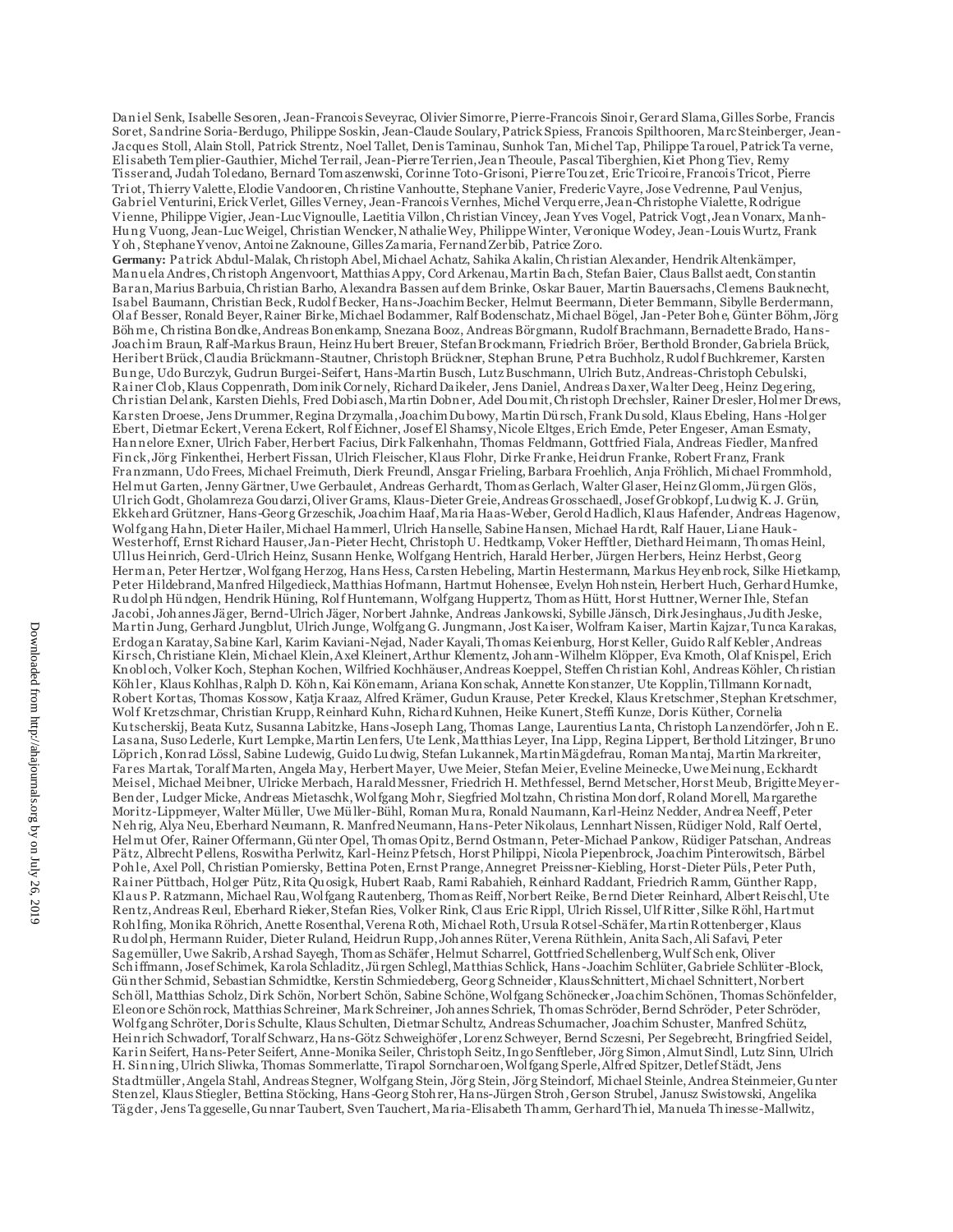Daniel Senk, Isabelle Sesoren, Jean-Francois Seveyrac, Olivier Simorre, Pierre-Francois Sinoir, Gerard Slama, Gilles Sorbe, Francis Soret, Sandrine Soria-Berdugo, Philippe Soskin, Jean-Claude Soulary, Patrick Spiess, Francois Spilthooren, Marc Steinberger, Jean-Jacques Stoll, Alain Stoll, Patrick Strentz, Noel Tallet, Den is Taminau, Sunhok Tan, Michel Tap, Philippe Tarouel, Patrick Ta verne, Elisabeth Templier-Gauthier, Michel Terrail, Jean-Pierre Terrien, Jean Theoule, Pascal Tiberghien, Kiet Phong Tiev, Remy Tisserand, Judah Toledano, Bernard Tomaszenwski, Corinne Toto-Grisoni, Pierre Touzet, Eric Tricoire, Francois Tricot, Pierre Triot, Thierry Valette, Elodie Vandooren, Christine Vanhoutte, Stephane Vanier, Frederic Vayre, Jose Vedrenne, Paul Venjus, Gabriel Venturini, Erick Verlet, Gilles Verney, Jean-Francois Vernhes, Michel Verquerre, Jean-Christophe Vialette, Rodrigue Vienne, Philippe Vigier, Jean-Luc Vignoulle, Laetitia Villon, Christian Vincey, Jean Yves Vogel, Patrick Vogt, Jean Vonarx, Manh-Hung Vuong, Jean-Luc Weigel, Christian Wencker, Nathalie Wey, Philippe Winter, Veronique Wodey, Jean-Louis Wurtz, Frank Yoh, Stephane Yvenov, Antoine Zaknoune, Gilles Zamaria, Fernand Zerbib, Patrice Zoro.

Germany: Patrick Abdul-Malak, Christoph Abel, Michael Achatz, Sahika Akalin, Christian Alexander, Hendrik Altenkämper, Manuela Andres, Christoph Angenvoort, Matthias Appy, Cord Arkenau, Martin Bach, Stefan Baier, Claus Ballst aedt, Constantin Baran, Marius Barbuia, Christian Barho, Alexandra Bassen auf dem Brinke, Oskar Bauer, Martin Bauersachs, Clemens Bauknecht, Isabel Baumann, Christian Beck, Rudolf Becker, Hans-Joachim Becker, Helmut Beermann, Dieter Bemmann, Sibylle Berdermann, Olaf Besser, Ronald Beyer, Rainer Birke, Michael Bodammer, Ralf Bodenschatz, Michael Bögel, Jan-Peter Bohe, Günter Böhm, Jörg Böhme, Christina Bondke, Andreas Bonenkamp, Snezana Booz, Andreas Börgmann, Rudolf Brachmann, Bernadette Brado, Hans-Joachim Braun, Raff-Markus Braun, Heinz Hubert Breuer, Stefan Brockmann, Friedrich Bröer, Berthold Bronder, Gabriela Brück, Heribert Brück, Claudia Brückmann-Stautner, Christoph Brückner, Stephan Brune, Petra Buchholz, Rudolf Buchkremer, Karsten Bunge, Udo Burczyk, Gudrun Burgei-Seifert, Hans-Martin Busch, Lutz Buschmann, Ulrich Butz, Andreas-Christoph Cebulski, Rainer Clob, Klaus Coppenrath, Dominik Cornely, Richard Daikeler, Jens Daniel, Andreas Daxer, Walter Deeg, Heinz Degering, Christian Delank, Karsten Diehls, Fred Dobiasch, Martin Dobner, Adel Doumit, Christoph Drechsler, Rainer Dresler, Holmer Drews, Karsten Droese, Jens Drummer, Regina Drzymalla, Joachim Dubowy, Martin Dürsch, Frank Dusold, Klaus Ebeling, Hans-Holger Ebert, Dietmar Eckert, Verena Eckert, Rolf Eichner, Josef El Shamsy, Nicole Eltges, Erich Emde, Peter Engeser, Aman Esmaty, Hannelore Exner, Ulrich Faber, Herbert Facius, Dirk Falkenhahn, Thomas Feldmann, Gottfried Fiala, Andreas Fiedler, Manfred Finck, Jörg Finkenthei, Herbert Fissan, Ulrich Fleischer, Klaus Flohr, Dirke Franke, Heidrun Franke, Robert Franz, Frank Franzmann, Udo Frees, Michael Freimuth, Dierk Freundl, Ansgar Frieling, Barbara Froehlich, Anja Fröhlich, Michael Frommhold, Helmut Garten, Jenny Gärtner, Uwe Gerbaulet, Andreas Gerhardt, Thomas Gerlach, Walter Glaser, Heinz Glomm, Jürgen Glös, Ulrich Godt, Gholamreza Goudarzi, Oliver Grams, Klaus-Dieter Greie, Andreas Grosschaedl, Josef Grobkopf, Ludwig K. J. Grün, Ekkehard Grützner, Hans-Georg Grzeschik, Joachim Haaf, Maria Haas-Weber, Gerold Hadlich, Klaus Hafender, Andreas Hagenow, Wolfgang Hahn, Dieter Hailer, Michael Hammerl, Ulrich Hanselle, Sabine Hansen, Michael Hardt, Ralf Hauer, Liane Hauk-Westerhoff, Ernst Richard Hauser, Jan-Pieter Hecht, Christoph U. Hedtkamp, Voker Hefftler, Diethard Heimann, Thomas Heinl, Ullus Heinrich, Gerd-Ulrich Heinz, Susann Henke, Wolfgang Hentrich, Harald Herber, Jürgen Herbers, Herman, Peter Hertzer, Wolfgang Herzog, Hans Hess, Carsten Hebeling, Martin Hestermann, Markus Hevenbrock, Silke Hietkamp, Peter Hildebrand, Manfred Hilgedieck, Matthias Hofmann, Hartmut Hohensee, Evelyn Hohnstein, Herbert Huch, Gerhard Humke, Rudolph Hündgen, Hendrik Hüning, Rolf Huntemann, Wolfgang Huppertz, Thomas Hütt, Horst Huttner, Werner Ihle, Stefan Jacobi, Johannes Jäger, Bernd-Ulrich Jäger, Norbert Jahnke, Andreas Jankowski, Sybille Jänsch, Dirk Jesinghaus, Judith Jeske, Martin Jung, Gerhard Jungblut, Ulrich Junge, Wolfgang G. Jungmann, Jost Kaiser, Wolfram Kaiser, Martin Kajzar, Tunca Karakas, Erdogan Karatay, Sabine Karl, Karim Kaviani-Nejad, Nader Kayali, Thomas Keienburg, Horst Keller, Guido Ralf Kebler, Andreas Kirsch, Christiane Klein, Michael Klein, Axel Kleinert, Arthur Klementz, Johann-Wilhelm Klöpper, Eva Kmoth, Olaf Knispel, Erich Knobloch, Volker Koch, Stephan Kochen, Wilfried Kochhäuser, Andreas Koeppel, Steffen Christian Kohl, Andreas Köhler, Christian Köhler, Klaus Kohlhas, Ralph D. Köhn, Kai Könemann, Ariana Konschak, Annette Konstanzer, Ute Kopplin, Tillmann Kornadt, Robert Kortas, Thomas Kossow, Katja Kraaz, Alfred Krämer, Gudun Krause, Peter Kreckel, Klaus Kretschmer, Stephan Kretschmer, Wolf Kretzschmar, Christian Krupp, Reinhard Kuhn, Richard Kuhnen, Heike Kunert, Steffi Kunze, Doris Küther, Cornelia Kutscherskij, Beata Kutz, Susanna Labitzke, Hans-Joseph Lang, Thomas Lange, Laurentius Lanta, Christoph Lanzendörfer, John E.<br>Lasana, Suso Lederle, Kurt Lempke, Martin Lenfers, Ute Lenk, Matthias Leyer, Ina Lipp, Regina Li Löprich, Konrad Lössl, Sabine Ludewig, Guido Ludwig, Stefan Lukannek, Martin Mägdefrau, Roman Mantaj, Martin Markreiter, Fares Martak, Toralf Marten, Angela May, Herbert Mayer, Uwe Meier, Stefan Meier, Eveline Meinecke, Uwe Meinung, Eckhardt Meisel, Michael Meibner, Ulricke Merbach, Harald Messner, Friedrich H. Methfessel, Bernd Metscher, Horst Meub, Brigitte Meyer-Bender, Ludger Micke, Andreas Mietaschk, Wolfgang Mohr, Siegfried Moltzahn, Christina Mondorf, Roland Morell, Margarethe Moritz-Lippmeyer, Walter Müller, Uwe Müller-Bühl, Roman Mura, Ronald Naumann, Karl-Heinz Nedder, Andrea Neeff, Peter Nehrig, Alya Neu, Eberhard Neumann, R. Manfred Neumann, Hans-Peter Nikolaus, Lennhart Nissen, Rüdiger Nold, Ralf Oertel, Helmut Ofer, Rainer Offermann, Günter Opel, Thomas Opitz, Bernd Ostmann, Peter-Michael Pankow, Rüdiger Patschan, Andreas Pätz, Albrecht Pellens, Roswitha Perlwitz, Karl-Heinz Pfetsch, Horst Philippi, Nicola Piepenbrock, Joachim Pinterowitsch, Bärbel Pohle, Axel Poll, Christian Pomiersky, Bettina Poten, Ernst Prange, Annegret Preissner-Kiebling, Horst-Dieter Püls, Peter Puth, Rainer Püttbach, Holger Pütz, Rita Quosigk, Hubert Raab, Rami Rabahieh, Reinhard Raddant, Friedrich Ramm, Günther Rapp, Klaus P. Ratzmann, Michael Rau, Wolfgang Rautenberg, Thomas Reiff, Norbert Reike, Bernd Dieter Reinhard, Albert Reischl, Ute Rentz, Andreas Reul, Eberhard Rieker, Stefan Ries, Volker Rink, Claus Eric Rippl, Ulrich Rissel, Ulf Ritter, Silke Röhl, Hartmut Rohlfing, Monika Röhrich, Anette Rosenthal, Verena Roth, Michael Roth, Ursula Rotsel-Schäfer, Martin Rottenberger, Klaus Rudolph, Hermann Ruider, Dieter Ruland, Heidrun Rupp, Johannes Rüter, Verena Rüthlein, Anita Sach, Ali Safavi, Peter Sagemüller, Uwe Sakrib, Arshad Savegh, Thomas Schäfer, Helmut Scharrel, Gottfried Schellenberg, Wulf Schenk, Oliver Schiffmann, Josef Schimek, Karola Schladitz, Jürgen Schlegl, Matthias Schlick, Hans-Joachim Schlüter, Gabriele Schlüter-Block, Günther Schmid, Sebastian Schmidtke, Kerstin Schmiedeberg, Georg Schneider, KlausSchnittert, Michael Schnittert, Norbert Schöll, Matthias Scholz, Dirk Schön, Norbert Schön, Sabine Schöne, Wolfgang Schönecker, Joachim Schönen, Thomas Schönfelder, Eleonore Schönrock, Matthias Schreiner, Mark Schreiner, Johannes Schriek, Thomas Schröder, Bernd Schröder, Peter Schröder, Wolfgang Schröter, Doris Schulte, Klaus Schulten, Dietmar Schultz, Andreas Schumacher, Joachim Schuster, Manfred Schütz, Heinrich Schwadorf, Toralf Schwarz, Hans-Götz Schweighöfer, Lorenz Schweyer, Bernd Sczesni, Per Segebrecht, Bringfried Seidel, Karin Seifert, Hans-Peter Seifert, Anne-Monika Seiler, Christoph Seitz, Ingo Senftleber, Jörg Simon, Almut Sindl, Lutz Sinn, Ulrich H. Sinning, Ulrich Sliwka, Thomas Sommerlatte, Tirapol Sorncharoen, Wolfgang Sperle, Alfred Spitzer, Detlef Städt, Jens Stadtmüller, Angela Stahl, Andreas Stegner, Wolfgang Stein, Jörg Stein, Jörg Steindorf, Michael Steinle, Andrea Steinmeier, Gunter Stenzel, Klaus Stiegler, Bettina Stöcking, Hans-Georg Stohrer, Hans-Jürgen Stroh, Gerson Strubel, Janusz Swistowski, Angelika Tägder, Jens Taggeselle, Gunnar Taubert, Sven Tauchert, Maria-Elisabeth Thamm, Gerhard Thiel, Manuela Thinesse-Mallwitz,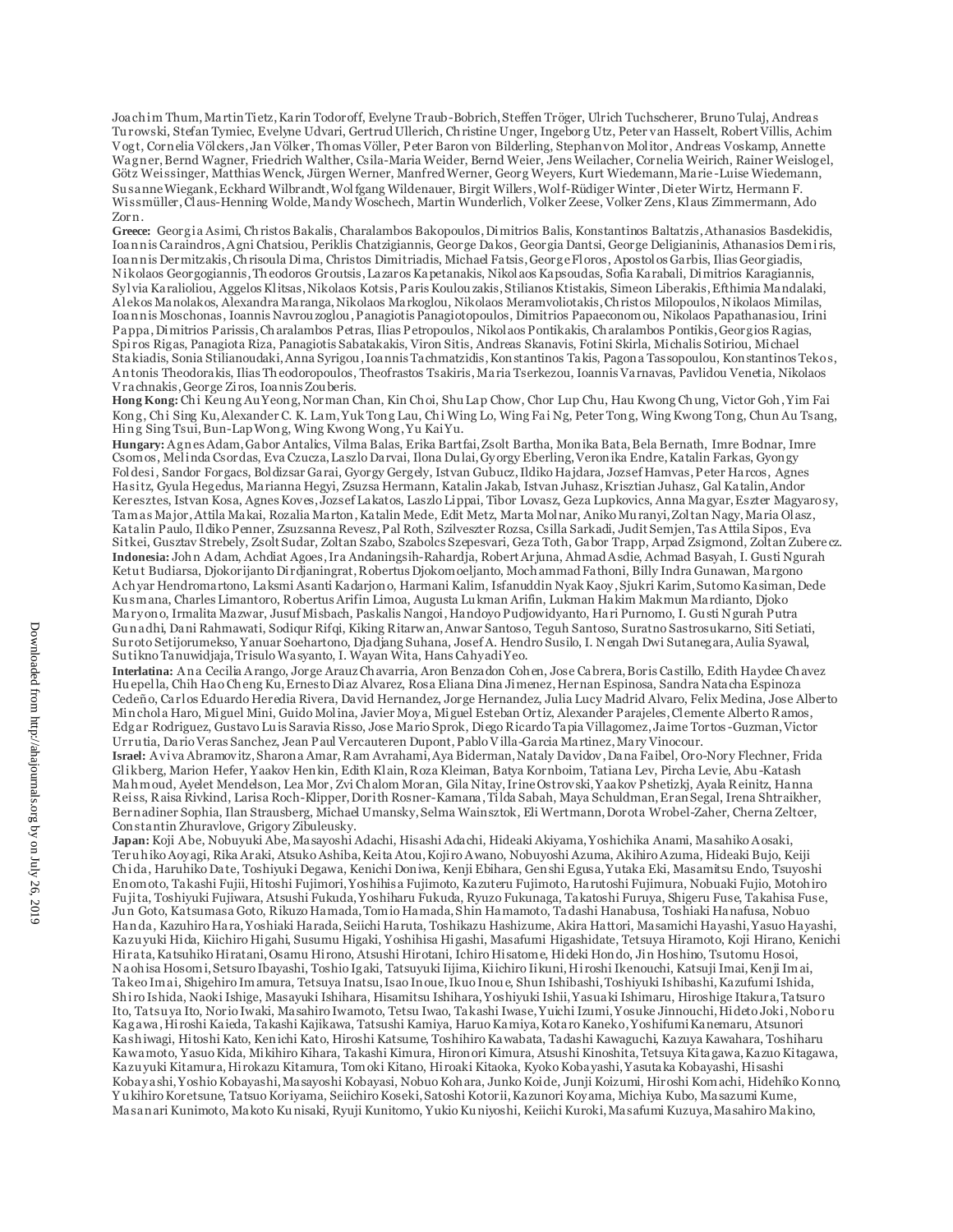Joachim Thum, Martin Tietz, Karin Todor off, Evelyne Traub-Bobrich, Steffen Tröger, Ulrich Tuchscherer, Bruno Tulaj, Andreas Turowski, Stefan Tymiec, Evelyne Udvari, Gertrud Ullerich, Christine Unger, Ingeborg Utz, Peter van Hasselt, Robert Villis, Achim Vogt, Cornelia Völckers, Jan Völker, Thomas Völler, Peter Baron von Bilderling, Stephan von Molitor, Andreas Voskamp, Annette Wagner, Bernd Wagner, Friedrich Walther, Csila-Maria Weider, Bernd Weier, Jens Weilacher, Cornelia Weirich, Rainer Weislogel, Götz Weissinger, Matthias Wenck, Jürgen Werner, Manfred Werner, Georg Weyers, Kurt Wiedemann, Marie-Luise Wiedemann, Susanne Wiegank, Eckhard Wilbrandt, Wolfgang Wildenauer, Birgit Willers, Wolf-Rüdiger Winter, Dieter Wirtz, Hermann F. Wissmüller, Claus-Henning Wolde, Mandy Woschech, Martin Wunderlich, Volker Zeese, Volker Zens, Klaus Zimmermann, Ado Zorn.

Greece: Georgia Asimi, Christos Bakalis, Charalambos Bakopoulos, Dimitrios Balis, Konstantinos Baltatzis, Athanasios Basdekidis, Ioannis Caraindros, Agni Chatsiou, Periklis Chatzigiannis, George Dakos, Georgia Dantsi, George Deligianinis, Athanasios Demiris, Ioannis Dermitzakis, Chrisoula Dima, Christos Dimitriadis, Michael Fatsis, George Floros, Apostolos Garbis, Ilias Georgiadis, Nikolaos Georgogiannis, Theodoros Groutsis, Lazaros Kapetanakis, Nikolaos Kapsoudas, Sofia Karabali, Dimitrios Karagiannis, Sylvia Karalioliou, Aggelos Klitsas, Nikolaos Kotsis, Paris Koulouzakis, Stilianos Ktistakis, Simeon Liberakis, Efthimia Mandalaki, Alekos Manolakos, Alexandra Maranga, Nikolaos Markoglou, Nikolaos Meramvoliotakis, Christos Milopoulos, Nikolaos Mimilas, Ioannis Moschonas, Ioannis Navrou zoglou, Panagiotis Panagiotopoulos, Dimitrios Papaeconomou, Nikolaos Papathanasiou, Irini Pappa, Dimitrios Parissis, Charalambos Petras, Ilias Petropoulos, Nikolaos Pontikakis, Charalambos Pontikis, Georgios Ragias, Spiros Rigas, Panagiota Riza, Panagiotis Sabatakakis, Viron Sitis, Andreas Skanavis, Fotini Skirla, Michalis Sotiriou, Michael Stakiadis, Sonia Stilianoudaki, Anna Syrigou, Ioannis Tachmatzidis, Konstantinos Takis, Pagona Tassopoulou, Konstantinos Tekos, Antonis Theodorakis, Ilias Theodoropoulos, Theofrastos Tsakiris, Maria Tserkezou, Ioannis Varnavas, Pavlidou Venetia, Nikolaos Vrachnakis, George Ziros, Ioannis Zouberis.

Hong Kong: Chi Keung Au Yeong, Norman Chan, Kin Choi, Shu Lap Chow, Chor Lup Chu, Hau Kwong Chung, Victor Goh, Yim Fai Kong, Chi Sing Ku, Alexander C. K. Lam, Yuk Tong Lau, Chi Wing Lo, Wing Fai Ng, Peter Tong, Wing Kwong Tong, Chun Au Tsang, Hing Sing Tsui, Bun-Lap Wong, Wing Kwong Wong, Yu KaiYu.

Hungary: Agnes Adam, Gabor Antalics, Vilma Balas, Erika Bartfai, Zsolt Bartha, Monika Bata, Bela Bernath, Imre Bodnar, Imre Csom os, Melinda Csordas, Eva Czucza, Laszlo Darvai, Ilona Dulai, Gyorgy Eberling, Veronika Endre, Katalin Farkas, Gyongy Foldesi, Sandor Forgacs, Boldizsar Garai, Gyorgy Gergely, Istvan Gubucz, Ildiko Hajdara, Jozsef Hamvas, Peter Harcos, Agnes Hasitz, Gyula Hegedus, Marianna Hegyi, Zsuzsa Hermann, Katalin Jakab, Istvan Juhasz, Krisztian Juhasz, Gal Katalin, Andor Keresztes, Istvan Kosa, Agnes Koves, Jozsef Lakatos, Laszlo Lippai, Tibor Lovasz, Geza Lupkovics, Anna Magyar, Eszter Magyarosy, Tamas Major, Attila Makai, Rozalia Marton, Katalin Mede, Edit Metz, Marta Molnar, Aniko Muranyi, Zoltan Nagy, Maria Olasz, Katalin Paulo, Ildiko Penner, Zsuzsanna Revesz, Pal Roth, Szilveszter Rozsa, Csilla Sarkadi, Judit Semjen, Tas Attila Sipos, Eva Sitkei, Gusztav Strebely, Zsolt Sudar, Zoltan Szabo, Szabolcs Szepesvari, Geza Toth, Gabor Trapp, Arpad Zsigmond, Zoltan Zuberecz. Indonesia: John Adam, Achdiat Agoes, Ira Andaningsih-Rahardja, Robert Arjuna, Ahmad Asdie, Achmad Basyah, I. Gusti Ngurah Ketut Budiarsa, Djokorijanto Dirdjaningrat, Robertus Djokom oeljanto, Mochammad Fathoni, Billy Indra Gunawan, Margono Achyar Hendromartono, Laksmi Asanti Kadarjono, Harmani Kalim, Isfanuddin Nyak Kaoy, Sjukri Karim, Sutomo Kasiman, Dede Kusmana, Charles Limantoro, Robertus Arifin Limoa, Augusta Lukman Arifin, Lukman Hakim Makmun Mardianto, Djoko Maryono, Irmalita Mazwar, Jusuf Misbach, Paskalis Nangoi, Handoyo Pudjowidyanto, Hari Purnomo, I. Gusti Ngurah Putra Gunadhi, Dani Rahmawati, Sodigur Rifgi, Kiking Ritarwan, Anwar Santoso, Teguh Santoso, Suratno Sastrosukarno, Siti Setiati, Suroto Setijorumekso, Yanuar Soehartono, Djadjang Suhana, Josef A. Hendro Susilo, I. Nengah Dwi Sutanegara, Aulia Syawal, Sutikno Tanuwidjaja, Trisulo Wasyanto, I. Wayan Wita, Hans Cahyadi Yeo.

Interlatina: Ana Cecilia Arango, Jorge Arauz Chavarria, Aron Benzadon Cohen, Jose Cabrera, Boris Castillo, Edith Haydee Chavez Huepella, Chih Hao Cheng Ku, Ernesto Diaz Alvarez, Rosa Eliana Dina Jimenez, Hernan Espinosa, Sandra Natacha Espinoza Cedeño, Carlos Eduardo Heredia Rivera, David Hernandez, Jorge Hernandez, Julia Lucy Madrid Alvaro, Felix Medina, Jose Alberto Minchola Haro, Miguel Mini, Guido Molina, Javier Moya, Miguel Esteban Ortiz, Alexander Parajeles, Clemente Alberto Ramos, Edgar Rodriguez, Gustavo Luis Saravia Risso, Jose Mario Sprok, Diego Ricardo Tapia Villagomez, Jaime Tortos-Guzman, Victor Urrutia, Dario Veras Sanchez, Jean Paul Vercauteren Dupont, Pablo Villa-Garcia Martinez, Mary Vinocour.

Israel: Aviva Abramovitz, Sharona Amar, Ram Avrahami, Ava Biderman, Nataly Davidov, Dana Faibel, Oro-Nory Flechner, Frida Glikberg, Marion Hefer, Yaakov Henkin, Edith Klain, Roza Kleiman, Batya Kornboim, Tatiana Lev, Pircha Levie, Abu-Katash Mahmoud, Ayelet Mendelson, Lea Mor, Zvi Chalom Moran, Gila Nitay, Irine Ostrovski, Yaakov Pshetizki, Ayala Reinitz, Hanna Reiss, Raisa Rivkind, Larisa Roch-Klipper, Dorith Rosner-Kamana, Tilda Sabah, Maya Schuldman, Eran Segal, Irena Shtraikher, Bernadiner Sophia, Ilan Strausberg, Michael Umansky, Selma Wainsztok, Eli Wertmann, Dorota Wrobel-Zaher, Cherna Zeltcer, Constantin Zhuravlove, Grigory Zibuleusky.

Japan: Koji Abe, Nobuyuki Abe, Masayoshi Adachi, Hisashi Adachi, Hideaki Akiyama, Yoshichika Anami, Masahiko Aosaki, Teruhiko Aoyagi, Rika Araki, Atsuko Ashiba, Keita Atou, Kojiro Awano, Nobuyoshi Azuma, Akihiro Azuma, Hideaki Bujo, Keiji Chida, Haruhiko Date, Toshiyuki Degawa, Kenichi Doniwa, Kenji Ebihara, Genshi Egusa, Yutaka Eki, Masamitsu Endo, Tsuyoshi En omoto, Takashi Fujii, Hitoshi Fujimori, Yoshihisa Fujimoto, Kazuteru Fujimoto, Harutoshi Fujimura, Nobuaki Fujio, Motohiro Fujita, Toshiyuki Fujiwara, Atsushi Fukuda, Yoshiharu Fukuda, Ryuzo Fukunaga, Takatoshi Furuya, Shigeru Fuse, Takahisa Fuse, Jun Goto, Katsumasa Goto, Rikuzo Hamada, Tomio Hamada, Shin Hamamoto, Tadashi Hanabusa, Toshiaki Hanafusa, Nobuo Handa, Kazuhiro Hara, Yoshiaki Harada, Seiichi Haruta, Toshikazu Hashizume, Akira Hattori, Masamichi Hayashi, Yasuo Hayashi, Kazu yuki Hida, Kiichiro Higahi, Susumu Higaki, Yoshihisa Higashi, Masafumi Higashidate, Tetsuya Hiramoto, Koji Hirano, Kenichi Hirata, Katsuhiko Hiratani, Osamu Hirono, Atsushi Hirotani, Ichiro Hisatome, Hideki Hondo, Jin Hoshino, Tsutomu Hosoi, Naohisa Hosomi, Setsuro Ibayashi, Toshio Igaki, Tatsuyuki Iijima, Kiichiro Iikuni, Hiroshi Ikenouchi, Katsuji Imai, Kenji Imai, Takeo Imai, Shigehiro Imamura, Tetsuya Inatsu, Isao Inoue, Ikuo Inoue, Shun Ishibashi, Toshiyuki Ishibashi, Kazufumi Ishida, Shiro Ishida, Naoki Ishige, Masayuki Ishihara, Hisamitsu Ishihara, Yoshiyuki Ishii, Yasuaki Ishimaru, Hiroshige Itakura, Tatsuro Ito, Tatsuya Ito, Norio Iwaki, Masahiro Iwamoto, Tetsu Iwao, Takashi Iwase, Yuichi Izumi, Yosuke Jinnouchi, Hideto Joki, Noboru Kagawa, Hiroshi Kaieda, Takashi Kajikawa, Tatsushi Kamiya, Haruo Kamiya, Kotaro Kaneko, Yoshifumi Kanemaru, Atsunori Kashiwagi, Hitoshi Kato, Kenichi Kato, Hiroshi Katsume, Toshihiro Kawabata, Tadashi Kawaguchi, Kazuya Kawahara, Toshiharu Kawamoto, Yasuo Kida, Mikihiro Kihara, Takashi Kimura, Hiron ori Kimura, Atsushi Kinoshita, Tetsuya Kitagawa, Kazuo Kitagawa, Kazuyuki Kitamura, Hirokazu Kitamura, Tomoki Kitano, Hiroaki Kitaoka, Kyoko Kobayashi, Yasutaka Kobayashi, Hisashi Kobayashi, Yoshio Kobayashi, Masayoshi Kobayasi, Nobuo Kohara, Junko Koide, Junji Koizumi, Hiroshi Komachi, Hidehiko Konno, Yukihiro Koretsune, Tatsuo Koriyama, Seiichiro Koseki, Satoshi Kotorii, Kazunori Koyama, Michiya Kubo, Masazumi Kume, Masanari Kunimoto, Makoto Kunisaki, Ryuji Kunitomo, Yukio Kuniyoshi, Keiichi Kuroki, Masafumi Kuzuya, Masahiro Makino,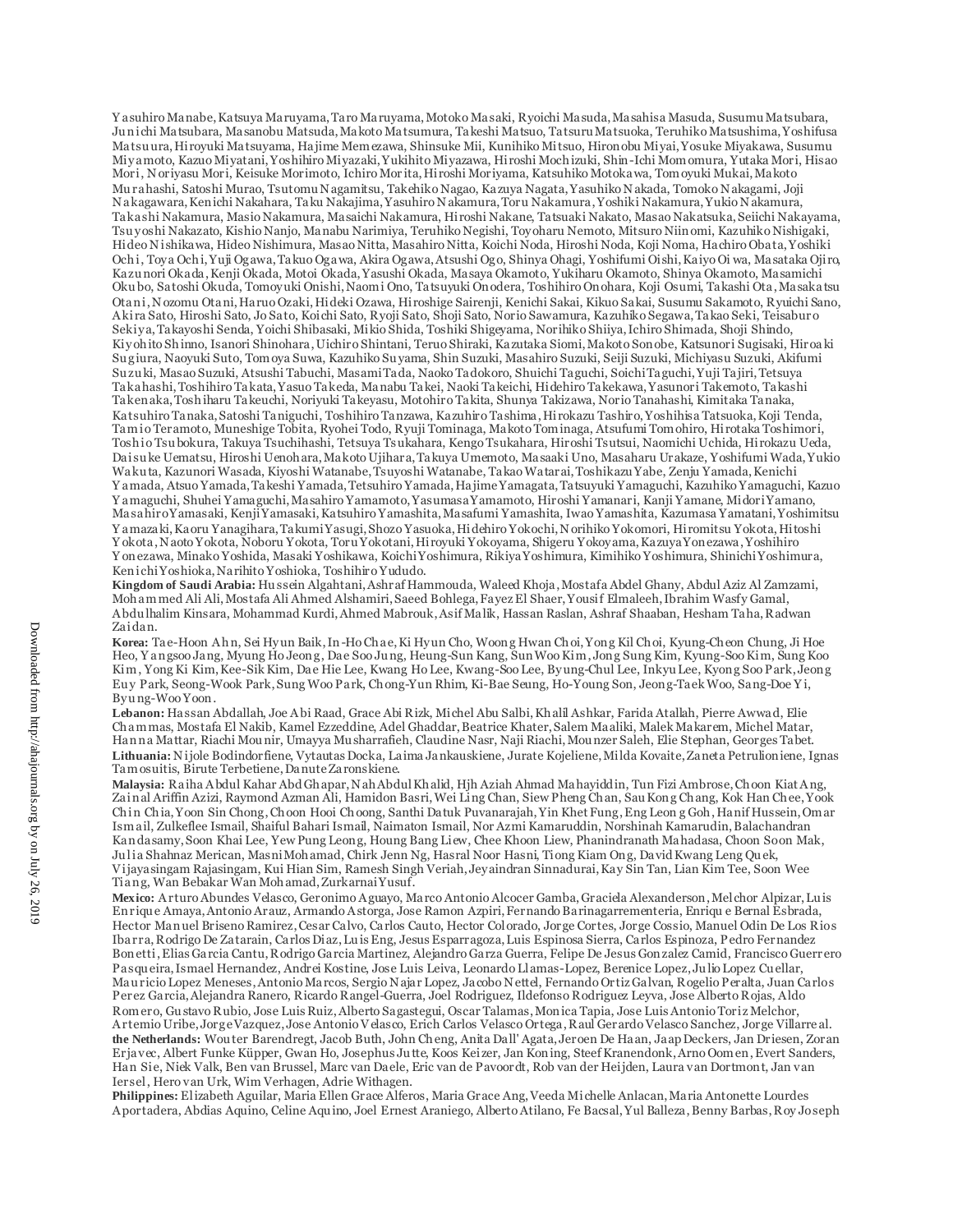Y asuhiro Manabe, Katsuya Maruyama, Taro Maruyama, Motoko Masaki, Ryoichi Masuda, Masahisa Masuda, Susumu Matsubara, Ju nichi Matsubara, Masanobu Matsuda, Makoto Matsumura, Takeshi Matsuo, Tatsuru Matsuoka, Teruhiko Matsushima, Yoshifusa Matsu ura, Hiroyuki Matsuyama, Hajime Memezawa, Shinsuke Mii, Kunihiko Mitsuo, Hironobu Miyai, Yosuke Miyakawa, Susumu Miyamoto, Kazuo Miyatani, Yoshihiro Miyazaki, Yukihito Miyazawa, Hiroshi Mochizuki, Shin-Ichi Momomura, Yutaka Mori, Hisao Mori, N oriyasu Mori, Keisuke Morimoto, Ichiro Mor ita, Hiroshi Moriyama, Katsuhiko Motokawa, Tomoyuki Mukai, Makoto Mu rahashi, Satoshi Murao, Tsutomu N agamitsu, Takehiko Nagao, Kazuya Nagata, Yasuhiko N akada, Tomoko N akagami, Joji N akagawara, Kenichi Nakahara, Taku Nakajima, Yasuhiro N akamura, Toru Nakamura, Yoshiki Nakamura, Yukio N akamura, Takashi Nakamura, Masio Nakamura, Masaichi Nakamura, Hiroshi Nakane, Tatsuaki Nakato, Masao Nakatsuka, Seiichi Nakayama, Tsu yoshi Nakazato, Kishio Nanjo, Manabu Narimiya, Teruhiko Negishi, Toyoharu Nemoto, Mitsuro Niinomi, Kazuhiko Nishigaki, Hideo N ishikawa, Hideo Nishimura, Masao Nitta, Masahiro Nitta, Koichi Noda, Hiroshi Noda, Koji Noma, Hachiro Obata, Yoshiki Ochi, Toya Ochi, Yuji Ogawa, Takuo Ogawa, Akira Ogawa, Atsushi Ogo, Shinya Ohagi, Yoshifumi Oishi, Kaiyo Oi wa, Masataka Ojiro, Kazu nori Okada, Kenji Okada, Motoi Okada, Yasushi Okada, Masaya Okamoto, Yukiharu Okamoto, Shinya Okamoto, Masamichi Oku bo, Satoshi Okuda, Tomoyuki Onishi, Naomi Ono, Tatsuyuki Onodera, Toshihiro Onohara, Koji Osumi, Takashi Ota, Masakatsu Otani, N ozomu Otani, Haruo Ozaki, Hideki Ozawa, Hiroshige Sairenji, Kenichi Sakai, Kikuo Sakai, Susumu Sakamoto, Ryuichi Sano, A kira Sato, Hiroshi Sato, Jo Sato, Koichi Sato, Ryoji Sato, Shoji Sato, Norio Sawamura, Kazuhiko Segawa, Takao Seki, Teisaburo Sekiya, Takayoshi Senda, Yoichi Shibasaki, Mikio Shida, Toshiki Shigeyama, Norihiko Shiiya, Ichiro Shimada, Shoji Shindo, Kiyohito Shinno, Isanori Shinohara, Uichiro Shintani, Teruo Shiraki, Kazutaka Siomi, Makoto Sonobe, Katsunori Sugisaki, Hiroaki Su giura, Naoyuki Suto, Tomoya Suwa, Kazuhiko Su yama, Shin Suzuki, Masahiro Suzuki, Seiji Suzuki, Michiyasu Suzuki, Akifumi Su zu ki, Masao Suzuki, Atsushi Tabuchi, Masami Tada, Naoko Tadokoro, Shuichi Taguchi, Soichi Taguchi, Yuji Tajiri, Tetsuya Takahashi, Toshihiro Takata, Yasuo Takeda, Manabu Takei, Naoki Takeichi, Hidehiro Takekawa, Yasunori Takemoto, Takashi Takenaka, Toshiharu Takeuchi, Noriyuki Takeyasu, Motohiro Takita, Shunya Takizawa, Norio Tanahashi, Kimitaka Tanaka, Katsuhiro Tanaka, Satoshi Taniguchi, Toshihiro Tanzawa, Kazuhiro Tashima, Hirokazu Tashiro, Yoshihisa Tatsuoka, Koji Tenda, Tamio Teramoto, Muneshige Tobita, Ryohei Todo, Ryuji Tominaga, Makoto Tominaga, Atsufumi Tomohiro, Hirotaka Toshimori, Toshio Tsu bokura, Takuya Tsuchihashi, Tetsuya Tsukahara, Kengo Tsukahara, Hiroshi Tsutsui, Naomichi Uchida, Hirokazu Ueda, Daisu ke Uematsu, Hiroshi Uenohara, Makoto Ujihara, Takuya Umemoto, Masaaki Uno, Masaharu Urakaze, Yoshifumi Wada, Yukio Waku ta, Kazunori Wasada, Kiyoshi Watanabe, Tsuyoshi Watanabe, Takao Watarai, Toshikazu Yabe, Zenju Yamada, Kenichi Y amada, Atsuo Yamada, Takeshi Yamada, Tetsuhiro Yamada, Hajime Yamagata, Tatsuyuki Yamaguchi, Kazuhiko Yamaguchi, Kazuo Y amaguchi, Shuhei Yamaguchi, Masahiro Yamamoto, Yasumasa Yamamoto, Hiroshi Yamanari, Kanji Yamane, Midori Yamano, Masahiro Yamasaki, Kenji Yamasaki, Katsuhiro Yamashita, Masafumi Yamashita, Iwao Yamashita, Kazumasa Yamatani, Yoshimitsu Y amazaki, Kaoru Yanagihara, Takumi Yasugi, Shozo Yasuoka, Hidehiro Yokochi, N orihiko Yokomori, Hiromitsu Yokota, Hitoshi Y okota, N aoto Yokota, Noboru Yokota, Toru Yokotani, Hiroyuki Yokoyama, Shigeru Yokoyama, Kazuya Yonezawa, Yoshihiro Y onezawa, Minako Yoshida, Masaki Yoshikawa, Koichi Yoshimura, Rikiya Yoshimura, Kimihiko Yoshimura, Shinichi Yoshimura, Kenichi Yoshioka, Narihito Yoshioka, Toshihiro Yududo.

**Kingdom of Saudi Arabia:** Hu ssein Algahtani, Ashraf Hammouda, Waleed Khoja, Mostafa Abdel Ghany, Abdul Aziz Al Zamzami, Mohammed Ali Ali, Mostafa Ali Ahmed Alshamiri, Saeed Bohlega, Fayez El Shaer, Yousif Elmaleeh, Ibrahim Wasfy Gamal, A bdu lhalim Kinsara, Mohammad Kurdi, Ahmed Mabrouk, Asif Malik, Hassan Raslan, Ashraf Shaaban, Hesham Taha, Radwan Zaidan.

**Korea:** Tae-Hoon A hn, Sei Hyun Baik, In-Ho Chae, Ki Hyun Cho, Woong Hwan Choi, Yong Kil Choi, Kyung-Cheon Chung, Ji Hoe Heo, Y angsoo Jang, Myung Ho Jeong, Dae Soo Ju ng, Heung-Sun Kang, Sun Woo Kim, Jong Sung Kim, Kyung-Soo Kim, Sung Koo Kim, Yong Ki Kim, Kee-Sik Kim, Dae Hie Lee, Kwang Ho Lee, Kwang-Soo Lee, Byung-Chul Lee, Inkyu Lee, Kyong Soo Park, Jeong Eu y Park, Seong-Wook Park, Sung Woo Park, Chong-Yun Rhim, Ki-Bae Seung, Ho-Young Son, Jeong-Taek Woo, Sang-Doe Y i, Byu ng-Woo Yoon.

**Lebanon:** Hassan Abdallah, Joe A bi Raad, Grace Abi Rizk, Michel Abu Salbi, Khalil Ashkar, Farida Atallah, Pierre Awwad, Elie Chammas, Mostafa El Nakib, Kamel Ezzeddine, Adel Ghaddar, Beatrice Khater, Salem Maaliki, Malek Makarem, Michel Matar, Hanna Mattar, Riachi Mou nir, Umayya Mu sharrafieh, Claudine Nasr, Naji Riachi, Mou nzer Saleh, Elie Stephan, Georges Tabet. **Lithuania:** N ijole Bodindorfiene, Vytautas Docka, Laima Jankauskiene, Jurate Kojeliene, Milda Kovaite, Zaneta Petrulioniene, Ignas Tamosuitis, Birute Terbetiene, Danute Zaronskiene.

**Malaysia:** Raiha A bdul Kahar Abd Ghapar, N ah Abdul Khalid, Hjh Aziah Ahmad Mahayiddin, Tun Fizi Ambrose, Choon Kiat A ng, Zainal Ariffin Azizi, Raymond Azman Ali, Hamidon Basri, Wei Ling Chan, Siew Pheng Chan, Sau Kong Chang, Kok Han Chee, Yook Chin Chia, Yoon Sin Chong, Choon Hooi Choong, Santhi Datuk Puvanarajah, Yin Khet Fung, Eng Leon g Goh, Hanif Hussein, Omar Ismail, Zulkeflee Ismail, Shaiful Bahari Ismail, Naimaton Ismail, Nor Azmi Kamaruddin, Norshinah Kamarudin, Balachandran Kandasamy, Soon Khai Lee, Yew Pung Leong, Houng Bang Liew, Chee Khoon Liew, Phanindranath Mahadasa, Choon Soon Mak, Ju lia Shahnaz Merican, Masni Mohamad, Chirk Jenn Ng, Hasral Noor Hasni, Tiong Kiam Ong, David Kwang Leng Qu ek, V ijayasingam Rajasingam, Kui Hian Sim, Ramesh Singh Veriah, Jeyaindran Sinnadurai, Kay Sin Tan, Lian Kim Tee, Soon Wee Tiang, Wan Bebakar Wan Mohamad, Zurkarnai Yusuf.

Mexico: Arturo Abundes Velasco, Geronimo A guayo, Marco Antonio Alcocer Gamba, Graciela Alexanderson, Melchor Alpizar, Luis Enriqu e Amaya, Antonio Arauz, Armando A storga, Jose Ramon Azpiri, Fernando Barinagarrementeria, Enriqu e Bernal Esbrada, Hector Manuel Briseno Ramirez, Cesar Calvo, Carlos Cauto, Hector Colorado, Jorge Cortes, Jorge Cossio, Manuel Odin De Los Rios Ibarra, Rodrigo De Zatarain, Carlos Diaz, Lu is Eng, Jesus Esparragoza, Luis Espinosa Sierra, Carlos Espinoza, Pedro Fernandez Bonetti, Elias Garcia Cantu, Rodrigo Garcia Martinez, Alejandro Garza Guerra, Felipe De Jesus Gonzalez Camid, Francisco Guerrero Pasqu eira, Ismael Hernandez, Andrei Kostine, Jose Luis Leiva, Leonardo Llamas-Lopez, Berenice Lopez, Ju lio Lopez Cu ellar, Mau ricio Lopez Meneses, Antonio Marcos, Sergio N ajar Lopez, Jacobo N ettel, Fernando Ortiz Galvan, Rogelio Peralta, Juan Carlos Perez Garcia, Alejandra Ranero, Ricardo Rangel-Guerra, Joel Rodriguez, Ildefonso Rodriguez Leyva, Jose Alberto Rojas, Aldo Romero, Gu stavo Rubio, Jose Luis Ruiz, Alberto Sagastegui, Oscar Talamas, Monica Tapia, Jose Luis Antonio Toriz Melchor, A rtemio Uribe, Jorge Vazquez, Jose Antonio V elasco, Erich Carlos Velasco Ortega, Raul Gerardo Velasco Sanchez, Jorge Villarre al. **the Netherlands:** Wou ter Barendregt, Jacob Buth, John Cheng, Anita Dall' Agata, Jeroen De Haan, Jaap Deckers, Jan Driesen, Zoran Erjavec, Albert Funke Küpper, Gwan Ho, Josephus Ju tte, Koos Keizer, Jan Koning, Steef Kranendonk, Arno Oomen, Evert Sanders, Han Sie, Niek Valk, Ben van Brussel, Marc van Daele, Eric van de Pavoordt, Rob van der Heijden, Laura van Dortmont, Jan van Iersel, Hero van Urk, Wim Verhagen, Adrie Withagen.

**Philippines:** Elizabeth Aguilar, Maria Ellen Grace Alferos, Maria Grace Ang, Veeda Michelle Anlacan, Maria Antonette Lourdes A portadera, Abdias Aquino, Celine Aqu ino, Joel Ernest Araniego, Alberto Atilano, Fe Bacsal, Yul Balleza, Benny Barbas, Roy Joseph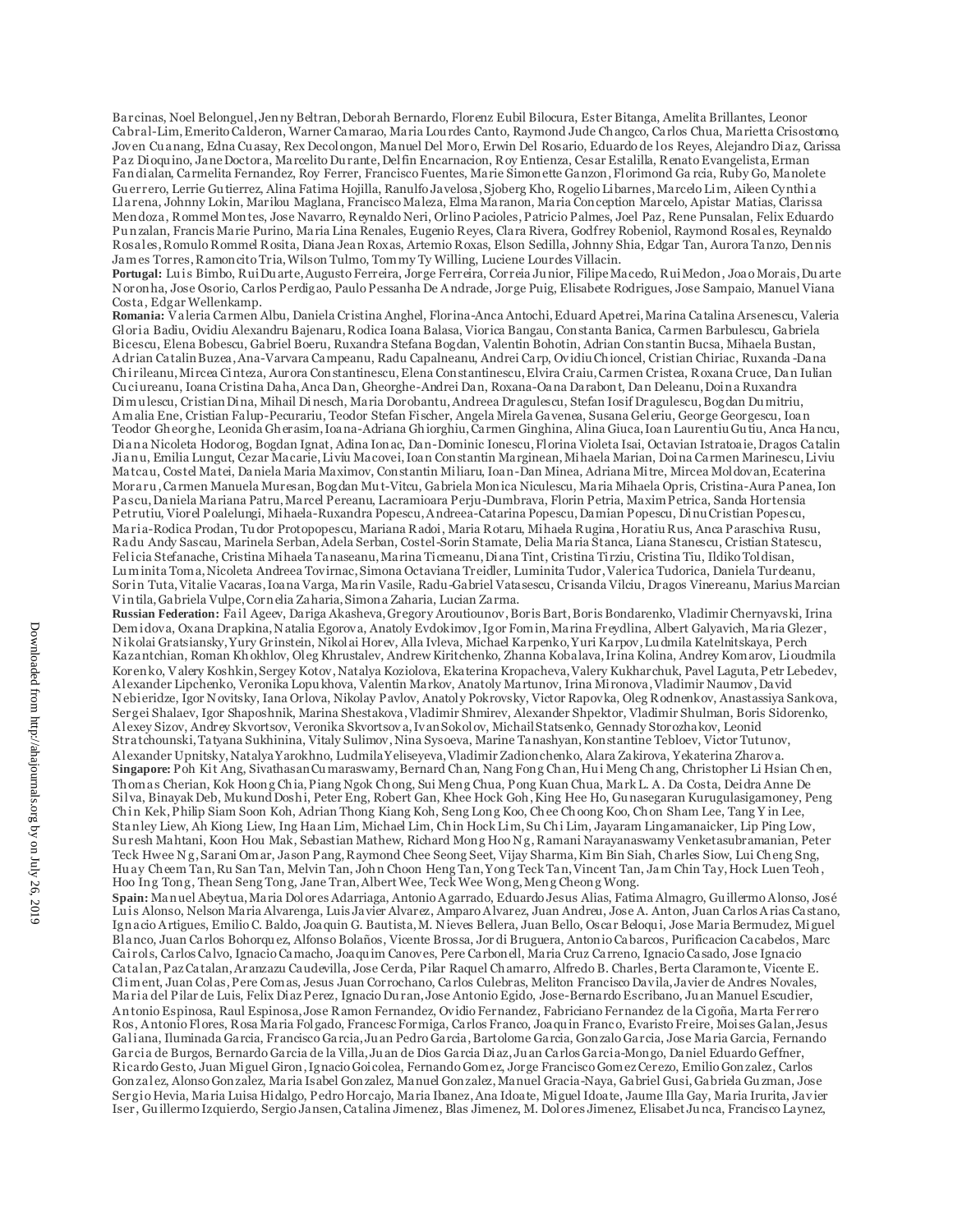Barcinas, Noel Belonguel, Jenny Beltran, Deborah Bernardo, Florenz Eubil Bilocura, Ester Bitanga, Amelita Brillantes, Leonor Cabral-Lim, Emerito Calderon, Warner Camarao, Maria Lou rdes Canto, Raymond Jude Changco, Carlos Chua, Marietta Crisostomo, Joven Cu anang, Edna Cu asay, Rex Decolongon, Manuel Del Moro, Erwin Del Rosario, Eduardo de los Reyes, Alejandro Diaz, Carissa Paz Dioqu ino, Jane Doctora, Marcelito Du rante, Delfin Encarnacion, Roy Entienza, Cesar Estalilla, Renato Evangelista, Erman Fandialan, Carmelita Fernandez, Roy Ferrer, Francisco Fuentes, Marie Simonette Ganzon, Florimond Ga rcia, Ruby Go, Manolete Gu errero, Lerrie Gu tierrez, Alina Fatima Hojilla, Ranulfo Javelosa, Sjoberg Kho, Rogelio Libarnes, Marcelo Lim, Aileen Cynthi a Llarena, Johnny Lokin, Marilou Maglana, Francisco Maleza, Elma Maranon, Maria Conception Marcelo, Apistar Matias, Clarissa Mendoza, Rommel Montes, Jose Navarro, Reynaldo Neri, Orlino Pacioles, Patricio Palmes, Joel Paz, Rene Punsalan, Felix Eduardo Pu nzalan, Francis Marie Purino, Maria Lina Renales, Eugenio Reyes, Clara Rivera, Godfrey Robeniol, Raymond Rosal es, Reynaldo Rosales, Romulo Rommel Rosita, Diana Jean Roxas, Artemio Roxas, Elson Sedilla, Johnny Shia, Edgar Tan, Aurora Tanzo, Dennis James Torres, Ramoncito Tria, Wilson Tulmo, Tommy Ty Willing, Luciene Lourdes Villacin.

**Portugal:** Lu is Bimbo, Rui Du arte, Augusto Ferreira, Jorge Ferreira, Correia Ju nior, Filipe Macedo, Rui Medon, Joao Morais, Du arte N oronha, Jose Osorio, Carlos Perdigao, Paulo Pessanha De A ndrade, Jorge Puig, Elisabete Rodrigues, Jose Sampaio, Manuel Viana Costa, Edgar Wellenkamp.

**Romania:** V aleria Carmen Albu, Daniela Cristina Anghel, Florina-Anca Antochi, Eduard Apetrei, Marina Catalina Arsenescu, Valeria Gloria Badiu, Ovidiu Alexandru Bajenaru, Rodica Ioana Balasa, Viorica Bangau, Constanta Banica, Carmen Barbulescu, Gabriela Bicescu, Elena Bobescu, Gabriel Boeru, Ruxandra Stefana Bogdan, Valentin Bohotin, Adrian Constantin Bucsa, Mihaela Bustan, A drian Catalin Buzea, Ana-Varvara Campeanu, Radu Capalneanu, Andrei Carp, Ovidiu Chioncel, Cristian Chiriac, Ruxanda -Dana Chirileanu, Mircea Cinteza, Aurora Constantinescu, Elena Constantinescu, Elvira Craiu, Carmen Cristea, Roxana Cruce, Dan Iulian Cu ciureanu, Ioana Cristina Daha, Anca Dan, Gheorghe-Andrei Dan, Roxana-Oana Darabont, Dan Deleanu, Doina Ruxandra Dimu lescu, Cristian Dina, Mihail Dinesch, Maria Dorobantu, Andreea Dragulescu, Stefan Iosif Dragulescu, Bogdan Du mitriu, A malia Ene, Cristian Falup-Pecurariu, Teodor Stefan Fischer, Angela Mirela Gavenea, Susana Geleriu, George Georgescu, Ioan Teodor Gheorghe, Leonida Gherasim, Ioana-Adriana Ghiorghiu, Carmen Ginghina, Alina Giuca, Ioan Laurentiu Gu tiu, Anca Hancu, Diana Nicoleta Hodorog, Bogdan Ignat, Adina Ionac, Dan-Dominic Ionescu, Florina Violeta Isai, Octavian Istratoaie, Dragos Catalin Jianu, Emilia Lungut, Cezar Macarie, Liviu Macovei, Ioan Constantin Marginean, Mihaela Marian, Doina Carmen Marinescu, Liviu Matcau, Costel Matei, Daniela Maria Maximov, Constantin Miliaru, Ioan-Dan Minea, Adriana Mitre, Mircea Moldovan, Ecaterina Moraru , Carmen Manuela Muresan, Bogdan Mu t-Vitcu, Gabriela Monica Niculescu, Maria Mihaela Opris, Cristina-Aura Panea, Ion Pascu, Daniela Mariana Patru, Marcel Pereanu, Lacramioara Perju-Dumbrava, Florin Petria, Maxim Petrica, Sanda Hortensia Petrutiu, Viorel Poalelungi, Mihaela-Ruxandra Popescu, A ndreea-Catarina Popescu, Damian Popescu, Dinu Cristian Popescu, Maria-Rodica Prodan, Tu dor Protopopescu, Mariana Radoi, Maria Rotaru, Mihaela Rugina, Horatiu Rus, Anca Paraschiva Rusu, Radu Andy Sascau, Marinela Serban, Adela Serban, Costel-Sorin Stamate, Delia Maria Stanca, Liana Stanescu, Cristian Statescu, Felicia Stefanache, Cristina Mihaela Tanaseanu, Marina Ticmeanu, Diana Tint, Cristina Tirziu, Cristina Tiu, Ildiko Toldisan, Lu minita Toma, Nicoleta Andreea Tovirnac, Simona Octaviana Treidler, Luminita Tudor, Valerica Tudorica, Daniela Turdeanu, Sorin Tuta, Vitalie Vacaras, Ioana Varga, Marin Vasile, Radu-Gabriel Vatasescu, Crisanda Vilciu, Dragos Vinereanu, Marius Marcian V intila, Gabriela Vulpe, Cornelia Zaharia, Simona Zaharia, Lucian Zarma.

**Russian Federation:** Fail Ageev, Dariga Akasheva, Gregory Aroutiounov, Boris Bart, Boris Bondarenko, Vladimir Chernyavski, Irina Demidova, Oxana Drapkina, N atalia Egorova, Anatoly Evdokimov, Igor Fomin, Marina Freydlina, Albert Galyavich, Maria Glezer, N ikolai Gratsiansky, Yury Grinstein, Nikolai Horev, Alla Ivleva, Michael Karpenko, Yuri Karpov, Lu dmila Katelnitskaya, Perch Kazantchian, Roman Khokhlov, Oleg Khrustalev, Andrew Kiritchenko, Zhanna Kobalava, Irina Kolina, Andrey Komarov, Lioudmila Korenko, V alery Koshkin, Sergey Kotov, Natalya Koziolova, Ekaterina Kropacheva, Valery Kukharchuk, Pavel Laguta, Petr Lebedev, A lexander Lipchenko, Veronika Lopu khova, Valentin Markov, Anatoly Martunov, Irina Mironova, Vladimir Naumov, David N ebieridze, Igor N ovitsky, Iana Orlova, Nikolay Pavlov, Anatoly Pokrovsky, Victor Rapovka, Oleg Rodnenkov, Anastassiya Sankova, Sergei Shalaev, Igor Shaposhnik, Marina Shestakova, Vladimir Shmirev, Alexander Shpektor, Vladimir Shulman, Boris Sidorenko, A lexey Sizov, Andrey Skvortsov, Veronika Skvortsov a, Ivan Sokolov, Michail Statsenko, Gennady Storozhakov, Leonid Stratchounski, Tatyana Sukhinina, Vitaly Sulimov, Nina Sysoeva, Marine Tanashyan, Konstantine Tebloev, Victor Tutunov, A lexander Upnitsky, Natalya Yarokhno, Ludmila Yeliseyeva, Vladimir Zadionchenko, Alara Zakirova, Yekaterina Zharova. **Singapore:** Poh Kit Ang, Sivathasan Cu maraswamy, Bernard Chan, Nang Fong Chan, Hu i Meng Chang, Christopher Li Hsian Chen, Thomas Cherian, Kok Hoong Chia, Piang Ngok Chong, Sui Meng Chua, Pong Kuan Chua, Mark L. A . Da Costa, Deidra Anne De Silva, Binayak Deb, Mu kund Doshi, Peter Eng, Robert Gan, Khee Hock Goh, King Hee Ho, Gu nasegaran Kurugulasigamoney, Peng Chin Kek, Philip Siam Soon Koh, Adrian Thong Kiang Koh, Seng Long Koo, Chee Choong Koo, Chon Sham Lee, Tang Y in Lee, Stanley Liew, Ah Kiong Liew, Ing Haan Lim, Michael Lim, Chin Hock Lim, Su Chi Lim, Jayaram Lingamanaicker, Lip Ping Low, Su resh Mahtani, Koon Hou Mak, Sebastian Mathew, Richard Mong Hoo N g, Ramani Narayanaswamy Venketasubramanian, Peter Teck Hwee Ng, Sarani Omar, Jason Pang, Raymond Chee Seong Seet, Vijay Sharma, Kim Bin Siah, Charles Siow, Lui Cheng Sng, Hu ay Cheem Tan, Ru San Tan, Melvin Tan, John Choon Heng Tan, Yong Teck Tan, Vincent Tan, Jam Chin Tay, Hock Luen Teoh, Hoo Ing Tong, Thean Seng Tong, Jane Tran, Albert Wee, Teck Wee Wong, Meng Cheong Wong.

**Spain:** Manuel Abeytua, Maria Dolores Adarriaga, Antonio A garrado, Eduardo Jesus Alias, Fatima Almagro, Gu illermo A lonso, José Luis Alonso, Nelson Maria Alvarenga, Luis Javier Alvarez, Amparo Alvarez, Juan Andreu, Jose A. Anton, Juan Carlos Arias Castano, Ignacio A rtigues, Emilio C. Baldo, Joaquin G. Bautista, M. N ieves Bellera, Juan Bello, Oscar Beloqu i, Jose Maria Bermudez, Mi guel Blanco, Juan Carlos Bohorqu ez, Alfonso Bolaños, Vicente Brossa, Jor di Bruguera, Antonio Cabarcos, Purificacion Cacabelos, Marc Cairols, Carlos Calvo, Ignacio Camacho, Joaqu im Canoves, Pere Carbonell, Maria Cruz Carreno, Ignacio Casado, Jose Ignacio Catalan, Paz Catalan, Aranzazu Caudevilla, Jose Cerda, Pilar Raquel Chamarro, Alfredo B. Charles, Berta Claramonte, Vicente E. Climent, Juan Colas, Pere Comas, Jesus Juan Corrochano, Carlos Culebras, Meliton Francisco Davila, Javier de Andres Novales, Maria del Pilar de Luis, Felix Diaz Perez, Ignacio Du ran, Jose Antonio Egido, Jose-Bernardo Escribano, Ju an Manuel Escudier, A ntonio Espinosa, Raul Espinosa, Jose Ramon Fernandez, Ovidio Fernandez, Fabriciano Fernandez de la Cigoña, Marta Ferrero Ros, A ntonio Flores, Rosa Maria Folgado, Francesc Formiga, Carlos Franco, Joaqu in Franco, Evaristo Freire, Moises Galan, Jesus Galiana, Iluminada Garcia, Francisco Garcia, Ju an Pedro Garcia, Bartolome Garcia, Gonzalo Garcia, Jose Maria Garcia, Fernando Garcia de Burgos, Bernardo Garcia de la Villa, Ju an de Dios Garcia Diaz, Ju an Carlos Garcia-Mongo, Daniel Eduardo Geffner, Ricardo Gesto, Juan Miguel Giron, Ignacio Goicolea, Fernando Gomez, Jorge Francisco Gomez Cerezo, Emilio Gonzalez, Carlos Gonzalez, Alonso Gonzalez, Maria Isabel Gonzalez, Manuel Gonzalez, Manuel Gracia-Naya, Gabriel Gusi, Gabriela Gu zman, Jose Sergio Hevia, Maria Luisa Hidalgo, Pedro Horcajo, Maria Ibanez, Ana Idoate, Miguel Idoate, Jaume Illa Gay, Maria Irurita, Jav ier Iser, Gu illermo Izquierdo, Sergio Jansen, Catalina Jimenez, Blas Jimenez, M. Dolores Jimenez, Elisabet Junca, Francisco Laynez,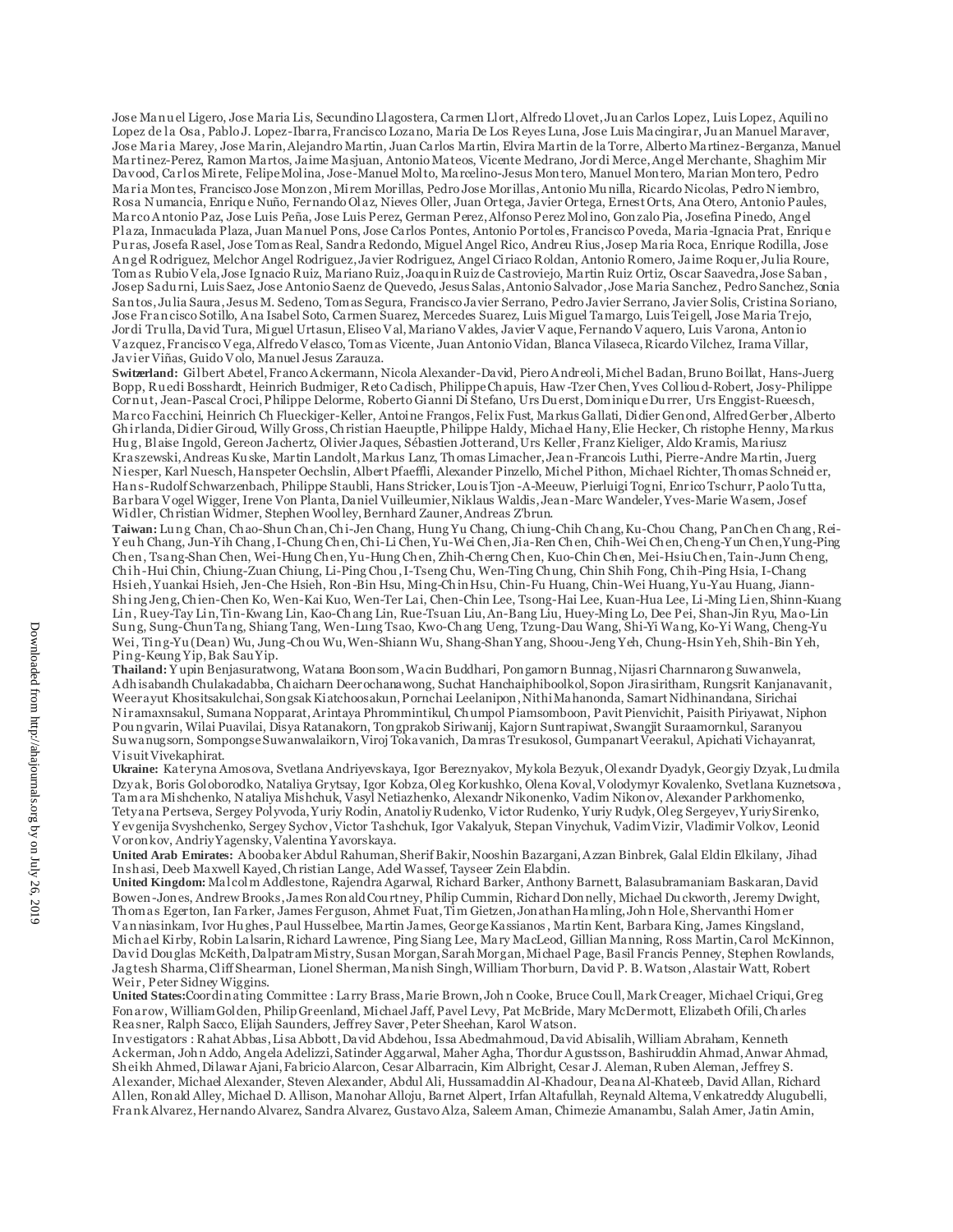Jose Manu el Ligero, Jose Maria Lis, Secundino Llagostera, Carmen Llort, Alfredo Llovet, Ju an Carlos Lopez, Luis Lopez, Aquilino Lopez de la Osa, Pablo J. Lopez-Ibarra, Francisco Lozano, Maria De Los Reyes Luna, Jose Luis Macingirar, Ju an Manuel Maraver, Jose Maria Marey, Jose Marin, Alejandro Martin, Juan Carlos Martin, Elvira Martin de la Torre, Alberto Martinez-Berganza, Manuel Martinez-Perez, Ramon Martos, Jaime Masjuan, Antonio Mateos, Vicente Medrano, Jordi Merce, Angel Merchante, Shaghim Mir Davood, Carlos Mirete, Felipe Molina, Jose-Manuel Molto, Marcelino-Jesus Montero, Manuel Montero, Marian Montero, Pedro Maria Montes, Francisco Jose Monzon, Mirem Morillas, Pedro Jose Morillas, Antonio Mu nilla, Ricardo Nicolas, Pedro N iembro, Rosa N umancia, Enriqu e Nuño, Fernando Olaz, Nieves Oller, Juan Ortega, Javier Ortega, Ernest Orts, Ana Otero, Antonio Paules, Marco A ntonio Paz, Jose Luis Peña, Jose Luis Perez, German Perez, Alfonso Perez Molino, Gonzalo Pia, Josefina Pinedo, Angel Plaza, Inmaculada Plaza, Juan Manuel Pons, Jose Carlos Pontes, Antonio Portoles, Francisco Poveda, Maria-Ignacia Prat, Enriqu e Pu ras, Josefa Rasel, Jose Tomas Real, Sandra Redondo, Miguel Angel Rico, Andreu Rius, Josep Maria Roca, Enrique Rodilla, Jose A ngel Rodriguez, Melchor Angel Rodriguez, Javier Rodriguez, Angel Ciriaco Roldan, Antonio Romero, Jaime Roqu er, Ju lia Roure, Tomas Rubio V ela, Jose Ignacio Ruiz, Mariano Ruiz, Joaqu in Ruiz de Castroviejo, Martin Ruiz Ortiz, Oscar Saavedra, Jose Saban, Josep Sadu rni, Luis Saez, Jose Antonio Saenz de Quevedo, Jesus Salas, Antonio Salvador, Jose Maria Sanchez, Pedro Sanchez, Sonia Santos, Ju lia Saura, Jesus M. Sedeno, Tomas Segura, Francisco Javier Serrano, Pedro Javier Serrano, Javier Solis, Cristina Soriano, Jose Francisco Sotillo, A na Isabel Soto, Carmen Suarez, Mercedes Suarez, Luis Miguel Tamargo, Luis Teigell, Jose Maria Trejo, Jordi Tru lla, David Tura, Miguel Urtasun, Eliseo V al, Mariano V aldes, Javier V aque, Fernando V aquero, Luis Varona, Antonio V azquez, Francisco V ega, Alfredo V elasco, Tomas Vicente, Juan Antonio Vidan, Blanca Vilaseca, Ricardo Vilchez, Irama Villar, Javier Viñas, Guido V olo, Manuel Jesus Zarauza.

**Switzerland:** Gilbert Abetel, Franco A ckermann, Nicola Alexander-David, Piero A ndreoli, Michel Badan, Bruno Boillat, Hans-Juerg Bopp, Ru edi Bosshardt, Heinrich Budmiger, Reto Cadisch, Philippe Chapuis, Haw -Tzer Chen, Yves Colliou d-Robert, Josy-Philippe Cornu t, Jean-Pascal Croci, Philippe Delorme, Roberto Gianni Di Stefano, Urs Du erst, Dominiqu e Du rrer, Urs Enggist-Rueesch, Marco Facchini, Heinrich Ch Flueckiger-Keller, Antoine Frangos, Felix Fust, Markus Gallati, Didier Genond, Alfred Gerber, Alberto Ghirlanda, Didier Giroud, Willy Gross, Christian Haeuptle, Philippe Haldy, Michael Hany, Elie Hecker, Ch ristophe Henny, Markus Hu g, Blaise Ingold, Gereon Jachertz, Olivier Jaques, Sébastien Jotterand, Urs Keller, Franz Kieliger, Aldo Kramis, Mariusz Kraszewski, Andreas Ku ske, Martin Landolt, Markus Lanz, Thomas Limacher, Jean-Francois Luthi, Pierre-Andre Martin, Juerg N iesper, Karl Nuesch, Hanspeter Oechslin, Albert Pfaeffli, Alexander Pinzello, Michel Pithon, Michael Richter, Thomas Schneid er, Hans-Rudolf Schwarzenbach, Philippe Staubli, Hans Stricker, Lou is Tjon -A-Meeuw, Pierluigi Togni, Enrico Tschurr, Paolo Tu tta, Barbara V ogel Wigger, Irene Von Planta, Daniel Vuilleumier, Niklaus Waldis, Jean-Marc Wandeler, Yves-Marie Wasem, Josef Widler, Christian Widmer, Stephen Woolley, Bernhard Zauner, Andreas Z'brun.

**Taiwan:** Lu ng Chan, Chao-Shun Chan, Chi-Jen Chang, Hung Yu Chang, Chiung-Chih Chang, Ku-Chou Chang, Pan Chen Chang, Rei-Y eu h Chang, Jun-Yih Chang, I-Chung Chen, Chi-Li Chen, Yu-Wei Chen, Jia-Ren Chen, Chih-Wei Chen, Cheng-Yun Chen, Yung-Ping Chen, Tsang-Shan Chen, Wei-Hung Chen, Yu-Hung Chen, Zhih-Cherng Chen, Kuo-Chin Chen, Mei-Hsiu Chen, Tain-Junn Cheng, Chih-Hui Chin, Chiung-Zuan Chiung, Li-Ping Chou , I-Tseng Chu, Wen-Ting Chung, Chin Shih Fong, Chih-Ping Hsia, I-Chang Hsieh, Yuankai Hsieh, Jen-Che Hsieh, Ron-Bin Hsu, Ming-Chin Hsu, Chin-Fu Huang, Chin-Wei Huang, Yu-Yau Huang, Jiann-Shing Jeng, Chien-Chen Ko, Wen-Kai Kuo, Wen-Ter Lai, Chen-Chin Lee, Tsong-Hai Lee, Kuan-Hua Lee, Li-Ming Lien, Shinn-Kuang Lin, Ruey-Tay Lin, Tin-Kwang Lin, Kao-Chang Lin, Rue-Tsuan Liu, An-Bang Liu, Huey-Ming Lo, Dee Pei, Shan-Jin Ryu, Mao-Lin Su ng, Sung-Chun Tang, Shiang Tang, Wen-Lung Tsao, Kwo-Chang Ueng, Tzung-Dau Wang, Shi-Yi Wang, Ko-Yi Wang, Cheng-Yu Wei, Ting-Yu (Dean) Wu, Jung-Chou Wu, Wen-Shiann Wu, Shang-Shan Yang, Shoou-Jeng Yeh, Chung-Hsin Yeh, Shih-Bin Yeh, Ping-Keung Yip, Bak Sau Yip.

**Thailand:** Y upin Benjasuratwong, Watana Boonsom, Wacin Buddhari, Pongamorn Bunnag, Nijasri Charnnarong Suwanwela, A dhisabandh Chulakadabba, Chaicharn Deerochanawong, Suchat Hanchaiphiboolkol, Sopon Jirasiritham, Rungsrit Kanjanavanit, Weerayut Khositsakulchai, Songsak Kiatchoosakun, Pornchai Leelanipon, Nithi Mahanonda, Samart Nidhinandana, Sirichai N iramaxnsakul, Sumana Nopparat, Arintaya Phrommintikul, Chumpol Piamsomboon, Pavit Pienvichit, Paisith Piriyawat, Niphon Pou ngvarin, Wilai Puavilai, Disya Ratanakorn, Tongprakob Siriwanij, Kajorn Suntrapiwat, Swangjit Suraamornkul, Saranyou Su wanugsorn, Sompongse Suwanwalaikorn, Viroj Tokavanich, Damras Tresukosol, Gumpanart Veerakul, Apichati Vichayanrat, V isuit Vivekaphirat.

**Ukraine:** Kateryna Amosova, Svetlana Andriyevskaya, Igor Bereznyakov, Mykola Bezyuk, Olexandr Dyadyk, Georgiy Dzyak, Lu dmila Dzyak, Boris Goloborodko, Nataliya Grytsay, Igor Kobza, Oleg Korkushko, Olena Koval, V olodymyr Kovalenko, Svetlana Kuznetsova , Tamara Mishchenko, N ataliya Mishchuk, Vasyl Netiazhenko, Alexandr Nikonenko, Vadim Nikonov, Alexander Parkhomenko, Tetyana Pertseva, Sergey Polyvoda, Yuriy Rodin, Anatoliy Rudenko, V ictor Rudenko, Yuriy Rudyk, Oleg Sergeyev, Yuriy Sirenko, Y evgenija Svyshchenko, Sergey Sychov, Victor Tashchuk, Igor Vakalyuk, Stepan Vinychuk, Vadim Vizir, Vladimir Volkov, Leonid V oronkov, Andriy Yagensky, Valentina Yavorskaya.

**United Arab Emirates:** A boobaker Abdul Rahuman, Sherif Bakir, Nooshin Bazargani, A zzan Binbrek, Galal Eldin Elkilany, Jihad Inshasi, Deeb Maxwell Kayed, Christian Lange, Adel Wassef, Tayseer Zein Elabdin.

**United Kingdom:** Malcolm Addlestone, Rajendra Agarwal, Richard Barker, Anthony Barnett, Balasubramaniam Baskaran, David Bowen-Jones, Andrew Brooks, James Ronald Cou rtney, Philip Cummin, Richard Donnelly, Michael Du ckworth, Jeremy Dwight, Thomas Egerton, Ian Farker, James Ferguson, Ahmet Fuat, Tim Gietzen, Jonathan Hamling, John Hole, Shervanthi Homer V anniasinkam, Ivor Hu ghes, Paul Husselbee, Martin James, George Kassianos , Martin Kent, Barbara King, James Kingsland, Michael Kirby, Robin Lalsarin, Richard Lawrence, Ping Siang Lee, Mary MacLeod, Gillian Manning, Ross Martin, Carol McKinnon, David Dou glas McKeith, Dalpatram Mistry, Susan Morgan, Sarah Morgan, Michael Page, Basil Francis Penney, Stephen Rowlands, Jagtesh Sharma, Cliff Shearman, Lionel Sherman, Manish Singh, William Thorburn, David P. B. Watson, Alastair Watt, Robert Weir, Peter Sidney Wiggins.

**United States:**Coordinating Committee : Larry Brass, Marie Brown, Joh n Cooke, Bruce Cou ll, Mark Creager, Michael Criqui, Greg Fonarow, William Golden, Philip Greenland, Michael Jaff, Pavel Levy, Pat McBride, Mary McDermott, Elizabeth Ofili, Charles Reasner, Ralph Sacco, Elijah Saunders, Jeffrey Saver, Peter Sheehan, Karol Watson.

Investigators : Rahat Abbas, Lisa Abbott, David Abdehou, Issa Abedmahmoud, David Abisalih, William Abraham, Kenneth A ckerman, John Addo, Angela Adelizzi, Satinder Aggarwal, Maher Agha, Thordur A gustsson, Bashiruddin Ahmad, Anwar Ahmad, Sheikh Ahmed, Dilawar Ajani, Fabricio Alarcon, Cesar Albarracin, Kim Albright, Cesar J. Aleman, Ruben Aleman, Jeffrey S. A lexander, Michael Alexander, Steven Alexander, Abdul Ali, Hussamaddin Al-Khadour, Deana Al-Khateeb, David Allan, Richard A llen, Ronald Alley, Michael D. A llison, Manohar Alloju, Barnet Alpert, Irfan Altafullah, Reynald Altema, V enkatreddy Alugubelli, Frank Alvarez, Hernando Alvarez, Sandra Alvarez, Gustavo Alza, Saleem Aman, Chimezie Amanambu, Salah Amer, Jatin Amin,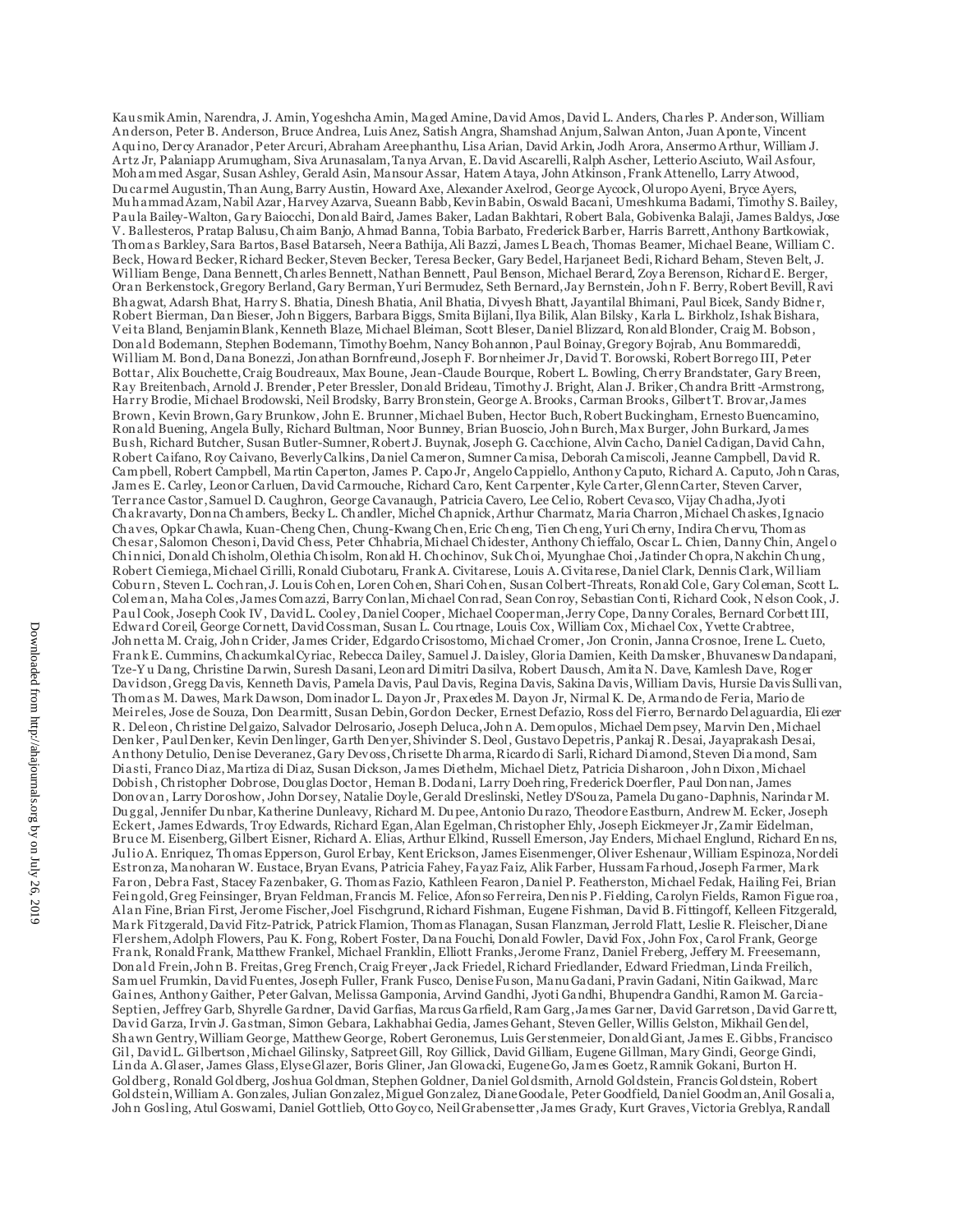Kausmik Amin, Narendra, J. Amin, Yogeshcha Amin, Maged Amine, David Amos, David L. Anders, Charles P. Anderson, William Anderson, Peter B. Anderson, Bruce Andrea, Luis Anez, Satish Angra, Shamshad Anjum, Salwan Anton, Juan Aponte, Vincent Aquino, Dercy Aranador, Peter Arcuri, Abraham Areephanthu, Lisa Arian, David Arkin, Jodh Arora, Ansermo Arthur, William J. Artz Jr, Palaniapp Arumugham, Siva Arunasalam, Tanya Arvan, E. David Ascarelli, Ralph Ascher, Letterio Asciuto, Wail Asfour, Moh am med Asgar, Susan Ashley, Gerald Asin, Mansour Assar, Hatem Ataya, John Atkinson, Frank Attenello, Larry Atwood, Ducarmel Augustin, Than Aung, Barry Austin, Howard Axe, Alexander Axelrod, George Aycock, Oluropo Ayeni, Bryce Ayers, Muhammad Azam, Nabil Azar, Harvey Azarva, Sueann Babb, Kevin Babin, Oswald Bacani, Umeshkuma Badami, Timothy S. Bailey, Paula Bailey-Walton, Gary Baiocchi, Donald Baird, James Baker, Ladan Bakhtari, Robert Bala, Gobivenka Balaji, James Baldys, Jose V. Ballesteros, Pratap Balusu, Chaim Banjo, Ahmad Banna, Tobia Barbato, Frederick Barber, Harris Barrett, Anthony Bartkowiak, Thomas Barkley, Sara Bartos, Basel Batarseh, Neera Bathija, Ali Bazzi, James L Beach, Thomas Beamer, Michael Beane, William C. Beck, Howard Becker, Richard Becker, Steven Becker, Teresa Becker, Gary Bedel, Harjaneet Bedi, Richard Beham, Steven Belt, J. William Benge, Dana Bennett, Charles Bennett, Nathan Bennett, Paul Benson, Michael Berard, Zoya Berenson, Richard E. Berger, Oran Berkenstock, Gregory Berland, Gary Berman, Yuri Bermudez, Seth Bernard, Jay Bernstein, John F. Berry, Robert Bevill, Ravi Bhagwat, Adarsh Bhat, Harry S. Bhatia, Dinesh Bhatia, Anil Bhatia, Divyesh Bhatt, Jayantilal Bhimani, Paul Bicek, Sandy Bidner, Robert Bierman, Dan Bieser, John Biggers, Barbara Biggs, Smita Bijlani, Ilya Bilik, Alan Bilsky, Karla L. Birkholz, Ishak Bishara, Veita Bland, Benjamin Blank, Kenneth Blaze, Michael Bleiman, Scott Bleser, Daniel Blizzard, Ronald Blonder, Craig M. Bobson, Donald Bodemann, Stephen Bodemann, Timothy Boehm, Nancy Bohannon, Paul Boinay, Gregory Bojrab, Anu Bommareddi, William M. Bond, Dana Bonezzi, Jonathan Bornfreund, Joseph F. Bornheimer Jr, David T. Borowski, Robert Borrego III, Peter Bottar, Alix Bouchette, Craig Boudreaux, Max Boune, Jean-Claude Bourque, Robert L. Bowling, Cherry Brandstater, Gary Breen, Ray Breitenbach, Arnold J. Brender, Peter Bressler, Donald Brideau, Timothy J. Bright, Alan J. Briker, Chandra Britt-Armstrong, Harry Brodie, Michael Brodowski, Neil Brodsky, Barry Bronstein, George A. Brooks, Carman Brooks, Gilbert T. Brovar, James Brown, Kevin Brown, Gary Brunkow, John E. Brunner, Michael Buben, Hector Buch, Robert Buckingham, Ernesto Buencamino, Ronald Buening, Angela Bully, Richard Bultman, Noor Bunney, Brian Buoscio, John Burch, Max Burger, John Burkard, James Bush, Richard Butcher, Susan Butler-Sumner, Robert J. Buynak, Joseph G. Cacchione, Alvin Cacho, Daniel Cadigan, David Cahn, Robert Caifano, Roy Caivano, Beverly Calkins, Daniel Cameron, Sumner Camisa, Deborah Camiscoli, Jeanne Campbell, David R. Campbell, Robert Campbell, Martin Caperton, James P. Capo Jr, Angelo Cappiello, Anthony Caputo, Richard A. Caputo, John Caras, James E. Carley, Leon or Carluen, David Carmouche, Richard Caro, Kent Carpenter, Kyle Carter, Glenn Carter, Steven Carver, Terrance Castor, Samuel D. Caughron, George Cavanaugh, Patricia Cavero, Lee Celio, Robert Cevasco, Vijay Chadha, Jyoti Chakravarty, Donna Chambers, Becky L. Chandler, Michel Chapnick, Arthur Charmatz, Maria Charron, Michael Chaskes, Ignacio Chaves, Opkar Chawla, Kuan-Cheng Chen, Chung-Kwang Chen, Eric Cheng, Tien Cheng, Yuri Cherny, Indira Chervu, Thomas Chesar, Salomon Chesoni, David Chess, Peter Chhabria, Michael Chidester, Anthony Chieffalo, Oscar L. Chien, Danny Chin, Angel o Chinnici, Donald Chisholm, Olethia Chisolm, Ronald H. Chochinov, Suk Choi, Myunghae Choi, Jatinder Chopra, Nakchin Chung, Robert Ciemiega, Michael Cirilli, Ronald Ciubotaru, Frank A. Civitarese, Louis A. Civitarese, Daniel Clark, Dennis Clark, William Coburn, Steven L. Cochran, J. Louis Cohen, Loren Cohen, Shari Cohen, Susan Colbert-Threats, Ronald Cole, Gary Coleman, Scott L. Coleman, Maha Coles, James Comazzi, Barry Conlan, Michael Conrad, Sean Conroy, Sebastian Conti, Richard Cook, Nelson Cook, J. Paul Cook, Joseph Cook IV, David L. Cooley, Daniel Cooper, Michael Cooperman, Jerry Cope, Danny Corales, Bernard Corbett III, Edward Coreil, George Cornett, David Cossman, Susan L. Courtnage, Louis Cox, William Cox, Michael Cox, Yvette Crabtree, Johnetta M. Craig, John Crider, James Crider, Edgardo Crisostomo, Michael Cromer, Jon Cronin, Janna Crosnoe, Irene L. Cueto, Frank E. Cummins, Chackumkal Cyriac, Rebecca Dailey, Samuel J. Daisley, Gloria Damien, Keith Damsker, Bhuvanesw Dandapani, Tze-Yu Dang, Christine Darwin, Suresh Dasani, Leonard Dimitri Dasilva, Robert Dausch, Amita N. Dave, Kamlesh Dave, Roger Davidson, Gregg Davis, Kenneth Davis, Pamela Davis, Paul Davis, Regina Davis, Sakina Davis, William Davis, Hursie Davis Sullivan, Thomas M. Dawes, Mark Dawson, Dominador L. Dayon Jr, Praxedes M. Dayon Jr, Nirmal K. De, Armando de Feria, Mario de Meireles, Jose de Souza, Don Dearmitt, Susan Debin, Gordon Decker, Ernest Defazio, Ross del Fierro, Bernardo Delaguardia, Eliezer R. Deleon, Christine Delgaizo, Salvador Delrosario, Joseph Deluca, John A. Demopulos, Michael Dempsey, Marvin Den, Michael Denker, Paul Denker, Kevin Denlinger, Garth Denyer, Shivinder S. Deol, Gustavo Depetris, Pankaj R. Desai, Jayaprakash Desai, Anthony Detulio, Denise Deveranez, Gary Devoss, Chrisette Dharma, Ricardo di Sarli, Richard Diamond, Steven Diamond, Sam Diasti, Franco Diaz, Martiza di Diaz, Susan Dickson, James Diethelm, Michael Dietz, Patricia Disharoon, John Dixon, Michael Dobish, Christopher Dobrose, Douglas Doctor, Heman B. Dodani, Larry Doehring, Frederick Doerfler, Paul Donnan, James Donovan, Larry Doroshow, John Dorsey, Natalie Doyle, Gerald Dreslinski, Netley D'Souza, Pamela Dugano-Daphnis, Narindar M. Duggal, Jennifer Dunbar, Katherine Dunleavy, Richard M. Dupee, Antonio Durazo, Theodore Eastburn, Andrew M. Ecker, Joseph Eckert, James Edwards, Troy Edwards, Richard Egan, Alan Egelman, Christopher Ehly, Joseph Eickmeyer Jr, Zamir Eidelman, Bruce M. Eisenberg, Gilbert Eisner, Richard A. Elias, Arthur Elkind, Russell Emerson, Jay Enders, Michael Englund, Richard Enns, Julio A. Enriquez, Thomas Epperson, Gurol Erbay, Kent Erickson, James Eisenmenger, Oliver Eshenaur, William Espinoza, Nordeli Estronza, Manoharan W. Eustace, Bryan Evans, Patricia Fahey, Fayaz Faiz, Alik Farber, Hussam Farhoud, Joseph Farmer, Mark Faron, Debra Fast, Stacey Fazenbaker, G. Thomas Fazio, Kathleen Fearon, Daniel P. Featherston, Michael Fedak, Hailing Fei, Brian Feingold, Greg Feinsinger, Bryan Feldman, Francis M. Felice, Afonso Ferreira, Dennis P. Fielding, Carolyn Fields, Ramon Figueroa, Alan Fine, Brian First, Jerome Fischer, Joel Fischgrund, Richard Fishman, Eugene Fishman, David B. Fittingoff, Kelleen Fitzgerald, Mark Fitzgerald, David Fitz-Patrick, Patrick Flamion, Thomas Flanagan, Susan Flanzman, Jerrold Flatt, Leslie R. Fleischer, Diane Flershem, Adolph Flowers, Pau K. Fong, Robert Foster, Dana Fouchi, Donald Fowler, David Fox, John Fox, Carol Frank, George Frank, Ronald Frank, Matthew Frankel, Michael Franklin, Elliott Franks, Jerome Franz, Daniel Freberg, Jeffery M. Freesemann, Donald Frein, John B. Freitas, Greg French, Craig Freyer, Jack Friedel, Richard Friedlander, Edward Friedman, Linda Freilich, Samuel Frumkin, David Fuentes, Joseph Fuller, Frank Fusco, Denise Fuson, Manu Gadani, Pravin Gadani, Nitin Gaikwad, Marc Gaines, Anthony Gaither, Peter Galvan, Melissa Gamponia, Arvind Gandhi, Jyoti Gandhi, Bhupendra Gandhi, Ramon M. Garcia-Septien, Jeffrey Garb, Shyrelle Gardner, David Garfias, Marcus Garfield, Ram Garg, James Garner, David Garretson, David Garrett, David Garza, Irvin J. Gastman, Simon Gebara, Lakhabhai Gedia, James Gehant, Steven Geller, Willis Gelston, Mikhail Gendel, Shawn Gentry, William George, Matthew George, Robert Geronemus, Luis Gerstenmeier, Donald Giant, James E. Gibbs, Francisco Gil, David L. Gilbertson, Michael Gilinsky, Satpreet Gill, Roy Gillick, David Gilliam, Eugene Gillman, Mary Gindi, George Gindi, Linda A. Glaser, James Glass, Elyse Glazer, Boris Gliner, Jan Glowacki, Eugene Go, James Goetz, Ramnik Gokani, Burton H. Goldberg, Ronald Goldberg, Joshua Goldman, Stephen Goldner, Daniel Goldsmith, Arnold Goldstein, Francis Goldstein, Robert Goldstein, William A. Gonzales, Julian Gonzalez, Miguel Gonzalez, Diane Goodale, Peter Goodfield, Daniel Goodman, Anil Gosalia, John Gosling, Atul Goswami, Daniel Gottlieb, Otto Goyco, Neil Grabensetter, James Grady, Kurt Graves, Victoria Greblya, Randall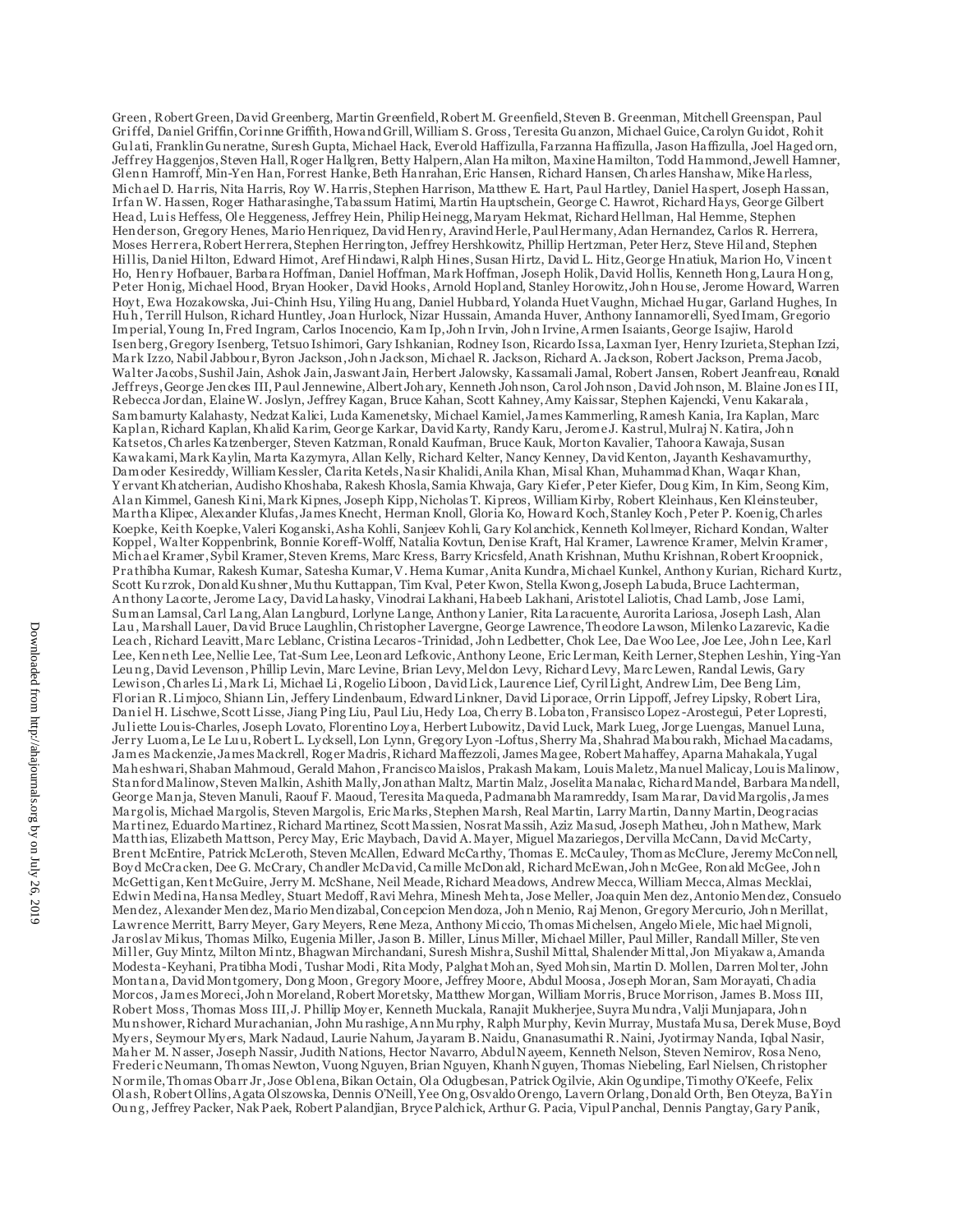Green, Robert Green, David Greenberg, Martin Greenfield, Robert M. Greenfield, Steven B. Greenman, Mitchell Greenspan, Paul Griffel, Daniel Griffin, Corinne Griffith, Howand Grill, William S. Gross, Teresita Guanzon, Michael Guice, Carolyn Guidot, Rohit Gulati, Franklin Guneratne, Suresh Gupta, Michael Hack, Everold Haffizulla, Farzanna Haffizulla, Jason Haffizulla, Joel Haged orn, Jeffrey Haggenjos, Steven Hall, Roger Hallgren, Betty Halpern, Alan Hamilton, Maxine Hamilton, Todd Hammond, Jewell Hamner, Glenn Hamroff, Min-Yen Han, Forrest Hanke, Beth Hanrahan, Eric Hansen, Richard Hansen, Charles Hanshaw, Mike Harless, Michael D. Harris, Nita Harris, Roy W. Harris, Stephen Harrison, Matthew E. Hart, Paul Hartley, Daniel Haspert, Joseph Hassan, Irfan W. Hassen, Roger Hatharasinghe, Tabassum Hatimi, Martin Hauptschein, George C. Hawrot, Richard Hays, George Gilbert Head, Luis Heffess, Ole Heggeness, Jeffrey Hein, Philip Heinegg, Maryam Hekmat, Richard Hellman, Hal Hemme, Stephen Henderson, Gregory Henes, Mario Henriquez, David Henry, Aravind Herle, Paul Hermany, Adan Hernandez, Carlos R. Herrera, Moses Herrera, Robert Herrera, Stephen Herrington, Jeffrey Hershkowitz, Phillip Hertzman, Peter Herz, Steve Hiland, Stephen Hillis, Daniel Hilton, Edward Himot, Aref Hindawi, Ralph Hines, Susan Hirtz, David L. Hitz, George Hnatiuk, Marion Ho, Vincent Ho, Henry Hofbauer, Barbara Hoffman, Daniel Hoffman, Mark Hoffman, Joseph Holik, David Hollis, Kenneth Hong, Laura Hong, Peter Honig, Michael Hood, Bryan Hooker, David Hooks, Arnold Hopland, Stanley Horowitz, John House, Jerome Howard, Warren Hoyt, Ewa Hozakowska, Jui-Chinh Hsu, Yiling Huang, Daniel Hubbard, Yolanda Huet Vaughn, Michael Hugar, Garland Hughes, In Huh, Terrill Hulson, Richard Huntley, Joan Hurlock, Nizar Hussain, Amanda Huver, Anthony Iannamorelli, Syed Imam, Gregorio Imperial, Young In, Fred Ingram, Carlos Inocencio, Kam Ip, John Irvin, John Irvine, Armen Isaiants, George Isajiw, Harold Isenberg, Gregory Isenberg, Tetsuo Ishimori, Gary Ishkanian, Rodney Ison, Ricardo Issa, Laxman Iyer, Henry Izurieta, Stephan Izzi, Mark Izzo, Nabil Jabbour, Byron Jackson, John Jackson, Michael R. Jackson, Richard A. Jackson, Robert Jackson, Prema Jacob, Walter Jacobs, Sushil Jain, Ashok Jain, Jaswant Jain, Herbert Jalowsky, Kassamali Jamal, Robert Jansen, Robert Jeanfreau, Ronald Jeffreys, George Jenckes III, Paul Jennewine, Albert Johary, Kenneth Johnson, Carol Johnson, David Johnson, M. Blaine Jones III, Rebecca Jordan, Elaine W. Joslyn, Jeffrey Kagan, Bruce Kahan, Scott Kahney, Amy Kaissar, Stephen Kajencki, Venu Kakarala, Sambamurty Kalahasty, Nedzat Kalici, Luda Kamenetsky, Michael Kamiel, James Kammerling, Ramesh Kania, Ira Kaplan, Marc Kaplan, Richard Kaplan, Khalid Karim, George Karkar, David Karty, Randy Karu, Jerome J. Kastrul, Mulraj N. Katira, John Katsetos, Charles Katzenberger, Steven Katzman, Ronald Kaufman, Bruce Kauk, Morton Kavalier, Tahoora Kawaja, Susan Kawakami, Mark Kaylin, Marta Kazymyra, Allan Kelly, Richard Kelter, Nancy Kenney, David Kenton, Jayanth Keshavamurthy, Damoder Kesireddy, William Kessler, Clarita Ketels, Nasir Khalidi, Anila Khan, Misal Khan, Muhammad Khan, Waqar Khan, Y ervant Khatcherian, Audisho Khoshaba, Rakesh Khosla, Samia Khwaja, Gary Kiefer, Peter Kiefer, Doug Kim, In Kim, Seong Kim, Alan Kimmel, Ganesh Kini, Mark Kipnes, Joseph Kipp, Nicholas T. Kipreos, William Kirby, Robert Kleinhaus, Ken Kleinsteuber, Martha Klipec, Alexander Klufas, James Knecht, Herman Knoll, Gloria Ko, Howard Koch, Stanley Koch, Peter P. Koenig, Charles Koepke, Keith Koepke, Valeri Koganski, Asha Kohli, Sanjeev Kohli, Gary Kolanchick, Kenneth Kollmeyer, Richard Kondan, Walter Koppel, Walter Koppenbrink, Bonnie Koreff-Wolff, Natalia Kovtun, Denise Kraft, Hal Kramer, Lawrence Kramer, Melvin Kramer, Michael Kramer, Sybil Kramer, Steven Krems, Marc Kress, Barry Kricsfeld, Anath Krishnan, Muthu Krishnan, Robert Kroopnick, Prathibha Kumar, Rakesh Kumar, Satesha Kumar, V. Hema Kumar, Anita Kundra, Michael Kunkel, Anthony Kurian, Richard Kurtz, Scott Kurzrok, Donald Kushner, Muthu Kuttappan, Tim Kval, Peter Kwon, Stella Kwong, Joseph Labuda, Bruce Lachterman, Anthony Lacorte, Jerome Lacy, David Lahasky, Vinodrai Lakhani, Habeeb Lakhani, Aristotel Laliotis, Chad Lamb, Jose Lami, Suman Lamsal, Carl Lang, Alan Langburd, Lorlyne Lange, Anthony Lanier, Rita Laracuente, Aurorita Lariosa, Joseph Lash, Alan Lau, Marshall Lauer, David Bruce Laughlin, Christopher Lavergne, George Lawrence, Theodore Lawson, Milenko Lazarevic, Kadie Leach, Richard Leavitt, Marc Leblanc, Cristina Lecaros-Trinidad, John Ledbetter, Chok Lee, Dae Woo Lee, Joe Lee, John Lee, Karl Lee, Kenneth Lee, Nellie Lee, Tat-Sum Lee, Leonard Lefkovic, Anthony Leone, Eric Lerman, Keith Lerner, Stephen Leshin, Ying-Yan Leung, David Levenson, Phillip Levin, Marc Levine, Brian Levy, Meldon Levy, Richard Levy, Marc Lewen, Randal Lewis, Gary Lewison, Charles Li, Mark Li, Michael Li, Rogelio Liboon, David Lick, Laurence Lief, Cyril Light, Andrew Lim, Dee Beng Lim, Florian R. Limjoco, Shiann Lin, Jeffery Lindenbaum, Edward Linkner, David Liporace, Orrin Lippoff, Jefrey Lipsky, Robert Lira, Daniel H. Lischwe, Scott Lisse, Jiang Ping Liu, Paul Liu, Hedy Loa, Cherry B. Lobaton, Fransisco Lopez-Arostegui, Peter Lopresti, Juliette Louis-Charles, Joseph Lovato, Florentino Loya, Herbert Lubowitz, David Luck, Mark Lueg, Jorge Luengas, Manuel Luna, Jerry Luoma, Le Le Lu u, Robert L. Lycksell, Lon Lynn, Gregory Lyon-Loftus, Sherry Ma, Shahrad Mabourakh, Michael Macadams, James Mackenzie, James Mackrell, Roger Madris, Richard Maffezzoli, James Magee, Robert Mahaffey, Aparna Mahakala, Yugal Maheshwari, Shaban Mahmoud, Gerald Mahon, Francisco Maislos, Prakash Makam, Louis Maletz, Manuel Malicay, Louis Malinow, Stanford Malinow, Steven Malkin, Ashith Mally, Jonathan Maltz, Martin Malz, Joselita Manalac, Richard Mandel, Barbara Mandell, George Manja, Steven Manuli, Raouf F. Maoud, Teresita Maqueda, Padmanabh Maramreddy, Isam Marar, David Margolis, James Margolis, Michael Margolis, Steven Margolis, Eric Marks, Stephen Marsh, Real Martin, Larry Martin, Danny Martin, Deogracias Martinez, Eduardo Martinez, Richard Martinez, Scott Massien, Nosrat Massih, Aziz Masud, Joseph Matheu, John Mathew, Mark Matthias, Elizabeth Mattson, Percy May, Eric Maybach, David A. Mayer, Miguel Mazariegos, Dervilla McCann, David McCarty, Brent McEntire, Patrick McLeroth, Steven McAllen, Edward McCarthy, Thomas E. McCauley, Thomas McClure, Jeremy McConnell, Boyd McCracken, Dee G. McCrary, Chandler McDavid, Camille McDonald, Richard McEwan, John McGee, Ronald McGee, John McGettigan, Kent McGuire, Jerry M. McShane, Neil Meade, Richard Meadows, Andrew Mecca, William Mecca, Almas Mecklai, Edwin Medina, Hansa Medley, Stuart Medoff, Ravi Mehra, Minesh Mehta, Jose Meller, Joaquin Mendez, Antonio Mendez, Consuelo Mendez, Alexander Mendez, Mario Mendizabal, Concepcion Mendoza, John Menio, Raj Menon, Gregory Mercurio, John Merillat, Lawrence Merritt, Barry Meyer, Gary Meyers, Rene Meza, Anthony Miccio, Thomas Michelsen, Angelo Miele, Michael Mignoli, Jaroslav Mikus, Thomas Milko, Eugenia Miller, Jason B. Miller, Linus Miller, Michael Miller, Paul Miller, Randall Miller, Steven Miller, Guy Mintz, Milton Mintz, Bhagwan Mirchandani, Suresh Mishra, Sushil Mittal, Shalender Mittal, Jon Miyakawa, Amanda Modesta-Keyhani, Pratibha Modi, Tushar Modi, Rita Mody, Palghat Mohan, Syed Mohsin, Martin D. Mollen, Darren Molter, John Montana, David Montgomery, Dong Moon, Gregory Moore, Jeffrey Moore, Abdul Moosa, Joseph Moran, Sam Morayati, Chadia Morcos, James Moreci, John Moreland, Robert Moretsky, Matthew Morgan, William Morris, Bruce Morrison, James B. Moss III, Robert Moss, Thomas Moss III, J. Phillip Moyer, Kenneth Muckala, Ranajit Mukherjee, Suyra Mundra, Valji Munjapara, John Munshower, Richard Murachanian, John Murashige, Ann Murphy, Ralph Murphy, Kevin Murray, Mustafa Musa, Derek Muse, Boyd Myers, Seymour Myers, Mark Nadaud, Laurie Nahum, Jayaram B. Naidu, Gnanasumathi R. Naini, Jyotirmay Nanda, Iqbal Nasir, Maher M. Nasser, Joseph Nassir, Judith Nations, Hector Navarro, Abdul Naveem, Kenneth Nelson, Steven Nemirov, Rosa Neno, Frederic Neumann, Thomas Newton, Vuong Nguyen, Brian Nguyen, Khanh Nguyen, Thomas Niebeling, Earl Nielsen, Christopher Normile, Thomas Obarr Jr, Jose Oblena, Bikan Octain, Ola Odugbesan, Patrick Ogilvie, Akin Ogundipe, Timothy O'Keefe, Felix Olash, Robert Ollins, Agata Olszowska, Dennis O'Neill, Yee Ong, Osvaldo Orengo, Lavern Orlang, Donald Orth, Ben Oteyza, BaYin Oung, Jeffrey Packer, Nak Paek, Robert Palandjian, Bryce Palchick, Arthur G. Pacia, Vipul Panchal, Dennis Pangtay, Gary Panik,